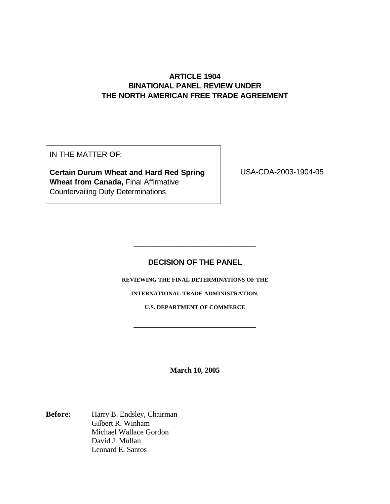## **ARTICLE 1904 BINATIONAL PANEL REVIEW UNDER THE NORTH AMERICAN FREE TRADE AGREEMENT**

IN THE MATTER OF:

**Certain Durum Wheat and Hard Red Spring Wheat from Canada,** Final Affirmative Countervailing Duty Determinations

USA-CDA-2003-1904-05

# **DECISION OF THE PANEL**

**\_\_\_\_\_\_\_\_\_\_\_\_\_\_\_\_\_\_\_\_\_\_\_\_\_\_\_\_\_\_\_\_**

**REVIEWING THE FINAL DETERMINATIONS OF THE**

**INTERNATIONAL TRADE ADMINISTRATION,**

**U.S. DEPARTMENT OF COMMERCE**

**\_\_\_\_\_\_\_\_\_\_\_\_\_\_\_\_\_\_\_\_\_\_\_\_\_\_\_\_\_\_\_\_**

**March 10, 2005**

**Before:** Harry B. Endsley, Chairman Gilbert R. Winham Michael Wallace Gordon David J. Mullan Leonard E. Santos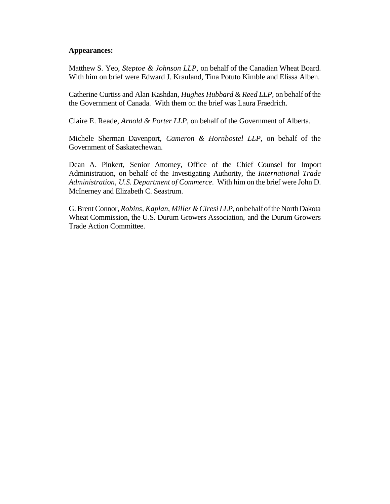## **Appearances:**

Matthew S. Yeo, *Steptoe & Johnson LLP*, on behalf of the Canadian Wheat Board. With him on brief were Edward J. Krauland, Tina Potuto Kimble and Elissa Alben.

Catherine Curtiss and Alan Kashdan, *Hughes Hubbard & Reed LLP*, on behalf ofthe the Government of Canada. With them on the brief was Laura Fraedrich.

Claire E. Reade, *Arnold & Porter LLP*, on behalf of the Government of Alberta.

Michele Sherman Davenport, *Cameron & Hornbostel LLP*, on behalf of the Government of Saskatechewan.

Dean A. Pinkert, Senior Attorney, Office of the Chief Counsel for Import Administration, on behalf of the Investigating Authority, the *International Trade Administration, U.S. Department of Commerce*. With him on the brief were John D. McInerney and Elizabeth C. Seastrum.

G.Brent Connor, *Robins, Kaplan, Miller &Ciresi LLP*, onbehalfofthe NorthDakota Wheat Commission, the U.S. Durum Growers Association, and the Durum Growers Trade Action Committee.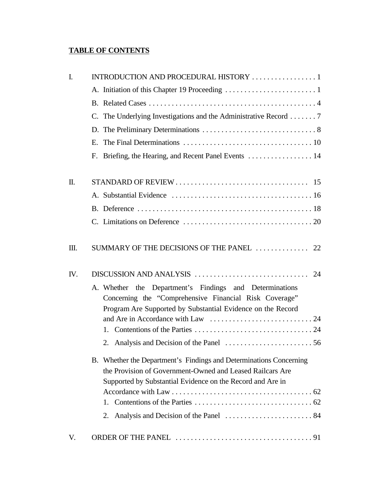# **TABLE OF CONTENTS**

| $\mathbf{I}$ . | INTRODUCTION AND PROCEDURAL HISTORY  1                                                                                                                                                        |
|----------------|-----------------------------------------------------------------------------------------------------------------------------------------------------------------------------------------------|
|                |                                                                                                                                                                                               |
|                |                                                                                                                                                                                               |
|                | C. The Underlying Investigations and the Administrative Record  7                                                                                                                             |
|                |                                                                                                                                                                                               |
|                |                                                                                                                                                                                               |
|                | F. Briefing, the Hearing, and Recent Panel Events  14                                                                                                                                         |
| $\mathbf{I}$   |                                                                                                                                                                                               |
|                |                                                                                                                                                                                               |
|                |                                                                                                                                                                                               |
|                |                                                                                                                                                                                               |
| Ш.             | SUMMARY OF THE DECISIONS OF THE PANEL  22                                                                                                                                                     |
| IV.            |                                                                                                                                                                                               |
|                | A. Whether the Department's Findings and Determinations<br>Concerning the "Comprehensive Financial Risk Coverage"<br>Program Are Supported by Substantial Evidence on the Record              |
|                |                                                                                                                                                                                               |
|                |                                                                                                                                                                                               |
|                |                                                                                                                                                                                               |
|                | B. Whether the Department's Findings and Determinations Concerning<br>the Provision of Government-Owned and Leased Railcars Are<br>Supported by Substantial Evidence on the Record and Are in |
|                |                                                                                                                                                                                               |
|                |                                                                                                                                                                                               |
|                | 2.                                                                                                                                                                                            |
| V.             |                                                                                                                                                                                               |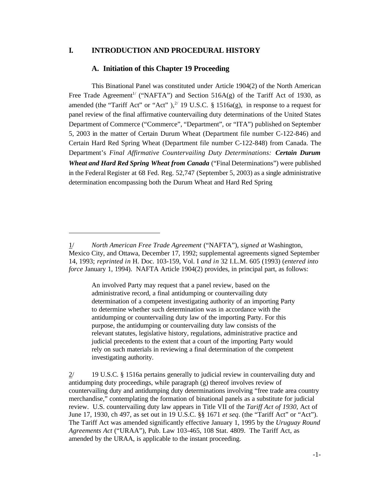## **I. INTRODUCTION AND PROCEDURAL HISTORY**

#### **A. Initiation of this Chapter 19 Proceeding**

This Binational Panel was constituted under Article 1904(2) of the North American Free Trade Agreement<sup>1/</sup> ("NAFTA") and Section 516A(g) of the Tariff Act of 1930, as amended (the "Tariff Act" or "Act"),  $^{2}$  19 U.S.C. § 1516a(g), in response to a request for panel review of the final affirmative countervailing duty determinations of the United States Department of Commerce ("Commerce", "Department", or "ITA") published on September 5, 2003 in the matter of Certain Durum Wheat (Department file number C-122-846) and Certain Hard Red Spring Wheat (Department file number C-122-848) from Canada. The Department's *Final Affirmative Countervailing Duty Determinations: Certain Durum Wheat and Hard Red Spring Wheat from Canada* ("Final Determinations") were published in the Federal Register at 68 Fed. Reg. 52,747 (September 5, 2003) as a single administrative determination encompassing both the Durum Wheat and Hard Red Spring

An involved Party may request that a panel review, based on the administrative record, a final antidumping or countervailing duty determination of a competent investigating authority of an importing Party to determine whether such determination was in accordance with the antidumping or countervailing duty law of the importing Party. For this purpose, the antidumping or countervailing duty law consists of the relevant statutes, legislative history, regulations, administrative practice and judicial precedents to the extent that a court of the importing Party would rely on such materials in reviewing a final determination of the competent investigating authority.

2/ 19 U.S.C. § 1516a pertains generally to judicial review in countervailing duty and antidumping duty proceedings, while paragraph (g) thereof involves review of countervailing duty and antidumping duty determinations involving "free trade area country merchandise," contemplating the formation of binational panels as a substitute for judicial review. U.S. countervailing duty law appears in Title VII of the *Tariff Act of 1930*, Act of June 17, 1930, ch 497, as set out in 19 U.S.C. §§ 1671 *et seq*. (the "Tariff Act" or "Act"). The Tariff Act was amended significantly effective January 1, 1995 by the *Uruguay Round Agreements Act* ("URAA"), Pub. Law 103-465, 108 Stat. 4809. The Tariff Act, as amended by the URAA, is applicable to the instant proceeding.

<sup>1/</sup> *North American Free Trade Agreement* ("NAFTA"), *signed at* Washington, Mexico City, and Ottawa, December 17, 1992; supplemental agreements signed September 14, 1993; *reprinted in* H. Doc. 103-159, Vol. I *and in* 32 I.L.M. 605 (1993) (*entered into force* January 1, 1994). NAFTA Article 1904(2) provides, in principal part, as follows: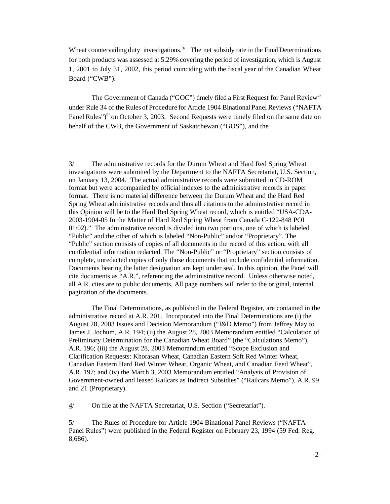Wheat countervailing duty investigations.<sup>3/</sup> The net subsidy rate in the Final Determinations for both products was assessed at 5.29% covering the period of investigation, which is August 1, 2001 to July 31, 2002, this period coinciding with the fiscal year of the Canadian Wheat Board ("CWB").

The Government of Canada ("GOC") timely filed a First Request for Panel Review<sup>4/</sup> under Rule 34 of the Rules of Procedure for Article 1904 Binational Panel Reviews ("NAFTA Panel Rules") $5/$  on October 3, 2003. Second Requests were timely filed on the same date on behalf of the CWB, the Government of Saskatchewan ("GOS"), and the

The Final Determinations, as published in the Federal Register, are contained in the administrative record at A.R. 201. Incorporated into the Final Determinations are (i) the August 28, 2003 Issues and Decision Memorandum ("I&D Memo") from Jeffrey May to James J. Jochum, A.R. 194; (ii) the August 28, 2003 Memorandum entitled "Calculation of Preliminary Determination for the Canadian Wheat Board" (the "Calculations Memo"), A.R. 196; (iii) the August 28, 2003 Memorandum entitled "Scope Exclusion and Clarification Requests: Khorasan Wheat, Canadian Eastern Soft Red Winter Wheat, Canadian Eastern Hard Red Winter Wheat, Organic Wheat, and Canadian Feed Wheat", A.R. 197; and (iv) the March 3, 2003 Memorandum entitled "Analysis of Provision of Government-owned and leased Railcars as Indirect Subsidies" ("Railcars Memo"), A.R. 99 and 21 (Proprietary).

4/ On file at the NAFTA Secretariat, U.S. Section ("Secretariat").

5/ The Rules of Procedure for Article 1904 Binational Panel Reviews ("NAFTA Panel Rules") were published in the Federal Register on February 23, 1994 (59 Fed. Reg. 8,686).

 $3/$  The administrative records for the Durum Wheat and Hard Red Spring Wheat investigations were submitted by the Department to the NAFTA Secretariat, U.S. Section, on January 13, 2004. The actual administrative records were submitted in CD-ROM format but were accompanied by official indexes to the administrative records in paper format. There is no material difference between the Durum Wheat and the Hard Red Spring Wheat administrative records and thus all citations to the administrative record in this Opinion will be to the Hard Red Spring Wheat record, which is entitled "USA-CDA-2003-1904-05 In the Matter of Hard Red Spring Wheat from Canada C-122-848 POI 01/02)." The administrative record is divided into two portions, one of which is labeled "Public" and the other of which is labeled "Non-Public" and/or "Proprietary". The "Public" section consists of copies of all documents in the record of this action, with all confidential information redacted. The "Non-Public" or "Proprietary" section consists of complete, unredacted copies of only those documents that include confidential information. Documents bearing the latter designation are kept under seal. In this opinion, the Panel will cite documents as "A.R.", referencing the administrative record. Unless otherwise noted, all A.R. cites are to public documents. All page numbers will refer to the original, internal pagination of the documents.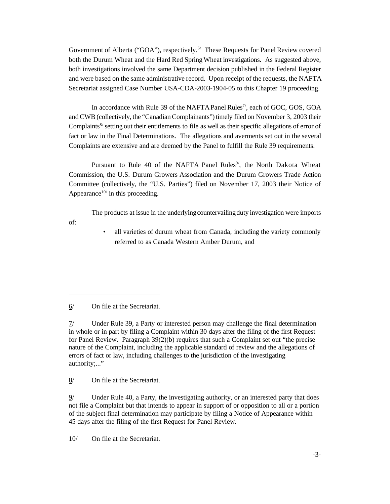Government of Alberta ("GOA"), respectively.<sup>6/</sup> These Requests for Panel Review covered both the Durum Wheat and the Hard Red Spring Wheat investigations. As suggested above, both investigations involved the same Department decision published in the Federal Register and were based on the same administrative record. Upon receipt of the requests, the NAFTA Secretariat assigned Case Number USA-CDA-2003-1904-05 to this Chapter 19 proceeding.

In accordance with Rule 39 of the NAFTA Panel Rules<sup>7</sup>, each of GOC, GOS, GOA and CWB (collectively, the "Canadian Complainants") timely filed on November 3, 2003 their Complaints<sup>8/</sup> setting out their entitlements to file as well as their specific allegations of error of fact or law in the Final Determinations. The allegations and averments set out in the several Complaints are extensive and are deemed by the Panel to fulfill the Rule 39 requirements.

Pursuant to Rule 40 of the NAFTA Panel Rules<sup>9</sup>, the North Dakota Wheat Commission, the U.S. Durum Growers Association and the Durum Growers Trade Action Committee (collectively, the "U.S. Parties") filed on November 17, 2003 their Notice of Appearance<sup>10/</sup> in this proceeding.

The products at issue in the underlyingcountervailingduty investigation were imports of:

> all varieties of durum wheat from Canada, including the variety commonly referred to as Canada Western Amber Durum, and

6/ On file at the Secretariat.

8/ On file at the Secretariat.

9/ Under Rule 40, a Party, the investigating authority, or an interested party that does not file a Complaint but that intends to appear in support of or opposition to all or a portion of the subject final determination may participate by filing a Notice of Appearance within 45 days after the filing of the first Request for Panel Review.

10/ On file at the Secretariat.

<sup>7/</sup> Under Rule 39, a Party or interested person may challenge the final determination in whole or in part by filing a Complaint within 30 days after the filing of the first Request for Panel Review. Paragraph 39(2)(b) requires that such a Complaint set out "the precise nature of the Complaint, including the applicable standard of review and the allegations of errors of fact or law, including challenges to the jurisdiction of the investigating authority;..."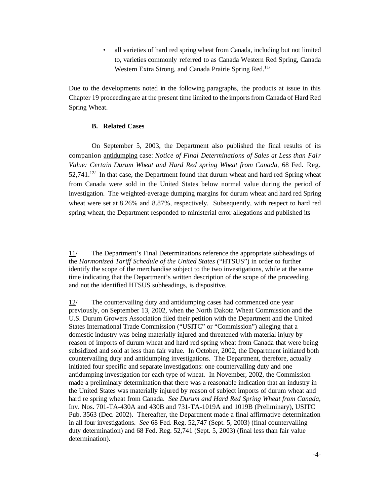• all varieties of hard red spring wheat from Canada, including but not limited to, varieties commonly referred to as Canada Western Red Spring, Canada Western Extra Strong, and Canada Prairie Spring Red.<sup>11/</sup>

Due to the developments noted in the following paragraphs, the products at issue in this Chapter 19 proceeding are at the present time limited to the importsfrom Canada of Hard Red Spring Wheat.

#### **B. Related Cases**

On September 5, 2003, the Department also published the final results of its companion antidumping case: *Notice of Final Determinations of Sales at Less than Fair Value: Certain Durum Wheat and Hard Red spring Wheat from Canada*, 68 Fed. Reg.  $52,741$ .<sup>12/</sup> In that case, the Department found that durum wheat and hard red Spring wheat from Canada were sold in the United States below normal value during the period of investigation. The weighted-average dumping margins for durum wheat and hard red Spring wheat were set at 8.26% and 8.87%, respectively. Subsequently, with respect to hard red spring wheat, the Department responded to ministerial error allegations and published its

<sup>11/</sup> The Department's Final Determinations reference the appropriate subheadings of the *Harmonized Tariff Schedule of the United States* ("HTSUS") in order to further identify the scope of the merchandise subject to the two investigations, while at the same time indicating that the Department's written description of the scope of the proceeding, and not the identified HTSUS subheadings, is dispositive.

<sup>12/</sup> The countervailing duty and antidumping cases had commenced one year previously, on September 13, 2002, when the North Dakota Wheat Commission and the U.S. Durum Growers Association filed their petition with the Department and the United States International Trade Commission ("USITC" or "Commission") alleging that a domestic industry was being materially injured and threatened with material injury by reason of imports of durum wheat and hard red spring wheat from Canada that were being subsidized and sold at less than fair value. In October, 2002, the Department initiated both countervailing duty and antidumping investigations. The Department, therefore, actually initiated four specific and separate investigations: one countervailing duty and one antidumping investigation for each type of wheat. In November, 2002, the Commission made a preliminary determination that there was a reasonable indication that an industry in the United States was materially injured by reason of subject imports of durum wheat and hard re spring wheat from Canada. *See Durum and Hard Red Spring Wheat from Canada*, Inv. Nos. 701-TA-430A and 430B and 731-TA-1019A and 1019B (Preliminary), USITC Pub. 3563 (Dec. 2002). Thereafter, the Department made a final affirmative determination in all four investigations. *See* 68 Fed. Reg. 52,747 (Sept. 5, 2003) (final countervailing duty determination) and 68 Fed. Reg. 52,741 (Sept. 5, 2003) (final less than fair value determination).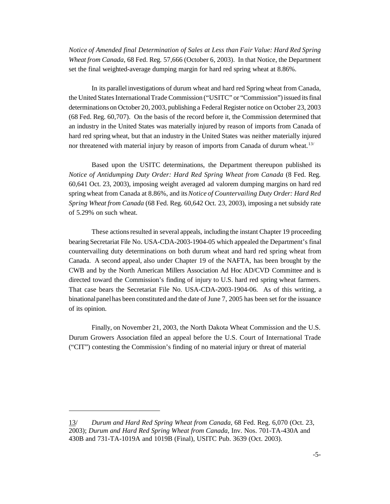*Notice of Amended final Determination of Sales at Less than Fair Value: Hard Red Spring Wheat from Canada*, 68 Fed. Reg. 57,666 (October 6, 2003). In that Notice, the Department set the final weighted-average dumping margin for hard red spring wheat at 8.86%.

In its parallel investigations of durum wheat and hard red Spring wheat from Canada, the United States International Trade Commission ("USITC" or "Commission") issued its final determinations on October 20, 2003, publishing a Federal Register notice on October 23, 2003 (68 Fed. Reg. 60,707). On the basis of the record before it, the Commission determined that an industry in the United States was materially injured by reason of imports from Canada of hard red spring wheat, but that an industry in the United States was neither materially injured nor threatened with material injury by reason of imports from Canada of durum wheat.<sup>13/</sup>

Based upon the USITC determinations, the Department thereupon published its *Notice of Antidumping Duty Order: Hard Red Spring Wheat from Canada* (8 Fed. Reg. 60,641 Oct. 23, 2003), imposing weight averaged ad valorem dumping margins on hard red spring wheat from Canada at 8.86%, and its*Notice of Countervailing Duty Order: Hard Red Spring Wheat from Canada* (68 Fed. Reg. 60,642 Oct. 23, 2003), imposing a net subsidy rate of 5.29% on such wheat.

These actions resulted in several appeals, including the instant Chapter 19 proceeding bearing Secretariat File No. USA-CDA-2003-1904-05 which appealed the Department's final countervailing duty determinations on both durum wheat and hard red spring wheat from Canada. A second appeal, also under Chapter 19 of the NAFTA, has been brought by the CWB and by the North American Millers Association Ad Hoc AD/CVD Committee and is directed toward the Commission's finding of injury to U.S. hard red spring wheat farmers. That case bears the Secretariat File No. USA-CDA-2003-1904-06. As of this writing, a binational panel has been constituted and the date of June 7, 2005 has been set for the issuance of its opinion.

Finally, on November 21, 2003, the North Dakota Wheat Commission and the U.S. Durum Growers Association filed an appeal before the U.S. Court of International Trade ("CIT") contesting the Commission's finding of no material injury or threat of material

13/ *Durum and Hard Red Spring Wheat from Canada*, 68 Fed. Reg. 6,070 (Oct. 23, 2003); *Durum and Hard Red Spring Wheat from Canada*, Inv. Nos. 701-TA-430A and 430B and 731-TA-1019A and 1019B (Final), USITC Pub. 3639 (Oct. 2003).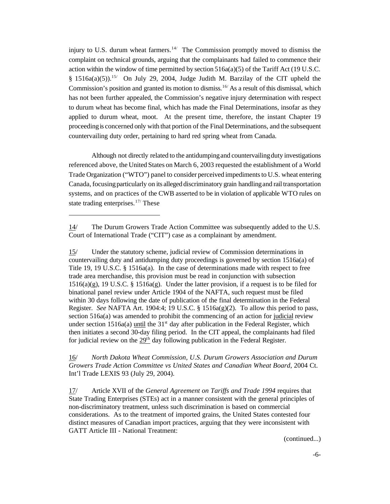injury to U.S. durum wheat farmers.<sup>14/</sup> The Commission promptly moved to dismiss the complaint on technical grounds, arguing that the complainants had failed to commence their action within the window of time permitted by section  $516a(a)(5)$  of the Tariff Act (19 U.S.C. §  $1516a(a)(5)$ .<sup>15/</sup> On July 29, 2004, Judge Judith M. Barzilay of the CIT upheld the Commission's position and granted its motion to dismiss.16/ As a result of this dismissal, which has not been further appealed, the Commission's negative injury determination with respect to durum wheat has become final, which has made the Final Determinations, insofar as they applied to durum wheat, moot. At the present time, therefore, the instant Chapter 19 proceedingis concerned only with that portion of the Final Determinations, and the subsequent countervailing duty order, pertaining to hard red spring wheat from Canada.

Although not directly related to the antidumpingand countervailingduty investigations referenced above, the United States on March 6, 2003 requested the establishment of a World Trade Organization ("WTO") panel to consider perceived impedimentsto U.S. wheat entering Canada, focusingparticularly on its alleged discriminatory grain handlingand railtransportation systems, and on practices of the CWB asserted to be in violation of applicable WTO rules on state trading enterprises.  $17/$  These

15/ Under the statutory scheme, judicial review of Commission determinations in countervailing duty and antidumping duty proceedings is governed by section 1516a(a) of Title 19, 19 U.S.C. § 1516a(a). In the case of determinations made with respect to free trade area merchandise, this provision must be read in conjunction with subsection  $1516(a)(g)$ , 19 U.S.C. § 1516a(g). Under the latter provision, if a request is to be filed for binational panel review under Article 1904 of the NAFTA, such request must be filed within 30 days following the date of publication of the final determination in the Federal Register. *See* NAFTA Art. 1904:4; 19 U.S.C. § 1516a(g)(2). To allow this period to pass, section 516a(a) was amended to prohibit the commencing of an action for judicial review under section  $1516a(a)$  until the  $31<sup>st</sup>$  day after publication in the Federal Register, which then initiates a second 30-day filing period. In the CIT appeal, the complainants had filed for judicial review on the  $29<sup>th</sup>$  day following publication in the Federal Register.

16/ *North Dakota Wheat Commission, U.S. Durum Growers Association and Durum Growers Trade Action Committee vs United States and Canadian Wheat Board*, 2004 Ct. Int'l Trade LEXIS 93 (July 29, 2004).

17/ Article XVII of the *General Agreement on Tariffs and Trade 1994* requires that State Trading Enterprises (STEs) act in a manner consistent with the general principles of non-discriminatory treatment, unless such discrimination is based on commercial considerations. As to the treatment of imported grains, the United States contested four distinct measures of Canadian import practices, arguing that they were inconsistent with GATT Article III - National Treatment:

(continued...)

<sup>14/</sup> The Durum Growers Trade Action Committee was subsequently added to the U.S. Court of International Trade ("CIT") case as a complainant by amendment.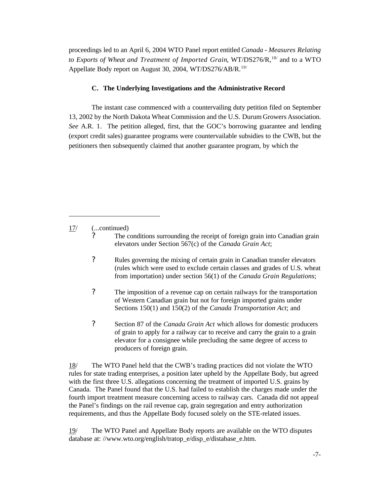proceedings led to an April 6, 2004 WTO Panel report entitled *Canada - Measures Relating to Exports of Wheat and Treatment of Imported Grain*, WT/DS276/R,18/ and to a WTO Appellate Body report on August 30, 2004, WT/DS276/AB/R.<sup>19/</sup>

#### **C. The Underlying Investigations and the Administrative Record**

The instant case commenced with a countervailing duty petition filed on September 13, 2002 by the North Dakota Wheat Commission and the U.S. Durum Growers Association. *See* A.R. 1. The petition alleged, first, that the GOC's borrowing guarantee and lending (export credit sales) guarantee programs were countervailable subsidies to the CWB, but the petitioners then subsequently claimed that another guarantee program, by which the

17/ (...continued)

- ? Rules governing the mixing of certain grain in Canadian transfer elevators (rules which were used to exclude certain classes and grades of U.S. wheat from importation) under section 56(1) of the *Canada Grain Regulations*;
- ? The imposition of a revenue cap on certain railways for the transportation of Western Canadian grain but not for foreign imported grains under Sections 150(1) and 150(2) of the *Canada Transportation Act*; and
- ? Section 87 of the *Canada Grain Act* which allows for domestic producers of grain to apply for a railway car to receive and carry the grain to a grain elevator for a consignee while precluding the same degree of access to producers of foreign grain.

18/ The WTO Panel held that the CWB's trading practices did not violate the WTO rules for state trading enterprises, a position later upheld by the Appellate Body, but agreed with the first three U.S. allegations concerning the treatment of imported U.S. grains by Canada. The Panel found that the U.S. had failed to establish the charges made under the fourth import treatment measure concerning access to railway cars. Canada did not appeal the Panel's findings on the rail revenue cap, grain segregation and entry authorization requirements, and thus the Appellate Body focused solely on the STE-related issues.

19/ The WTO Panel and Appellate Body reports are available on the WTO disputes database at: //www.wto.org/english/tratop\_e/disp\_e/distabase\_e.htm.

The conditions surrounding the receipt of foreign grain into Canadian grain elevators under Section 567(c) of the *Canada Grain Act*;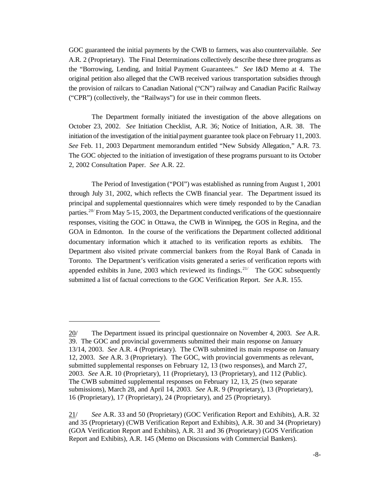GOC guaranteed the initial payments by the CWB to farmers, was also countervailable. *See* A.R. 2 (Proprietary). The Final Determinations collectively describe these three programs as the "Borrowing, Lending, and Initial Payment Guarantees." *See* I&D Memo at 4. The original petition also alleged that the CWB received various transportation subsidies through the provision of railcars to Canadian National ("CN") railway and Canadian Pacific Railway ("CPR") (collectively, the "Railways") for use in their common fleets.

The Department formally initiated the investigation of the above allegations on October 23, 2002. *See* Initiation Checklist, A.R. 36; Notice of Initiation, A.R. 38. The initiation of the investigation of the initial payment guarantee took place on February 11, 2003. *See* Feb. 11, 2003 Department memorandum entitled "New Subsidy Allegation," A.R. 73. The GOC objected to the initiation of investigation of these programs pursuant to its October 2, 2002 Consultation Paper. *See* A.R. 22.

The Period of Investigation ("POI") was established as running from August 1, 2001 through July 31, 2002, which reflects the CWB financial year. The Department issued its principal and supplemental questionnaires which were timely responded to by the Canadian parties.<sup>20</sup> From May 5-15, 2003, the Department conducted verifications of the questionnaire responses, visiting the GOC in Ottawa, the CWB in Winnipeg, the GOS in Regina, and the GOA in Edmonton. In the course of the verifications the Department collected additional documentary information which it attached to its verification reports as exhibits. The Department also visited private commercial bankers from the Royal Bank of Canada in Toronto. The Department's verification visits generated a series of verification reports with appended exhibits in June, 2003 which reviewed its findings.<sup>21/</sup> The GOC subsequently submitted a list of factual corrections to the GOC Verification Report. *See* A.R. 155.

<sup>20/</sup> The Department issued its principal questionnaire on November 4, 2003. *See* A.R. 39. The GOC and provincial governments submitted their main response on January 13/14, 2003. *See* A.R. 4 (Proprietary). The CWB submitted its main response on January 12, 2003. *See* A.R. 3 (Proprietary). The GOC, with provincial governments as relevant, submitted supplemental responses on February 12, 13 (two responses), and March 27, 2003. *See* A.R. 10 (Proprietary), 11 (Proprietary), 13 (Proprietary), and 112 (Public). The CWB submitted supplemental responses on February 12, 13, 25 (two separate submissions), March 28, and April 14, 2003. *See* A.R. 9 (Proprietary), 13 (Proprietary), 16 (Proprietary), 17 (Proprietary), 24 (Proprietary), and 25 (Proprietary).

<sup>21/</sup> *See* A.R. 33 and 50 (Proprietary) (GOC Verification Report and Exhibits), A.R. 32 and 35 (Proprietary) (CWB Verification Report and Exhibits), A.R. 30 and 34 (Proprietary) (GOA Verification Report and Exhibits), A.R. 31 and 36 (Proprietary) (GOS Verification Report and Exhibits), A.R. 145 (Memo on Discussions with Commercial Bankers).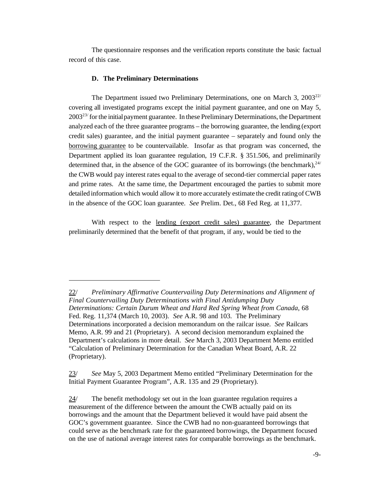The questionnaire responses and the verification reports constitute the basic factual record of this case.

#### **D. The Preliminary Determinations**

The Department issued two Preliminary Determinations, one on March 3,  $2003^{22/7}$ covering all investigated programs except the initial payment guarantee, and one on May 5,  $2003<sup>23</sup>$  for the initial payment guarantee. In these Preliminary Determinations, the Department analyzed each of the three guarantee programs – the borrowing guarantee, the lending (export credit sales) guarantee, and the initial payment guarantee – separately and found only the borrowing guarantee to be countervailable. Insofar as that program was concerned, the Department applied its loan guarantee regulation, 19 C.F.R. § 351.506, and preliminarily determined that, in the absence of the GOC guarantee of its borrowings (the benchmark),  $24/$ the CWB would pay interest rates equal to the average of second-tier commercial paper rates and prime rates. At the same time, the Department encouraged the parties to submit more detailed information which would allow it to more accurately estimate the credit ratingof CWB in the absence of the GOC loan guarantee. *See* Prelim. Det., 68 Fed Reg. at 11,377.

With respect to the lending (export credit sales) guarantee, the Department preliminarily determined that the benefit of that program, if any, would be tied to the

<sup>22/</sup> *Preliminary Affirmative Countervailing Duty Determinations and Alignment of Final Countervailing Duty Determinations with Final Antidumping Duty Determinations: Certain Durum Wheat and Hard Red Spring Wheat from Canada*, 68 Fed. Reg. 11,374 (March 10, 2003). *See* A.R. 98 and 103. The Preliminary Determinations incorporated a decision memorandum on the railcar issue. *See* Railcars Memo, A.R. 99 and 21 (Proprietary). A second decision memorandum explained the Department's calculations in more detail. *See* March 3, 2003 Department Memo entitled "Calculation of Preliminary Determination for the Canadian Wheat Board, A.R. 22 (Proprietary).

<sup>23/</sup> *See* May 5, 2003 Department Memo entitled "Preliminary Determination for the Initial Payment Guarantee Program", A.R. 135 and 29 (Proprietary).

 $24$  The benefit methodology set out in the loan guarantee regulation requires a measurement of the difference between the amount the CWB actually paid on its borrowings and the amount that the Department believed it would have paid absent the GOC's government guarantee. Since the CWB had no non-guaranteed borrowings that could serve as the benchmark rate for the guaranteed borrowings, the Department focused on the use of national average interest rates for comparable borrowings as the benchmark.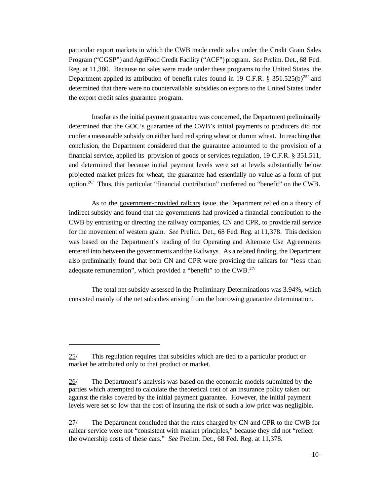particular export markets in which the CWB made credit sales under the Credit Grain Sales Program ("CGSP") and AgriFood Credit Facility ("ACF") program. *See* Prelim. Det., 68 Fed. Reg. at 11,380. Because no sales were made under these programs to the United States, the Department applied its attribution of benefit rules found in 19 C.F.R. § 351.525(b)<sup>25/</sup> and determined that there were no countervailable subsidies on exports to the United States under the export credit sales guarantee program.

Insofar as the initial payment guarantee was concerned, the Department preliminarily determined that the GOC's guarantee of the CWB's initial payments to producers did not confer a measurable subsidy on either hard red spring wheat or durum wheat. In reaching that conclusion, the Department considered that the guarantee amounted to the provision of a financial service, applied its provision of goods or services regulation, 19 C.F.R. § 351.511, and determined that because initial payment levels were set at levels substantially below projected market prices for wheat, the guarantee had essentially no value as a form of put option.26/ Thus, this particular "financial contribution" conferred no "benefit" on the CWB.

As to the government-provided railcars issue, the Department relied on a theory of indirect subsidy and found that the governments had provided a financial contribution to the CWB by entrusting or directing the railway companies, CN and CPR, to provide rail service for the movement of western grain. *See* Prelim. Det., 68 Fed. Reg. at 11,378. This decision was based on the Department's reading of the Operating and Alternate Use Agreements entered into between the governments and the Railways. As a related finding, the Department also preliminarily found that both CN and CPR were providing the railcars for "less than adequate remuneration", which provided a "benefit" to the CWB.<sup>27/</sup>

The total net subsidy assessed in the Preliminary Determinations was 3.94%, which consisted mainly of the net subsidies arising from the borrowing guarantee determination.

<sup>25/</sup> This regulation requires that subsidies which are tied to a particular product or market be attributed only to that product or market.

<sup>26/</sup> The Department's analysis was based on the economic models submitted by the parties which attempted to calculate the theoretical cost of an insurance policy taken out against the risks covered by the initial payment guarantee. However, the initial payment levels were set so low that the cost of insuring the risk of such a low price was negligible.

<sup>27/</sup> The Department concluded that the rates charged by CN and CPR to the CWB for railcar service were not "consistent with market principles," because they did not "reflect the ownership costs of these cars." *See* Prelim. Det., 68 Fed. Reg. at 11,378.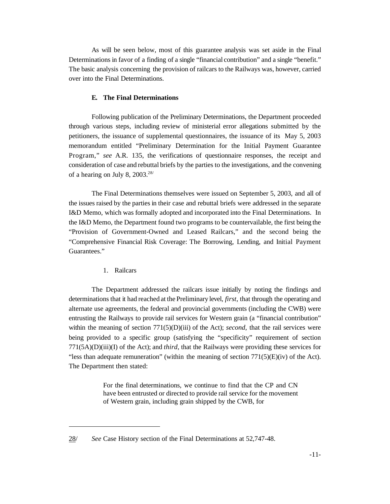As will be seen below, most of this guarantee analysis was set aside in the Final Determinations in favor of a finding of a single "financial contribution" and a single "benefit." The basic analysis concerning the provision of railcars to the Railways was, however, carried over into the Final Determinations.

#### **E. The Final Determinations**

Following publication of the Preliminary Determinations, the Department proceeded through various steps, including review of ministerial error allegations submitted by the petitioners, the issuance of supplemental questionnaires, the issuance of its May 5, 2003 memorandum entitled "Preliminary Determination for the Initial Payment Guarantee Program," *see* A.R. 135, the verifications of questionnaire responses, the receipt and consideration of case and rebuttal briefs by the parties to the investigations, and the convening of a hearing on July 8, 2003.<sup>28/</sup>

The Final Determinations themselves were issued on September 5, 2003, and all of the issues raised by the parties in their case and rebuttal briefs were addressed in the separate I&D Memo, which was formally adopted and incorporated into the Final Determinations. In the I&D Memo, the Department found two programs to be countervailable, the first being the "Provision of Government-Owned and Leased Railcars," and the second being the "Comprehensive Financial Risk Coverage: The Borrowing, Lending, and Initial Payment Guarantees."

1. Railcars

The Department addressed the railcars issue initially by noting the findings and determinations that it had reached at the Preliminary level, *first*, that through the operating and alternate use agreements, the federal and provincial governments (including the CWB) were entrusting the Railways to provide rail services for Western grain (a "financial contribution" within the meaning of section 771(5)(D)(iii) of the Act); *second*, that the rail services were being provided to a specific group (satisfying the "specificity" requirement of section 771(5A)(D)(iii)(I) of the Act); and *third*, that the Railways were providing these services for "less than adequate remuneration" (within the meaning of section 771(5)(E)(iv) of the Act). The Department then stated:

> For the final determinations, we continue to find that the CP and CN have been entrusted or directed to provide rail service for the movement of Western grain, including grain shipped by the CWB, for

<sup>28/</sup> *See* Case History section of the Final Determinations at 52,747-48.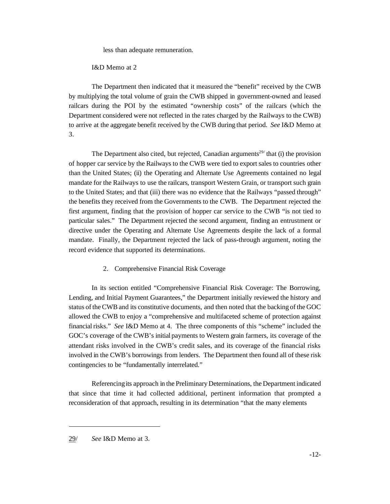less than adequate remuneration.

I&D Memo at 2

The Department then indicated that it measured the "benefit" received by the CWB by multiplying the total volume of grain the CWB shipped in government-owned and leased railcars during the POI by the estimated "ownership costs" of the railcars (which the Department considered were not reflected in the rates charged by the Railways to the CWB) to arrive at the aggregate benefit received by the CWB during that period. *See* I&D Memo at 3.

The Department also cited, but rejected, Canadian arguments<sup>29/</sup> that (i) the provision of hopper car service by the Railways to the CWB were tied to export sales to countries other than the United States; (ii) the Operating and Alternate Use Agreements contained no legal mandate for the Railways to use the railcars, transport Western Grain, or transport such grain to the United States; and that (iii) there was no evidence that the Railways "passed through" the benefits they received from the Governments to the CWB. The Department rejected the first argument, finding that the provision of hopper car service to the CWB "is not tied to particular sales." The Department rejected the second argument, finding an entrustment or directive under the Operating and Alternate Use Agreements despite the lack of a formal mandate. Finally, the Department rejected the lack of pass-through argument, noting the record evidence that supported its determinations.

2. Comprehensive Financial Risk Coverage

In its section entitled "Comprehensive Financial Risk Coverage: The Borrowing, Lending, and Initial Payment Guarantees," the Department initially reviewed the history and status of theCWBand its constitutive documents, and then noted that the backing of the GOC allowed the CWB to enjoy a "comprehensive and multifaceted scheme of protection against financial risks." *See* I&D Memo at 4. The three components of this "scheme" included the GOC's coverage of the CWB's initial payments to Western grain farmers, its coverage of the attendant risks involved in the CWB's credit sales, and its coverage of the financial risks involved in the CWB's borrowings from lenders. The Department then found all of these risk contingencies to be "fundamentally interrelated."

Referencingits approach in the Preliminary Determinations, the Department indicated that since that time it had collected additional, pertinent information that prompted a reconsideration of that approach, resulting in its determination "that the many elements

<sup>29/</sup> *See* I&D Memo at 3.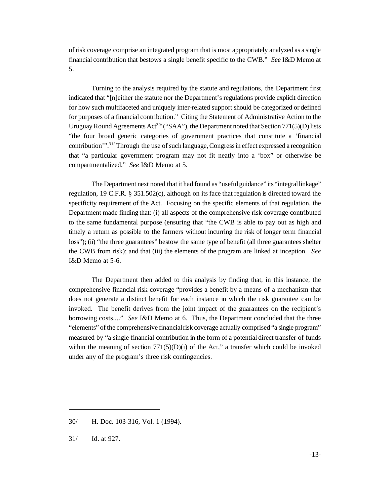of risk coverage comprise an integrated program that is most appropriately analyzed as a single financial contribution that bestows a single benefit specific to the CWB." *See* I&D Memo at 5.

Turning to the analysis required by the statute and regulations, the Department first indicated that "[n]either the statute nor the Department's regulations provide explicit direction for how such multifaceted and uniquely inter-related support should be categorized or defined for purposes of a financial contribution." Citing the Statement of Administrative Action to the Uruguay Round Agreements  $Act^{30}$  ("SAA"), the Department noted that Section 771(5)(D) lists "the four broad generic categories of government practices that constitute a 'financial contribution'".<sup>31/</sup> Through the use of such language, Congress in effect expressed a recognition that "a particular government program may not fit neatly into a 'box" or otherwise be compartmentalized." *See* I&D Memo at 5.

The Department next noted that it had found as "usefulguidance" its "integrallinkage" regulation, 19 C.F.R. § 351.502(c), although on its face that regulation is directed toward the specificity requirement of the Act. Focusing on the specific elements of that regulation, the Department made finding that: (i) all aspects of the comprehensive risk coverage contributed to the same fundamental purpose (ensuring that "the CWB is able to pay out as high and timely a return as possible to the farmers without incurring the risk of longer term financial loss"); (ii) "the three guarantees" bestow the same type of benefit (all three guarantees shelter the CWB from risk); and that (iii) the elements of the program are linked at inception. *See* I&D Memo at 5-6.

The Department then added to this analysis by finding that, in this instance, the comprehensive financial risk coverage "provides a benefit by a means of a mechanism that does not generate a distinct benefit for each instance in which the risk guarantee can be invoked. The benefit derives from the joint impact of the guarantees on the recipient's borrowing costs...." *See* I&D Memo at 6. Thus, the Department concluded that the three "elements" of the comprehensive financialrisk coverage actually comprised "a single program" measured by "a single financial contribution in the form of a potential direct transfer of funds within the meaning of section  $771(5)(D)(i)$  of the Act," a transfer which could be invoked under any of the program's three risk contingencies.

<sup>30/</sup> H. Doc. 103-316, Vol. 1 (1994).

<sup>31/</sup> Id. at 927.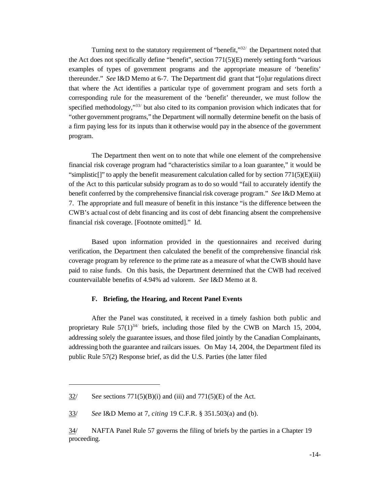Turning next to the statutory requirement of "benefit,"<sup>32/</sup> the Department noted that the Act does not specifically define "benefit", section 771(5)(E) merely setting forth "various examples of types of government programs and the appropriate measure of 'benefits' thereunder." *See* I&D Memo at 6-7. The Department did grant that "[o]ur regulations direct that where the Act identifies a particular type of government program and sets forth a corresponding rule for the measurement of the 'benefit' thereunder, we must follow the specified methodology,"<sup>33/</sup> but also cited to its companion provision which indicates that for "other government programs," the Department will normally determine benefit on the basis of a firm paying less for its inputs than it otherwise would pay in the absence of the government program.

The Department then went on to note that while one element of the comprehensive financial risk coverage program had "characteristics similar to a loan guarantee," it would be "simplistic[]" to apply the benefit measurement calculation called for by section  $771(5)(E)(iii)$ of the Act to this particular subsidy program as to do so would "fail to accurately identify the benefit conferred by the comprehensive financialrisk coverage program." *See* I&D Memo at 7. The appropriate and full measure of benefit in this instance "is the difference between the CWB's actual cost of debt financing and its cost of debt financing absent the comprehensive financial risk coverage. [Footnote omitted]." Id.

Based upon information provided in the questionnaires and received during verification, the Department then calculated the benefit of the comprehensive financial risk coverage program by reference to the prime rate as a measure of what the CWB should have paid to raise funds. On this basis, the Department determined that the CWB had received countervailable benefits of 4.94% ad valorem. *See* I&D Memo at 8.

#### **F. Briefing, the Hearing, and Recent Panel Events**

After the Panel was constituted, it received in a timely fashion both public and proprietary Rule  $57(1)^{34/2}$  briefs, including those filed by the CWB on March 15, 2004, addressing solely the guarantee issues, and those filed jointly by the Canadian Complainants, addressing both the guarantee and railcars issues. On May 14, 2004, the Department filed its public Rule 57(2) Response brief, as did the U.S. Parties (the latter filed

<sup>32/</sup> S*ee* sections 771(5)(B)(i) and (iii) and 771(5)(E) of the Act.

<sup>33/</sup> *See* I&D Memo at 7, *citing* 19 C.F.R. § 351.503(a) and (b).

<sup>34/</sup> NAFTA Panel Rule 57 governs the filing of briefs by the parties in a Chapter 19 proceeding.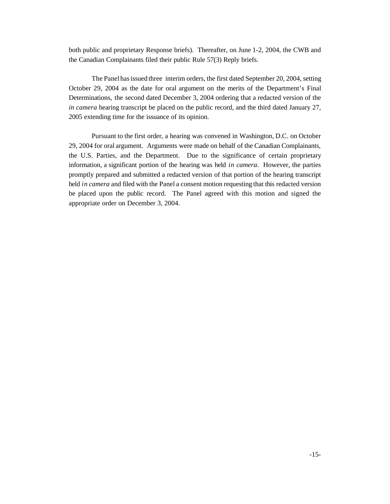both public and proprietary Response briefs). Thereafter, on June 1-2, 2004, the CWB and the Canadian Complainants filed their public Rule 57(3) Reply briefs.

The Panelhasissued three interim orders, the first dated September 20, 2004, setting October 29, 2004 as the date for oral argument on the merits of the Department's Final Determinations, the second dated December 3, 2004 ordering that a redacted version of the *in camera* hearing transcript be placed on the public record, and the third dated January 27, 2005 extending time for the issuance of its opinion.

Pursuant to the first order, a hearing was convened in Washington, D.C. on October 29, 2004 for oral argument. Arguments were made on behalf of the Canadian Complainants, the U.S. Parties, and the Department. Due to the significance of certain proprietary information, a significant portion of the hearing was held *in camera*. However, the parties promptly prepared and submitted a redacted version of that portion of the hearing transcript held *in camera* and filed with the Panel a consent motion requesting that this redacted version be placed upon the public record. The Panel agreed with this motion and signed the appropriate order on December 3, 2004.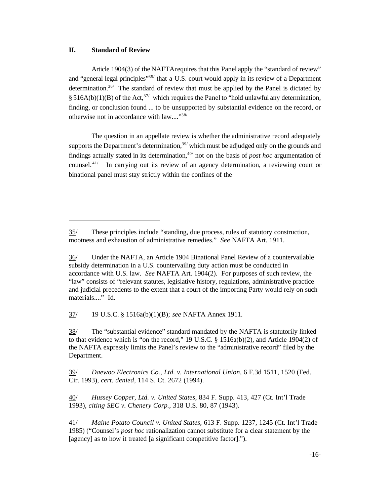#### **II. Standard of Review**

Article 1904(3) of the NAFTArequires that this Panel apply the "standard of review" and "general legal principles"<sup>35/</sup> that a U.S. court would apply in its review of a Department determination.<sup>36/</sup> The standard of review that must be applied by the Panel is dictated by § 516A(b)(1)(B) of the Act,<sup>37/</sup> which requires the Panel to "hold unlawful any determination, finding, or conclusion found ... to be unsupported by substantial evidence on the record, or otherwise not in accordance with law...."38/

The question in an appellate review is whether the administrative record adequately supports the Department's determination, $39/$  which must be adjudged only on the grounds and findings actually stated in its determination,<sup> $40/$ </sup> not on the basis of *post hoc* argumentation of counsel. 41/ In carrying out its review of an agency determination, a reviewing court or binational panel must stay strictly within the confines of the

37/ 19 U.S.C. § 1516a(b)(1)(B); *see* NAFTA Annex 1911.

38/ The "substantial evidence" standard mandated by the NAFTA is statutorily linked to that evidence which is "on the record," 19 U.S.C. § 1516a(b)(2), and Article 1904(2) of the NAFTA expressly limits the Panel's review to the "administrative record" filed by the Department.

39/ *Daewoo Electronics Co., Ltd. v. International Union*, 6 F.3d 1511, 1520 (Fed. Cir. 1993), *cert. denied*, 114 S. Ct. 2672 (1994).

<sup>35/</sup> These principles include "standing, due process, rules of statutory construction, mootness and exhaustion of administrative remedies." *See* NAFTA Art. 1911.

<sup>36/</sup> Under the NAFTA, an Article 1904 Binational Panel Review of a countervailable subsidy determination in a U.S. countervailing duty action must be conducted in accordance with U.S. law. *See* NAFTA Art. 1904(2). For purposes of such review, the "law" consists of "relevant statutes, legislative history, regulations, administrative practice and judicial precedents to the extent that a court of the importing Party would rely on such materials...." Id.

<sup>40/</sup> *Hussey Copper, Ltd. v. United States*, 834 F. Supp. 413, 427 (Ct. Int'l Trade 1993), *citing SEC v. Chenery Corp.*, 318 U.S. 80, 87 (1943).

<sup>41/</sup> *Maine Potato Council v. United States*, 613 F. Supp. 1237, 1245 (Ct. Int'l Trade 1985) ("Counsel's *post hoc* rationalization cannot substitute for a clear statement by the [agency] as to how it treated [a significant competitive factor].").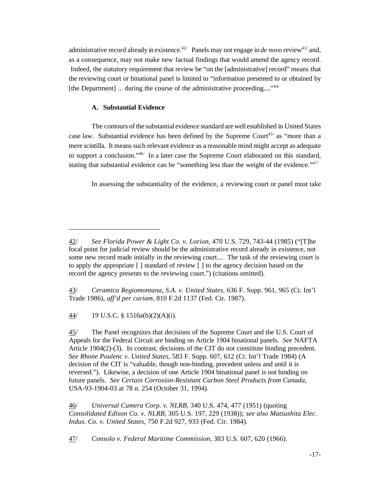administrative record already in existence.<sup>42/</sup> Panels may not engage in *de novo* review<sup>43/</sup> and, as a consequence, may not make new factual findings that would amend the agency record. Indeed, the statutory requirement that review be "on the [administrative] record" means that the reviewing court or binational panel is limited to "information presented to or obtained by [the Department] ... during the course of the administrative proceeding...."<sup>44/</sup>

#### **A. Substantial Evidence**

The contours of the substantialevidence standard are well established in United States case law. Substantial evidence has been defined by the Supreme Court<sup>45/</sup> as "more than a mere scintilla. It means such relevant evidence as a reasonable mind might accept as adequate to support a conclusion."46/ In a later case the Supreme Court elaborated on this standard, stating that substantial evidence can be "something less than the weight of the evidence." $47/$ 

In assessing the substantiality of the evidence, a reviewing court or panel must take

43/ *Ceramica Regiomontana, S.A. v. United States*, 636 F. Supp. 961, 965 (Ct. Int'l Trade 1986), *aff'd per curiam*, 810 F.2d 1137 (Fed. Cir. 1987).

44/ 19 U.S.C. § 1516a(b)(2)(A)(i).

45/ The Panel recognizes that decisions of the Supreme Court and the U.S. Court of Appeals for the Federal Circuit are binding on Article 1904 binational panels. *See* NAFTA Article 1904(2)-(3). In contrast, decisions of the CIT do not constitute binding precedent. *See Rhone Poulenc v. United States*, 583 F. Supp. 607, 612 (Ct. Int'l Trade 1984) (A decision of the CIT is "valuable, though non-binding, precedent unless and until it is reversed."). Likewise, a decision of one Article 1904 binational panel is not binding on future panels. *See Certain Corrosion-Resistant Carbon Steel Products from Canada*, USA-93-1904-03 at 78 n. 254 (October 31, 1994).

46/ *Universal Camera Corp. v. NLRB*, 340 U.S. 474, 477 (1951) (quoting *Consolidated Edison Co. v. NLRB*, 305 U.S. 197, 229 (1938)); *see also Matsushita Elec. Indus. Co. v. United States*, 750 F.2d 927, 933 (Fed. Cir. 1984).

47/ *Consolo v. Federal Maritime Commission*, 383 U.S. 607, 620 (1966).

<sup>42/</sup> *See Florida Power & Light Co. v. Lorion*, 470 U.S. 729, 743-44 (1985) ("[T]he focal point for judicial review should be the administrative record already in existence, not some new record made initially in the reviewing court.... The task of the reviewing court is to apply the appropriate [ ] standard of review [ ] to the agency decision based on the record the agency presents to the reviewing court.") (citations omitted).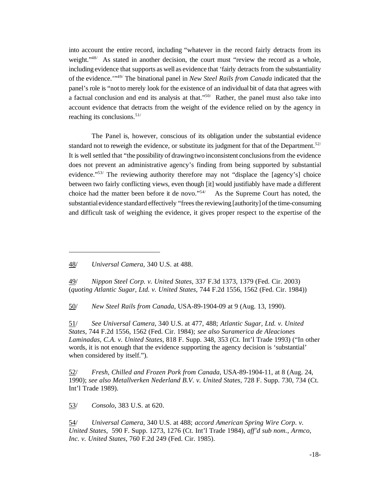into account the entire record, including "whatever in the record fairly detracts from its weight."<sup>48/</sup> As stated in another decision, the court must "review the record as a whole, including evidence that supports as well as evidence that 'fairly detracts from the substantiality of the evidence.'"49/ The binational panel in *New Steel Rails from Canada* indicated that the panel's role is "not to merely look for the existence of an individual bit of data that agrees with a factual conclusion and end its analysis at that."50/ Rather, the panel must also take into account evidence that detracts from the weight of the evidence relied on by the agency in reaching its conclusions.<sup>51/</sup>

The Panel is, however, conscious of its obligation under the substantial evidence standard not to reweigh the evidence, or substitute its judgment for that of the Department.<sup>52/</sup> It is wellsettled that "the possibility of drawingtwo inconsistent conclusionsfrom the evidence does not prevent an administrative agency's finding from being supported by substantial evidence."<sup>53/</sup> The reviewing authority therefore may not "displace the [agency's] choice between two fairly conflicting views, even though [it] would justifiably have made a different choice had the matter been before it de novo."54/ As the Supreme Court has noted, the substantialevidence standard effectively "frees the reviewing [authority] of the time-consuming and difficult task of weighing the evidence, it gives proper respect to the expertise of the

48/ *Universal Camera*, 340 U.S. at 488.

49/ *Nippon Steel Corp. v. United States*, 337 F.3d 1373, 1379 (Fed. Cir. 2003) (*quoting Atlantic Sugar, Ltd. v. United States*, 744 F.2d 1556, 1562 (Fed. Cir. 1984))

50/ *New Steel Rails from Canada*, USA-89-1904-09 at 9 (Aug. 13, 1990).

51/ *See Universal Camera*, 340 U.S. at 477, 488; *Atlantic Sugar, Ltd. v. United States*, 744 F.2d 1556, 1562 (Fed. Cir. 1984); *see also Suramerica de Aleaciones Laminadas, C.A. v. United States*, 818 F. Supp. 348, 353 (Ct. Int'l Trade 1993) ("In other words, it is not enough that the evidence supporting the agency decision is 'substantial' when considered by itself.").

52/ *Fresh, Chilled and Frozen Pork from Canada*, USA-89-1904-11, at 8 (Aug. 24, 1990); *see also Metallverken Nederland B.V. v. United States*, 728 F. Supp. 730, 734 (Ct. Int'l Trade 1989).

53/ *Consolo*, 383 U.S. at 620.

54/ *Universal Camera*, 340 U.S. at 488; *accord American Spring Wire Corp. v. United States*, 590 F. Supp. 1273, 1276 (Ct. Int'l Trade 1984), *aff'd sub nom*., *Armco, Inc. v. United States*, 760 F.2d 249 (Fed. Cir. 1985).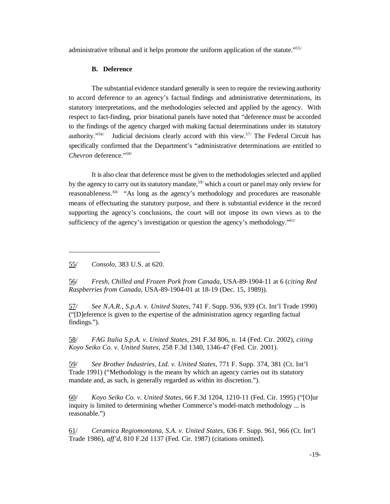administrative tribunal and it helps promote the uniform application of the statute."<sup>55/</sup>

#### **B. Deference**

The substantial evidence standard generally is seen to require the reviewing authority to accord deference to an agency's factual findings and administrative determinations, its statutory interpretations, and the methodologies selected and applied by the agency. With respect to fact-finding, prior binational panels have noted that "deference must be accorded to the findings of the agency charged with making factual determinations under its statutory authority."<sup>56/</sup> Judicial decisions clearly accord with this view.<sup>57/</sup> The Federal Circuit has specifically confirmed that the Department's "administrative determinations are entitled to *Chevron* deference."58/

It is also clear that deference must be given to the methodologies selected and applied by the agency to carry out its statutory mandate,<sup>59/</sup> which a court or panel may only review for reasonableness.<sup>60/</sup> "As long as the agency's methodology and procedures are reasonable means of effectuating the statutory purpose, and there is substantial evidence in the record supporting the agency's conclusions, the court will not impose its own views as to the sufficiency of the agency's investigation or question the agency's methodology."<sup>61/</sup>

55/ *Consolo,* 383 U.S. at 620.

56/ *Fresh, Chilled and Frozen Pork from Canada*, USA-89-1904-11 at 6 (*citing Red Raspberries from Canada*, USA-89-1904-01 at 18-19 (Dec. 15, 1989)).

57/ *See N.A.R., S.p.A. v. United States*, 741 F. Supp. 936, 939 (Ct. Int'l Trade 1990) ("[D]eference is given to the expertise of the administration agency regarding factual findings.").

58/ *FAG Italia S.p.A. v. United States*, 291 F.3d 806, n. 14 (Fed. Cir. 2002), *citing Koyo Seiko Co. v. United States*, 258 F.3d 1340, 1346-47 (Fed. Cir. 2001).

59/ *See Brother Industries, Ltd. v. United States*, 771 F. Supp. 374, 381 (Ct. Int'l Trade 1991) ("Methodology is the means by which an agency carries out its statutory mandate and, as such, is generally regarded as within its discretion.").

60/ *Koyo Seiko Co. v. United States*, 66 F.3d 1204, 1210-11 (Fed. Cir. 1995) ("[O]ur inquiry is limited to determining whether Commerce's model-match methodology ... is reasonable.")

61/ *Ceramica Regiomontana, S.A. v. United States*, 636 F. Supp. 961, 966 (Ct. Int'l Trade 1986), *aff'd*, 810 F.2d 1137 (Fed. Cir. 1987) (citations omitted).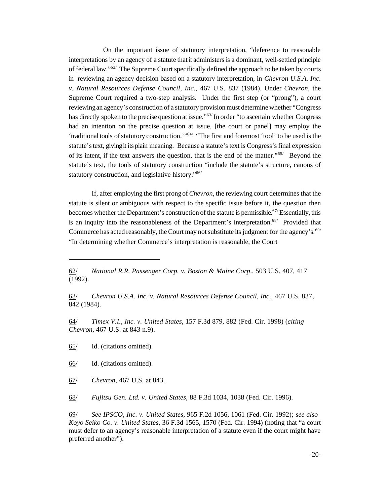On the important issue of statutory interpretation, "deference to reasonable interpretations by an agency of a statute that it administers is a dominant, well-settled principle of federal law."62/ The Supreme Court specifically defined the approach to be taken by courts in reviewing an agency decision based on a statutory interpretation, in *Chevron U.S.A. Inc. v. Natural Resources Defense Council, Inc*., 467 U.S. 837 (1984). Under *Chevron*, the Supreme Court required a two-step analysis. Under the first step (or "prong"), a court reviewingan agency's construction of a statutory provisionmust determine whether "Congress has directly spoken to the precise question at issue."<sup>63</sup> In order "to ascertain whether Congress had an intention on the precise question at issue, [the court or panel] may employ the 'traditional tools of statutory construction.'"<sup>64/</sup> "The first and foremost 'tool' to be used is the statute's text, giving it its plain meaning. Because a statute's text is Congress's final expression of its intent, if the text answers the question, that is the end of the matter."65/ Beyond the statute's text, the tools of statutory construction "include the statute's structure, canons of statutory construction, and legislative history."66/

If, after employing the first prongof *Chevron*, the reviewing court determines that the statute is silent or ambiguous with respect to the specific issue before it, the question then becomes whether the Department's construction of the statute is permissible.<sup>67/</sup>Essentially, this is an inquiry into the reasonableness of the Department's interpretation.<sup>68/</sup> Provided that Commerce has acted reasonably, the Court may not substitute its judgment for the agency's.<sup>69/</sup> "In determining whether Commerce's interpretation is reasonable, the Court

64/ *Timex V.I., Inc. v. United States*, 157 F.3d 879, 882 (Fed. Cir. 1998) (*citing Chevron*, 467 U.S. at 843 n.9).

65/ Id. (citations omitted).

66/ Id. (citations omitted).

67/ *Chevron*, 467 U.S. at 843.

68/ *Fujitsu Gen. Ltd. v. United States*, 88 F.3d 1034, 1038 (Fed. Cir. 1996).

69/ *See IPSCO, Inc. v. United States*, 965 F.2d 1056, 1061 (Fed. Cir. 1992); *see also Koyo Seiko Co. v. United States*, 36 F.3d 1565, 1570 (Fed. Cir. 1994) (noting that "a court must defer to an agency's reasonable interpretation of a statute even if the court might have preferred another").

<sup>62/</sup> *National R.R. Passenger Corp. v. Boston & Maine Corp*., 503 U.S. 407, 417 (1992).

<sup>63/</sup> *Chevron U.S.A. Inc. v. Natural Resources Defense Council, Inc*., 467 U.S. 837, 842 (1984).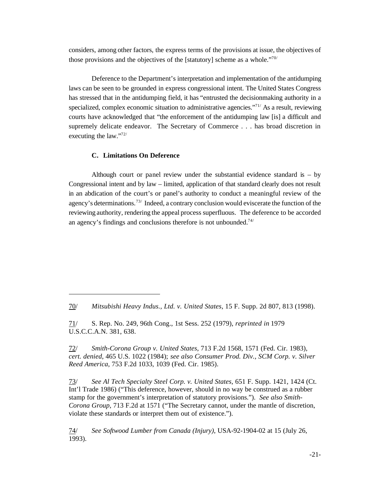considers, among other factors, the express terms of the provisions at issue, the objectives of those provisions and the objectives of the [statutory] scheme as a whole."70/

Deference to the Department's interpretation and implementation of the antidumping laws can be seen to be grounded in express congressional intent. The United States Congress has stressed that in the antidumping field, it has "entrusted the decisionmaking authority in a specialized, complex economic situation to administrative agencies."<sup>71/</sup> As a result, reviewing courts have acknowledged that "the enforcement of the antidumping law [is] a difficult and supremely delicate endeavor. The Secretary of Commerce . . . has broad discretion in executing the law."72/

#### **C. Limitations On Deference**

Although court or panel review under the substantial evidence standard is  $-$  by Congressional intent and by law – limited, application of that standard clearly does not result in an abdication of the court's or panel's authority to conduct a meaningful review of the agency's determinations.<sup>73/</sup> Indeed, a contrary conclusion would eviscerate the function of the reviewing authority, rendering the appeal process superfluous. The deference to be accorded an agency's findings and conclusions therefore is not unbounded.<sup>74/</sup>

72/ *Smith-Corona Group v. United States*, 713 F.2d 1568, 1571 (Fed. Cir. 1983), *cert. denied*, 465 U.S. 1022 (1984); *see also Consumer Prod. Div., SCM Corp. v. Silver Reed America*, 753 F.2d 1033, 1039 (Fed. Cir. 1985).

73/ *See Al Tech Specialty Steel Corp. v. United States*, 651 F. Supp. 1421, 1424 (Ct. Int'l Trade 1986) ("This deference, however, should in no way be construed as a rubber stamp for the government's interpretation of statutory provisions."). *See also Smith-Corona Group*, 713 F.2d at 1571 ("The Secretary cannot, under the mantle of discretion, violate these standards or interpret them out of existence.").

74/ *See Softwood Lumber from Canada (Injury)*, USA-92-1904-02 at 15 (July 26, 1993).

<sup>70/</sup> *Mitsubishi Heavy Indus., Ltd. v. United States*, 15 F. Supp. 2d 807, 813 (1998).

<sup>71/</sup> S. Rep. No. 249, 96th Cong., 1st Sess. 252 (1979), *reprinted in* 1979 U.S.C.C.A.N. 381, 638.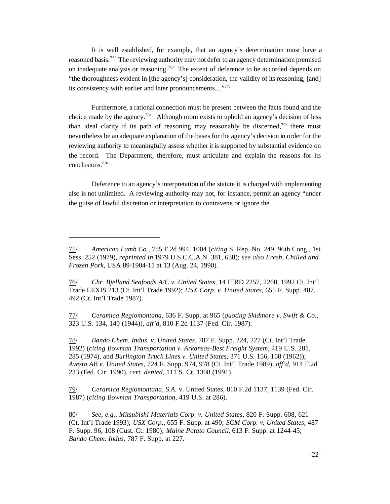It is well established, for example, that an agency's determination must have a reasoned basis.<sup>75/</sup> The reviewing authority may not defer to an agency determination premised on inadequate analysis or reasoning.<sup>76/</sup> The extent of deference to be accorded depends on "the thoroughness evident in [the agency's] consideration, the validity of its reasoning, [and] its consistency with earlier and later pronouncements...."77/

Furthermore, a rational connection must be present between the facts found and the choice made by the agency.<sup>78/</sup> Although room exists to uphold an agency's decision of less than ideal clarity if its path of reasoning may reasonably be discerned, $79/$  there must nevertheless be an adequate explanation of the bases for the agency's decision in order for the reviewing authority to meaningfully assess whether it is supported by substantial evidence on the record. The Department, therefore, must articulate and explain the reasons for its conclusions.80/

Deference to an agency's interpretation of the statute it is charged with implementing also is not unlimited. A reviewing authority may not, for instance, permit an agency "under the guise of lawful discretion or interpretation to contravene or ignore the

77/ *Ceramica Regiomontana,* 636 F. Supp. at 965 (*quoting Skidmore v. Swift & Co.*, 323 U.S. 134, 140 (1944)), *aff'd*, 810 F.2d 1137 (Fed. Cir. 1987).

78/ *Bando Chem. Indus. v. United States*, 787 F. Supp. 224, 227 (Ct. Int'l Trade 1992) (*citing Bowman Transportation v. Arkansas-Best Freight System*, 419 U.S. 281, 285 (1974), and *Burlington Truck Lines v. United States*, 371 U.S. 156, 168 (1962)); *Avesta AB v. United States*, 724 F. Supp. 974, 978 (Ct. Int'l Trade 1989), *aff'd*, 914 F.2d 233 (Fed. Cir. 1990), *cert. denied*, 111 S. Ct. 1308 (1991).

79/ *Ceramica Regiomontana, S.A.* v. United States, 810 F.2d 1137, 1139 (Fed. Cir. 1987) (*citing Bowman Transportation*, 419 U.S. at 286).

<sup>75/</sup> *American Lamb Co.*, 785 F.2d 994, 1004 (*citing* S. Rep. No. 249, 96th Cong., 1st Sess. 252 (1979), *reprinted in* 1979 U.S.C.C.A.N. 381, 638); *see also Fresh, Chilled and Frozen Pork*, USA 89-1904-11 at 13 (Aug. 24, 1990).

<sup>76/</sup> *Chr. Bjelland Seafoods A/C v. United States*, 14 ITRD 2257, 2260, 1992 Ct. Int'l Trade LEXIS 213 (Ct. Int'l Trade 1992); *USX Corp. v. United States*, 655 F. Supp. 487, 492 (Ct. Int'l Trade 1987).

<sup>80/</sup> *See*, *e.g.*, *Mitsubishi Materials Corp. v. United States*, 820 F. Supp. 608, 621 (Ct. Int'l Trade 1993); *USX Corp*., 655 F. Supp. at 490; *SCM Corp. v. United States*, 487 F. Supp. 96, 108 (Cust. Ct. 1980); *Maine Potato Council*, 613 F. Supp. at 1244-45; *Bando Chem. Indus*. 787 F. Supp. at 227.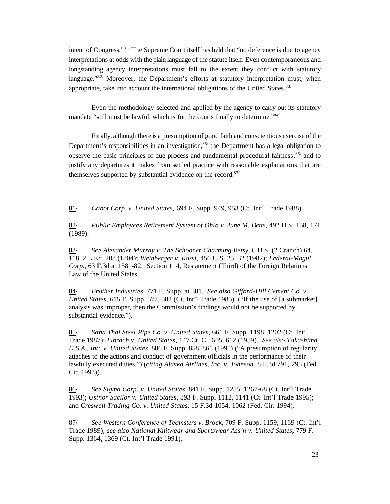intent of Congress."81/ The Supreme Court itself has held that "no deference is due to agency interpretations at odds with the plain language of the statute itself. Even contemporaneous and longstanding agency interpretations must fall to the extent they conflict with statutory language." $82/$  Moreover, the Department's efforts at statutory interpretation must, when appropriate, take into account the international obligations of the United States. $83/$ 

Even the methodology selected and applied by the agency to carry out its statutory mandate "still must be lawful, which is for the courts finally to determine."84/

Finally, although there is a presumption of good faith and conscientious exercise of the Department's responsibilities in an investigation,  $85/$  the Department has a legal obligation to observe the basic principles of due process and fundamental procedural fairness,  $86/$  and to justify any departures it makes from settled practice with reasonable explanations that are themselves supported by substantial evidence on the record. $87/$ 

81/ *Cabot Corp. v. United States*, 694 F. Supp. 949, 953 (Ct. Int'l Trade 1988).

82/ *Public Employees Retirement System of Ohio v. June M. Betts*, 492 U.S. 158, 171 (1989).

83/ *See Alexander Murray v. The Schooner Charming Betsy*, 6 U.S. (2 Cranch) 64, 118, 2 L.Ed. 208 (1804); *Weinberger v. Rossi*, 456 U.S. 25, 32 (1982); *Federal-Mogul Corp*., 63 F.3d at 1581-82; Section 114, Restatement (Third) of the Foreign Relations Law of the United States.

84/ *Brother Industries*, 771 F. Supp. at 381. *See also Gifford-Hill Cement Co. v. United States*, 615 F. Supp. 577, 582 (Ct. Int'l Trade 1985) ("If the use of [a submarket] analysis was improper, then the Commission's findings would not be supported by substantial evidence.").

85/ *Saha Thai Steel Pipe Co. v. United States*, 661 F. Supp. 1198, 1202 (Ct. Int'l Trade 1987); *Librach v. United States*, 147 Ct. Cl. 605, 612 (1959). *See also Takashima U.S.A., Inc. v. United States*, 886 F. Supp. 858, 861 (1995) ("A presumption of regularity attaches to the actions and conduct of government officials in the performance of their lawfully executed duties.") (*citing Alaska Airlines, Inc. v. Johnson*, 8 F.3d 791, 795 (Fed. Cir. 1993)).

86/ *See Sigma Corp. v. United States*, 841 F. Supp. 1255, 1267-68 (Ct. Int'l Trade 1993); *Usinor Sacilor v. United States*, 893 F. Supp. 1112, 1141 (Ct. Int'l Trade 1995); and *Creswell Trading Co. v. United States*, 15 F.3d 1054, 1062 (Fed. Cir. 1994).

87/ *See Western Conference of Teamsters v. Brock*, 709 F. Supp. 1159, 1169 (Ct. Int'l Trade 1989); *see also National Knitwear and Sportswear Ass'n v. United States*, 779 F. Supp. 1364, 1369 (Ct. Int'l Trade 1991).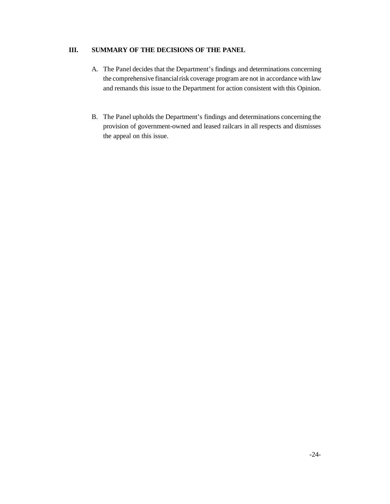## **III. SUMMARY OF THE DECISIONS OF THE PANEL**

- A. The Panel decides that the Department's findings and determinations concerning the comprehensive financial risk coverage program are not in accordance with law and remands this issue to the Department for action consistent with this Opinion.
- B. The Panel upholds the Department's findings and determinations concerning the provision of government-owned and leased railcars in all respects and dismisses the appeal on this issue.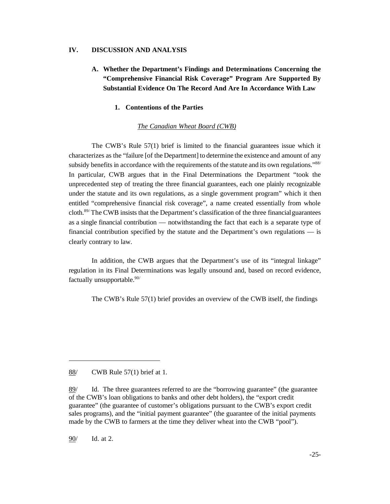#### **IV. DISCUSSION AND ANALYSIS**

## **A. Whether the Department's Findings and Determinations Concerning the "Comprehensive Financial Risk Coverage" Program Are Supported By Substantial Evidence On The Record And Are In Accordance With Law**

#### **1. Contentions of the Parties**

#### *The Canadian Wheat Board (CWB)*

The CWB's Rule 57(1) brief is limited to the financial guarantees issue which it characterizes as the "failure [of the Department] to determine the existence and amount of any subsidy benefits in accordance with the requirements of the statute and its own regulations."<sup>88/</sup> In particular, CWB argues that in the Final Determinations the Department "took the unprecedented step of treating the three financial guarantees, each one plainly recognizable under the statute and its own regulations, as a single government program" which it then entitled "comprehensive financial risk coverage", a name created essentially from whole cloth.<sup>89/</sup>The CWB insists that the Department's classification of the three financial guarantees as a single financial contribution — notwithstanding the fact that each is a separate type of financial contribution specified by the statute and the Department's own regulations — is clearly contrary to law.

In addition, the CWB argues that the Department's use of its "integral linkage" regulation in its Final Determinations was legally unsound and, based on record evidence, factually unsupportable.<sup>90/</sup>

The CWB's Rule 57(1) brief provides an overview of the CWB itself, the findings

88/ CWB Rule 57(1) brief at 1.

90/ Id. at 2.

<sup>89/</sup> Id. The three guarantees referred to are the "borrowing guarantee" (the guarantee of the CWB's loan obligations to banks and other debt holders), the "export credit guarantee" (the guarantee of customer's obligations pursuant to the CWB's export credit sales programs), and the "initial payment guarantee" (the guarantee of the initial payments made by the CWB to farmers at the time they deliver wheat into the CWB "pool").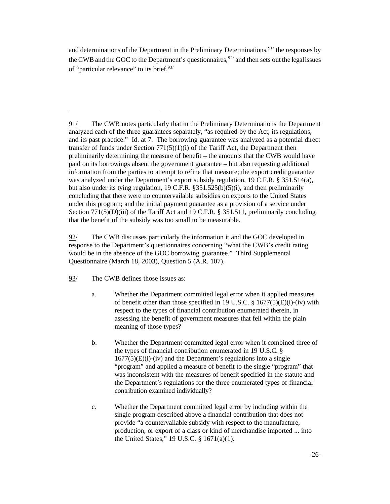and determinations of the Department in the Preliminary Determinations,  $91/$  the responses by the CWB and the GOC to the Department's questionnaires,<sup>92/</sup> and then sets out the legal issues of "particular relevance" to its brief.<sup>93/</sup>

91/ The CWB notes particularly that in the Preliminary Determinations the Department analyzed each of the three guarantees separately, "as required by the Act, its regulations, and its past practice." Id. at 7. The borrowing guarantee was analyzed as a potential direct transfer of funds under Section  $771(5)(1)(i)$  of the Tariff Act, the Department then preliminarily determining the measure of benefit – the amounts that the CWB would have paid on its borrowings absent the government guarantee – but also requesting additional information from the parties to attempt to refine that measure; the export credit guarantee was analyzed under the Department's export subsidy regulation, 19 C.F.R. § 351.514(a), but also under its tying regulation, 19 C.F.R. §351.525(b)(5)(i), and then preliminarily concluding that there were no countervailable subsidies on exports to the United States under this program; and the initial payment guarantee as a provision of a service under Section 771(5)(D)(iii) of the Tariff Act and 19 C.F.R. § 351.511, preliminarily concluding that the benefit of the subsidy was too small to be measurable.

92/ The CWB discusses particularly the information it and the GOC developed in response to the Department's questionnaires concerning "what the CWB's credit rating would be in the absence of the GOC borrowing guarantee." Third Supplemental Questionnaire (March 18, 2003), Question 5 (A.R. 107).

93/ The CWB defines those issues as:

- a. Whether the Department committed legal error when it applied measures of benefit other than those specified in 19 U.S.C.  $\S$  1677(5)(E)(i)-(iv) with respect to the types of financial contribution enumerated therein, in assessing the benefit of government measures that fell within the plain meaning of those types?
- b. Whether the Department committed legal error when it combined three of the types of financial contribution enumerated in 19 U.S.C. §  $1677(5)(E)(i)$ -(iv) and the Department's regulations into a single "program" and applied a measure of benefit to the single "program" that was inconsistent with the measures of benefit specified in the statute and the Department's regulations for the three enumerated types of financial contribution examined individually?
- c. Whether the Department committed legal error by including within the single program described above a financial contribution that does not provide "a countervailable subsidy with respect to the manufacture, production, or export of a class or kind of merchandise imported ... into the United States," 19 U.S.C. § 1671(a)(1).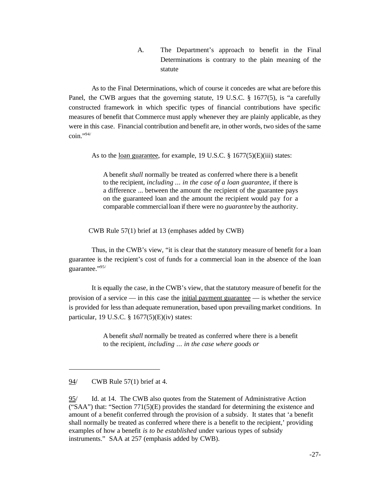A. The Department's approach to benefit in the Final Determinations is contrary to the plain meaning of the statute

As to the Final Determinations, which of course it concedes are what are before this Panel, the CWB argues that the governing statute, 19 U.S.C. § 1677(5), is "a carefully constructed framework in which specific types of financial contributions have specific measures of benefit that Commerce must apply whenever they are plainly applicable, as they were in this case. Financial contribution and benefit are, in other words, two sides of the same  $\text{coin.}$ ",  $\frac{94}{7}$ 

As to the loan guarantee, for example, 19 U.S.C. § 1677(5)(E)(iii) states:

A benefit *shall* normally be treated as conferred where there is a benefit to the recipient, *including* ... *in the case of a loan guarantee*, if there is a difference ... between the amount the recipient of the guarantee pays on the guaranteed loan and the amount the recipient would pay for a comparable commercialloan if there were no *guarantee* by the authority.

CWB Rule 57(1) brief at 13 (emphases added by CWB)

Thus, in the CWB's view, "it is clear that the statutory measure of benefit for a loan guarantee is the recipient's cost of funds for a commercial loan in the absence of the loan guarantee."95/

It is equally the case, in the CWB's view, that the statutory measure of benefit for the provision of a service — in this case the initial payment guarantee — is whether the service is provided for less than adequate remuneration, based upon prevailing market conditions. In particular, 19 U.S.C. § 1677(5)(E)(iv) states:

> A benefit *shall* normally be treated as conferred where there is a benefit to the recipient, *including* ... *in the case where goods or*

<sup>94/</sup> CWB Rule 57(1) brief at 4.

<sup>95/</sup> Id. at 14. The CWB also quotes from the Statement of Administrative Action ("SAA") that: "Section  $771(5)(E)$  provides the standard for determining the existence and amount of a benefit conferred through the provision of a subsidy. It states that 'a benefit shall normally be treated as conferred where there is a benefit to the recipient,' providing examples of how a benefit *is to be established* under various types of subsidy instruments." SAA at 257 (emphasis added by CWB).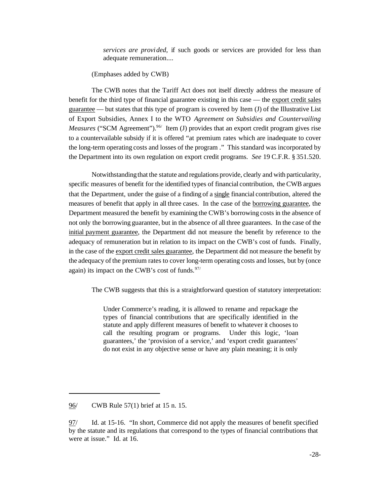*services are provided*, if such goods or services are provided for less than adequate remuneration....

(Emphases added by CWB)

The CWB notes that the Tariff Act does not itself directly address the measure of benefit for the third type of financial guarantee existing in this case — the export credit sales guarantee — but states that this type of program is covered by Item (J) of the Illustrative List of Export Subsidies, Annex I to the WTO *Agreement on Subsidies and Countervailing Measures* ("SCM Agreement").<sup>96/</sup> Item (J) provides that an export credit program gives rise to a countervailable subsidy if it is offered "at premium rates which are inadequate to cover the long-term operating costs and losses of the program ." This standard was incorporated by the Department into its own regulation on export credit programs. *See* 19 C.F.R. § 351.520.

Notwithstandingthat the statute and regulations provide, clearly and with particularity, specific measures of benefit for the identified types of financial contribution, the CWB argues that the Department, under the guise of a finding of a single financial contribution, altered the measures of benefit that apply in all three cases. In the case of the borrowing guarantee, the Department measured the benefit by examining the CWB's borrowing costs in the absence of not only the borrowing guarantee, but in the absence of all three guarantees. In the case of the initial payment guarantee, the Department did not measure the benefit by reference to the adequacy of remuneration but in relation to its impact on the CWB's cost of funds. Finally, in the case of the export credit sales guarantee, the Department did not measure the benefit by the adequacy of the premium rates to cover long-term operating costs and losses, but by (once again) its impact on the CWB's cost of funds. $97/$ 

The CWB suggests that this is a straightforward question of statutory interpretation:

Under Commerce's reading, it is allowed to rename and repackage the types of financial contributions that are specifically identified in the statute and apply different measures of benefit to whatever it chooses to call the resulting program or programs. Under this logic, 'loan guarantees,' the 'provision of a service,' and 'export credit guarantees' do not exist in any objective sense or have any plain meaning; it is only

<sup>96/</sup> CWB Rule 57(1) brief at 15 n. 15.

<sup>97/</sup> Id. at 15-16. "In short, Commerce did not apply the measures of benefit specified by the statute and its regulations that correspond to the types of financial contributions that were at issue." Id. at 16.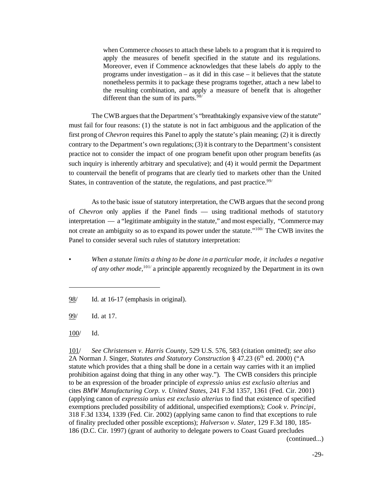when Commerce *chooses* to attach these labels to a program that it is required to apply the measures of benefit specified in the statute and its regulations. Moreover, even if Commence acknowledges that these labels *do* apply to the programs under investigation – as it did in this case – it believes that the statute nonetheless permits it to package these programs together, attach a new label to the resulting combination, and apply a measure of benefit that is altogether different than the sum of its parts.  $98/$ 

The CWB argues that the Department's "breathtakingly expansive view of the statute" must fail for four reasons: (1) the statute is not in fact ambiguous and the application of the first prong of *Chevron* requires this Panel to apply the statute's plain meaning; (2) it is directly contrary to the Department's own regulations;(3) it is contrary to the Department's consistent practice not to consider the impact of one program benefit upon other program benefits (as such inquiry is inherently arbitrary and speculative); and (4) it would permit the Department to countervail the benefit of programs that are clearly tied to markets other than the United States, in contravention of the statute, the regulations, and past practice.  $99/$ 

As to the basic issue of statutory interpretation, the CWB argues that the second prong of *Chevron* only applies if the Panel finds — using traditional methods of statutory interpretation — a "legitimate ambiguity in the statute," and most especially, "Commerce may not create an ambiguity so as to expand its power under the statute."100/ The CWB invites the Panel to consider several such rules of statutory interpretation:

• *When a statute limits a thing to be done in a particular mode, it includes a negative of any other mode,*101/ a principle apparently recognized by the Department in its own

101/ *See Christensen v. Harris County*, 529 U.S. 576, 583 (citation omitted); *see also* 2A Norman J. Singer, *Statutes and Statutory Construction* § 47.23 (6<sup>th</sup> ed. 2000) ("A statute which provides that a thing shall be done in a certain way carries with it an implied prohibition against doing that thing in any other way."). The CWB considers this principle to be an expression of the broader principle of *expressio unius est exclusio alterius* and cites *BMW Manufacturing Corp. v. United States*, 241 F.3d 1357, 1361 (Fed. Cir. 2001) (applying canon of *expressio unius est exclusio alterius* to find that existence of specified exemptions precluded possibility of additional, unspecified exemptions); *Cook v. Principi*, 318 F.3d 1334, 1339 (Fed. Cir. 2002) (applying same canon to find that exceptions to rule of finality precluded other possible exceptions); *Halverson v. Slater*, 129 F.3d 180, 185- 186 (D.C. Cir. 1997) (grant of authority to delegate powers to Coast Guard precludes (continued...)

<sup>98/</sup> Id. at 16-17 (emphasis in original).

<sup>99/</sup> Id. at 17.

<sup>100/</sup> Id.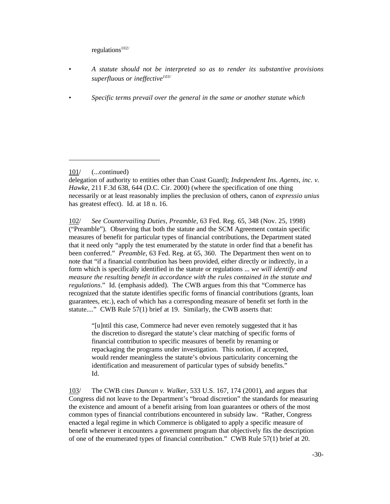$reculations<sup>102/</sup>$ 

- *A statute should not be interpreted so as to render its substantive provisions superfluous or ineffective103/*
- *Specific terms prevail over the general in the same or another statute which*

101/ (...continued)

delegation of authority to entities other than Coast Guard); *Independent Ins. Agents, inc. v. Hawke*, 211 F.3d 638, 644 (D.C. Cir. 2000) (where the specification of one thing necessarily or at least reasonably implies the preclusion of others, canon of *expressio unius* has greatest effect). Id. at 18 n. 16.

102/ *See Countervailing Duties, Preamble*, 63 Fed. Reg. 65, 348 (Nov. 25, 1998) ("Preamble"). Observing that both the statute and the SCM Agreement contain specific measures of benefit for particular types of financial contributions, the Department stated that it need only "apply the test enumerated by the statute in order find that a benefit has been conferred." *Preamble*, 63 Fed. Reg. at 65, 360. The Department then went on to note that "if a financial contribution has been provided, either directly or indirectly, in a form which is specifically identified in the statute or regulations ... *we will identify and measure the resulting benefit in accordance with the rules contained in the statute and regulations*." Id. (emphasis added). The CWB argues from this that "Commerce has recognized that the statute identifies specific forms of financial contributions (grants, loan guarantees, etc.), each of which has a corresponding measure of benefit set forth in the statute...." CWB Rule 57(1) brief at 19. Similarly, the CWB asserts that:

"[u]ntil this case, Commerce had never even remotely suggested that it has the discretion to disregard the statute's clear matching of specific forms of financial contribution to specific measures of benefit by renaming or repackaging the programs under investigation. This notion, if accepted, would render meaningless the statute's obvious particularity concerning the identification and measurement of particular types of subsidy benefits." Id.

103/ The CWB cites *Duncan v. Walker*, 533 U.S. 167, 174 (2001), and argues that Congress did not leave to the Department's "broad discretion" the standards for measuring the existence and amount of a benefit arising from loan guarantees or others of the most common types of financial contributions encountered in subsidy law. "Rather, Congress enacted a legal regime in which Commerce is obligated to apply a specific measure of benefit whenever it encounters a government program that objectively fits the description of one of the enumerated types of financial contribution." CWB Rule 57(1) brief at 20.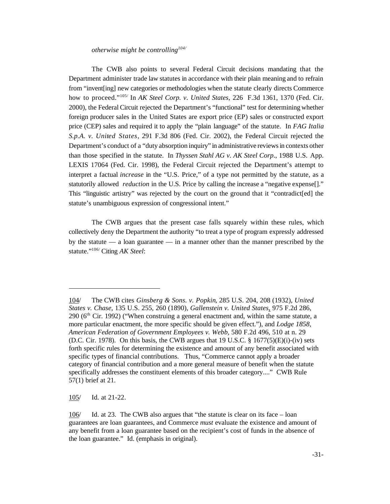*otherwise might be controlling104/*

The CWB also points to several Federal Circuit decisions mandating that the Department administer trade law statutes in accordance with their plain meaning and to refrain from "invent[ing] new categories or methodologies when the statute clearly directs Commerce how to proceed."105/ In *AK Steel Corp. v. United States*, 226 F.3d 1361, 1370 (Fed. Cir. 2000), the Federal Circuit rejected the Department's "functional" test for determining whether foreign producer sales in the United States are export price (EP) sales or constructed export price (CEP) sales and required it to apply the "plain language" of the statute. In *FAG Italia S.p.A. v. United States*, 291 F.3d 806 (Fed. Cir. 2002), the Federal Circuit rejected the Department's conduct of a "duty absorption inquiry" in administrative reviews in contexts other than those specified in the statute. In *Thyssen Stahl AG v. AK Steel Corp*., 1988 U.S. App. LEXIS 17064 (Fed. Cir. 1998), the Federal Circuit rejected the Department's attempt to interpret a factual *increase* in the "U.S. Price," of a type not permitted by the statute, as a statutorily allowed *reduction* in the U.S. Price by calling the increase a "negative expense[]." This "linguistic artistry" was rejected by the court on the ground that it "contradict[ed] the statute's unambiguous expression of congressional intent."

The CWB argues that the present case falls squarely within these rules, which collectively deny the Department the authority "to treat a type of program expressly addressed by the statute — a loan guarantee — in a manner other than the manner prescribed by the statute."106/ Citing *AK Steel*:

105/ Id. at 21-22.

<sup>104/</sup> The CWB cites *Ginsberg & Sons. v. Popkin*, 285 U.S. 204, 208 (1932), *United States v. Chase,* 135 U.S. 255, 260 (1890), *Gallenstein v. United States*, 975 F.2d 286, 290 ( $6<sup>th</sup> Cir.$  1992) ("When construing a general enactment and, within the same statute, a more particular enactment, the more specific should be given effect."), and *Lodge 1858, American Federation of Government Employees v. Webb*, 580 F.2d 496, 510 at n. 29 (D.C. Cir. 1978). On this basis, the CWB argues that 19 U.S.C.  $\S$  1677(5)(E)(i)-(iv) sets forth specific rules for determining the existence and amount of any benefit associated with specific types of financial contributions. Thus, "Commerce cannot apply a broader category of financial contribution and a more general measure of benefit when the statute specifically addresses the constituent elements of this broader category...." CWB Rule 57(1) brief at 21.

<sup>106/</sup> Id. at 23. The CWB also argues that "the statute is clear on its face – loan guarantees are loan guarantees, and Commerce *must* evaluate the existence and amount of any benefit from a loan guarantee based on the recipient's cost of funds in the absence of the loan guarantee." Id. (emphasis in original).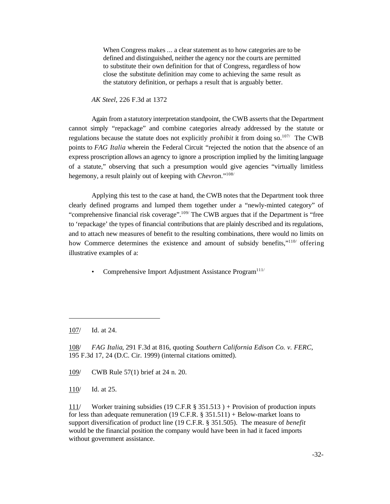When Congress makes ... a clear statement as to how categories are to be defined and distinguished, neither the agency nor the courts are permitted to substitute their own definition for that of Congress, regardless of how close the substitute definition may come to achieving the same result as the statutory definition, or perhaps a result that is arguably better.

*AK Steel*, 226 F.3d at 1372

Again from a statutory interpretation standpoint, the CWB asserts that the Department cannot simply "repackage" and combine categories already addressed by the statute or regulations because the statute does not explicitly *prohibit* it from doing so.107/ The CWB points to *FAG Italia* wherein the Federal Circuit "rejected the notion that the absence of an express proscription allows an agency to ignore a proscription implied by the limiting language of a statute," observing that such a presumption would give agencies "virtually limitless hegemony, a result plainly out of keeping with *Chevron*."108/

Applying this test to the case at hand, the CWB notes that the Department took three clearly defined programs and lumped them together under a "newly-minted category" of "comprehensive financial risk coverage".<sup>109/</sup> The CWB argues that if the Department is "free to 'repackage' the types of financial contributions that are plainly described and its regulations, and to attach new measures of benefit to the resulting combinations, there would no limits on how Commerce determines the existence and amount of subsidy benefits,"<sup>110</sup>/ offering illustrative examples of a:

Comprehensive Import Adjustment Assistance Program<sup>111/</sup>

109/ CWB Rule 57(1) brief at 24 n. 20.

110/ Id. at 25.

111/ Worker training subsidies (19 C.F.R § 351.513 ) + Provision of production inputs for less than adequate remuneration (19 C.F.R.  $\S$  351.511) + Below-market loans to support diversification of product line (19 C.F.R. § 351.505). The measure of *benefit* would be the financial position the company would have been in had it faced imports without government assistance.

<sup>107/</sup> Id. at 24.

<sup>108/</sup> *FAG Italia*, 291 F.3d at 816, quoting *Southern California Edison Co. v. FERC*, 195 F.3d 17, 24 (D.C. Cir. 1999) (internal citations omitted).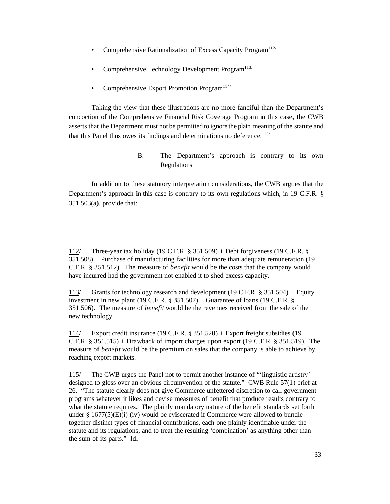- Comprehensive Rationalization of Excess Capacity Program<sup>112/</sup>
- Comprehensive Technology Development Program<sup>113/</sup>
- Comprehensive Export Promotion Program<sup>114/</sup>

Taking the view that these illustrations are no more fanciful than the Department's concoction of the Comprehensive Financial Risk Coverage Program in this case, the CWB asserts that the Department must not be permitted to ignore the plain meaning of the statute and that this Panel thus owes its findings and determinations no deference.<sup>115/</sup>

> B. The Department's approach is contrary to its own Regulations

In addition to these statutory interpretation considerations, the CWB argues that the Department's approach in this case is contrary to its own regulations which, in 19 C.F.R. § 351.503(a), provide that:

<sup>112/</sup> Three-year tax holiday (19 C.F.R. § 351.509) + Debt forgiveness (19 C.F.R. § 351.508) + Purchase of manufacturing facilities for more than adequate remuneration (19 C.F.R. § 351.512). The measure of *benefit* would be the costs that the company would have incurred had the government not enabled it to shed excess capacity.

<sup>113/</sup> Grants for technology research and development (19 C.F.R. § 351.504) + Equity investment in new plant (19 C.F.R.  $\S$  351.507) + Guarantee of loans (19 C.F.R.  $\S$ 351.506). The measure of *benefit* would be the revenues received from the sale of the new technology.

<sup>114/</sup> Export credit insurance (19 C.F.R. § 351.520) + Export freight subsidies (19 C.F.R. § 351.515) + Drawback of import charges upon export (19 C.F.R. § 351.519). The measure of *benefit* would be the premium on sales that the company is able to achieve by reaching export markets.

<sup>115/</sup> The CWB urges the Panel not to permit another instance of "'linguistic artistry' designed to gloss over an obvious circumvention of the statute." CWB Rule 57(1) brief at 26. "The statute clearly does not give Commerce unfettered discretion to call government programs whatever it likes and devise measures of benefit that produce results contrary to what the statute requires. The plainly mandatory nature of the benefit standards set forth under  $\S 1677(5)(E)(i)$ -(iv) would be eviscerated if Commerce were allowed to bundle together distinct types of financial contributions, each one plainly identifiable under the statute and its regulations, and to treat the resulting 'combination' as anything other than the sum of its parts." Id.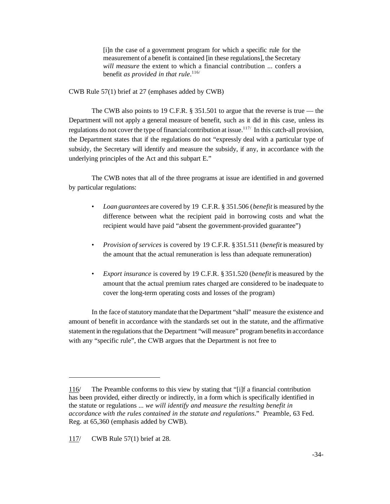[i]n the case of a government program for which a specific rule for the measurement of a benefit is contained [in these regulations], the Secretary *will measure* the extent to which a financial contribution ... confers a benefit *as provided in that rule*. 116/

CWB Rule 57(1) brief at 27 (emphases added by CWB)

The CWB also points to 19 C.F.R. § 351.501 to argue that the reverse is true — the Department will not apply a general measure of benefit, such as it did in this case, unless its regulations do not cover the type of financial contribution at issue.<sup>117/</sup> In this catch-all provision, the Department states that if the regulations do not "expressly deal with a particular type of subsidy, the Secretary will identify and measure the subsidy, if any, in accordance with the underlying principles of the Act and this subpart E."

The CWB notes that all of the three programs at issue are identified in and governed by particular regulations:

- *Loan guarantees* are covered by 19 C.F.R. § 351.506 (*benefit* is measured by the difference between what the recipient paid in borrowing costs and what the recipient would have paid "absent the government-provided guarantee")
- *Provision of services* is covered by 19 C.F.R. §351.511 (*benefit* is measured by the amount that the actual remuneration is less than adequate remuneration)
- *Export insurance* is covered by 19 C.F.R. § 351.520 (*benefit* is measured by the amount that the actual premium rates charged are considered to be inadequate to cover the long-term operating costs and losses of the program)

In the face ofstatutory mandate that the Department "shall" measure the existence and amount of benefit in accordance with the standards set out in the statute, and the affirmative statement in the regulations that the Department "will measure" program benefits in accordance with any "specific rule", the CWB argues that the Department is not free to

<sup>116/</sup> The Preamble conforms to this view by stating that "[i]f a financial contribution has been provided, either directly or indirectly, in a form which is specifically identified in the statute or regulations ... *we will identify and measure the resulting benefit in accordance with the rules contained in the statute and regulations*." Preamble, 63 Fed. Reg. at 65,360 (emphasis added by CWB).

<sup>117/</sup> CWB Rule 57(1) brief at 28.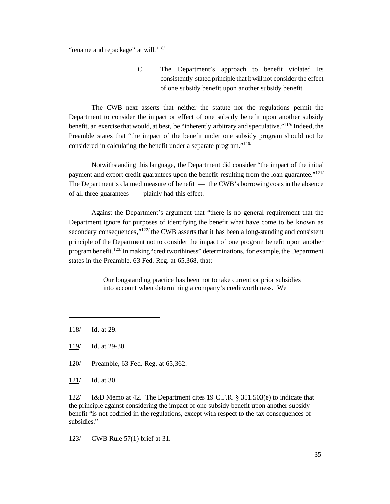"rename and repackage" at will.<sup>118/</sup>

C. The Department's approach to benefit violated Its consistently-stated principle that it willnot consider the effect of one subsidy benefit upon another subsidy benefit

The CWB next asserts that neither the statute nor the regulations permit the Department to consider the impact or effect of one subsidy benefit upon another subsidy benefit, an exercise that would, at best, be "inherently arbitrary and speculative."<sup>119</sup> Indeed, the Preamble states that "the impact of the benefit under one subsidy program should not be considered in calculating the benefit under a separate program."<sup>120/</sup>

Notwithstanding this language, the Department did consider "the impact of the initial payment and export credit guarantees upon the benefit resulting from the loan guarantee." $121/$ The Department's claimed measure of benefit — the CWB's borrowing costs in the absence of all three guarantees — plainly had this effect.

Against the Department's argument that "there is no general requirement that the Department ignore for purposes of identifying the benefit what have come to be known as secondary consequences," $122/$  the CWB asserts that it has been a long-standing and consistent principle of the Department not to consider the impact of one program benefit upon another program benefit.<sup>123/</sup>In making "creditworthiness" determinations, for example, the Department states in the Preamble, 63 Fed. Reg. at 65,368, that:

> Our longstanding practice has been not to take current or prior subsidies into account when determining a company's creditworthiness. We

- 120/ Preamble, 63 Fed. Reg. at 65,362.
- 121/ Id. at 30.

122/ I&D Memo at 42. The Department cites 19 C.F.R. § 351.503(e) to indicate that the principle against considering the impact of one subsidy benefit upon another subsidy benefit "is not codified in the regulations, except with respect to the tax consequences of subsidies."

123/ CWB Rule 57(1) brief at 31.

<sup>118/</sup> Id. at 29.

<sup>119/</sup> Id. at 29-30.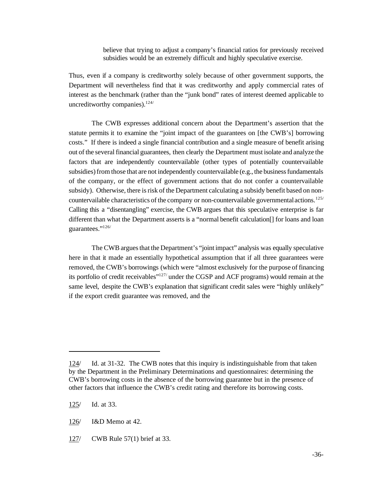believe that trying to adjust a company's financial ratios for previously received subsidies would be an extremely difficult and highly speculative exercise.

Thus, even if a company is creditworthy solely because of other government supports, the Department will nevertheless find that it was creditworthy and apply commercial rates of interest as the benchmark (rather than the "junk bond" rates of interest deemed applicable to uncreditworthy companies).<sup>124/</sup>

The CWB expresses additional concern about the Department's assertion that the statute permits it to examine the "joint impact of the guarantees on [the CWB's] borrowing costs." If there is indeed a single financial contribution and a single measure of benefit arising out of the several financial guarantees, then clearly the Department must isolate and analyze the factors that are independently countervailable (other types of potentially countervailable subsidies) from those that are not independently countervailable (e.g., the business fundamentals of the company, or the effect of government actions that do not confer a countervailable subsidy). Otherwise, there is risk of the Department calculating a subsidy benefit based on noncountervailable characteristics of the company or non-countervailable governmental actions.<sup>125/</sup> Calling this a "disentangling" exercise, the CWB argues that this speculative enterprise is far different than what the Department asserts is a "normal benefit calculation[] for loans and loan guarantees."126/

The CWB argues that the Department's "joint impact" analysis was equally speculative here in that it made an essentially hypothetical assumption that if all three guarantees were removed, the CWB's borrowings (which were "almost exclusively for the purpose of financing its portfolio of credit receivables"127/ under the CGSP and ACF programs) would remain at the same level, despite the CWB's explanation that significant credit sales were "highly unlikely" if the export credit guarantee was removed, and the

<sup>124/</sup> Id. at 31-32. The CWB notes that this inquiry is indistinguishable from that taken by the Department in the Preliminary Determinations and questionnaires: determining the CWB's borrowing costs in the absence of the borrowing guarantee but in the presence of other factors that influence the CWB's credit rating and therefore its borrowing costs.

<sup>125/</sup> Id. at 33.

<sup>126/</sup> I&D Memo at 42.

<sup>127/</sup> CWB Rule 57(1) brief at 33.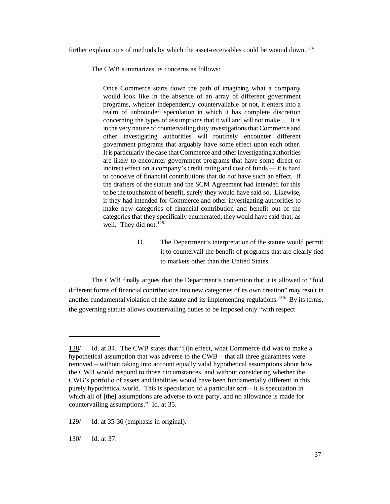further explanations of methods by which the asset-receivables could be wound down.<sup>128/</sup>

The CWB summarizes its concerns as follows:

Once Commerce starts down the path of imagining what a company would look like in the absence of an array of different government programs, whether independently countervailable or not, it enters into a realm of unbounded speculation in which it has complete discretion concerning the types of assumptions that it will and will not make.... It is in the very nature of countervailing duty investigations that Commerce and other investigating authorities will routinely encounter different government programs that arguably have some effect upon each other. It is particularly the case that Commerce and other investigating authorities are likely to encounter government programs that have some direct or indirect effect on a company's credit rating and cost of funds — it is hard to conceive of financial contributions that do *not* have such an effect. If the drafters of the statute and the SCM Agreement had intended for this to be the touchstone of benefit, surely they would have said so. Likewise, if they had intended for Commerce and other investigating authorities to make new categories of financial contribution and benefit out of the categories that they specifically enumerated, they would have said that, as well. They did not. $129/$ 

> D. The Department's interpretation of the statute would permit it to countervail the benefit of programs that are clearly tied to markets other than the United States

The CWB finally argues that the Department's contention that it is allowed to "fold different forms of financial contributions into new categories of its own creation" may result in another fundamental violation of the statute and its implementing regulations.<sup>130/</sup> By its terms, the governing statute allows countervailing duties to be imposed only "with respect

130/ Id. at 37.

<sup>128/</sup> Id. at 34. The CWB states that "[i]n effect, what Commerce did was to make a hypothetical assumption that was adverse to the CWB – that all three guarantees were removed – without taking into account equally valid hypothetical assumptions about how the CWB would respond to those circumstances, and without considering whether the CWB's portfolio of assets and liabilities would have been fundamentally different in this purely hypothetical world. This is speculation of a particular sort – it is speculation in which all of [the] assumptions are adverse to one party, and no allowance is made for countervailing assumptions." Id. at 35.

<sup>129/</sup> Id. at 35-36 (emphasis in original).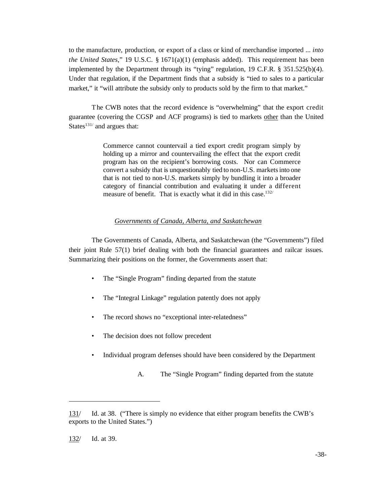to the manufacture, production, or export of a class or kind of merchandise imported ... *into the United States*," 19 U.S.C. § 1671(a)(1) (emphasis added). This requirement has been implemented by the Department through its "tying" regulation, 19 C.F.R. § 351.525(b)(4). Under that regulation, if the Department finds that a subsidy is "tied to sales to a particular market," it "will attribute the subsidy only to products sold by the firm to that market."

The CWB notes that the record evidence is "overwhelming" that the export credit guarantee (covering the CGSP and ACF programs) is tied to markets other than the United States $131/$  and argues that:

> Commerce cannot countervail a tied export credit program simply by holding up a mirror and countervailing the effect that the export credit program has on the recipient's borrowing costs. Nor can Commerce convert a subsidy that is unquestionably tied to non-U.S. marketsinto one that is not tied to non-U.S. markets simply by bundling it into a broader category of financial contribution and evaluating it under a different measure of benefit. That is exactly what it did in this case.<sup>132/</sup>

### *Governments of Canada, Alberta, and Saskatchewan*

The Governments of Canada, Alberta, and Saskatchewan (the "Governments") filed their joint Rule 57(1) brief dealing with both the financial guarantees and railcar issues. Summarizing their positions on the former, the Governments assert that:

- The "Single Program" finding departed from the statute
- The "Integral Linkage" regulation patently does not apply
- The record shows no "exceptional inter-relatedness"
- The decision does not follow precedent
- Individual program defenses should have been considered by the Department
	- A. The "Single Program" finding departed from the statute

<sup>131/</sup> Id. at 38. ("There is simply no evidence that either program benefits the CWB's exports to the United States.")

<sup>132/</sup> Id. at 39.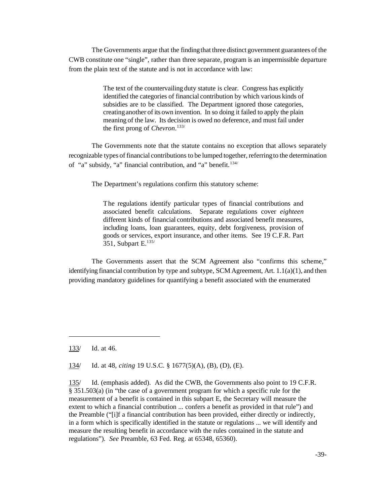The Governments argue that the findingthat three distinct government guarantees of the CWB constitute one "single", rather than three separate, program is an impermissible departure from the plain text of the statute and is not in accordance with law:

> The text of the countervailing duty statute is clear. Congress has explicitly identified the categories of financial contribution by which various kinds of subsidies are to be classified. The Department ignored those categories, creatinganother of its own invention. In so doing it failed to apply the plain meaning of the law. Its decision is owed no deference, and must fail under the first prong of *Chevron*. 133/

The Governments note that the statute contains no exception that allows separately recognizable types of financial contributions to be lumped together, referring to the determination of "a" subsidy, "a" financial contribution, and "a" benefit.<sup>134/</sup>

The Department's regulations confirm this statutory scheme:

The regulations identify particular types of financial contributions and associated benefit calculations. Separate regulations cover *eighteen* different kinds of financial contributions and associated benefit measures, including loans, loan guarantees, equity, debt forgiveness, provision of goods or services, export insurance, and other items. See 19 C.F.R. Part 351, Subpart E.135/

The Governments assert that the SCM Agreement also "confirms this scheme," identifying financial contribution by type and subtype, SCM Agreement, Art.  $1.1(a)(1)$ , and then providing mandatory guidelines for quantifying a benefit associated with the enumerated

133/ Id. at 46.

134/ Id. at 48, *citing* 19 U.S.C. § 1677(5)(A), (B), (D), (E).

135/ Id. (emphasis added). As did the CWB, the Governments also point to 19 C.F.R. § 351.503(a) (in "the case of a government program for which a specific rule for the measurement of a benefit is contained in this subpart E, the Secretary will measure the extent to which a financial contribution ... confers a benefit as provided in that rule") and the Preamble ("[i]f a financial contribution has been provided, either directly or indirectly, in a form which is specifically identified in the statute or regulations ... we will identify and measure the resulting benefit in accordance with the rules contained in the statute and regulations"). *See* Preamble, 63 Fed. Reg. at 65348, 65360).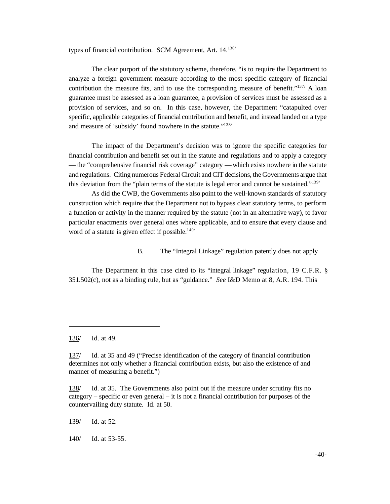types of financial contribution. SCM Agreement, Art. 14.136/

The clear purport of the statutory scheme, therefore, "is to require the Department to analyze a foreign government measure according to the most specific category of financial contribution the measure fits, and to use the corresponding measure of benefit."<sup>137/</sup> A loan guarantee must be assessed as a loan guarantee, a provision of services must be assessed as a provision of services, and so on. In this case, however, the Department "catapulted over specific, applicable categories of financial contribution and benefit, and instead landed on a type and measure of 'subsidy' found nowhere in the statute."<sup>138/</sup>

The impact of the Department's decision was to ignore the specific categories for financial contribution and benefit set out in the statute and regulations and to apply a category — the "comprehensive financial risk coverage" category —which exists nowhere in the statute and regulations. Citing numerous Federal Circuit and CIT decisions, the Governments argue that this deviation from the "plain terms of the statute is legal error and cannot be sustained."<sup>139/</sup>

As did the CWB, the Governments also point to the well-known standards of statutory construction which require that the Department not to bypass clear statutory terms, to perform a function or activity in the manner required by the statute (not in an alternative way), to favor particular enactments over general ones where applicable, and to ensure that every clause and word of a statute is given effect if possible. $140/$ 

#### B. The "Integral Linkage" regulation patently does not apply

The Department in this case cited to its "integral linkage" regulation, 19 C.F.R. § 351.502(c), not as a binding rule, but as "guidance." *See* I&D Memo at 8, A.R. 194. This

<sup>136/</sup> Id. at 49.

<sup>137/</sup> Id. at 35 and 49 ("Precise identification of the category of financial contribution determines not only whether a financial contribution exists, but also the existence of and manner of measuring a benefit.")

<sup>138/</sup> Id. at 35. The Governments also point out if the measure under scrutiny fits no category – specific or even general – it is not a financial contribution for purposes of the countervailing duty statute. Id. at 50.

<sup>139/</sup> Id. at 52.

<sup>140/</sup> Id. at 53-55.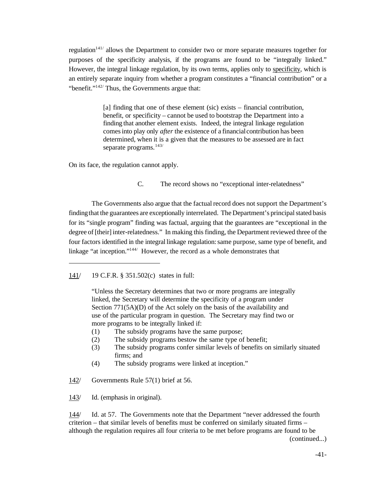regulation<sup>141/</sup> allows the Department to consider two or more separate measures together for purposes of the specificity analysis, if the programs are found to be "integrally linked." However, the integral linkage regulation, by its own terms, applies only to specificity, which is an entirely separate inquiry from whether a program constitutes a "financial contribution" or a "benefit."<sup>142/</sup> Thus, the Governments argue that:

> [a] finding that one of these element (sic) exists – financial contribution, benefit, or specificity – cannot be used to bootstrap the Department into a finding that another element exists. Indeed, the integral linkage regulation comesinto play only *after* the existence of a financialcontribution has been determined, when it is a given that the measures to be assessed are in fact separate programs.<sup>143/</sup>

On its face, the regulation cannot apply.

C. The record shows no "exceptional inter-relatedness"

The Governments also argue that the factual record does not support the Department's findingthat the guarantees are exceptionally interrelated. The Department's principal stated basis for its "single program" finding was factual, arguing that the guarantees are "exceptional in the degree of [their] inter-relatedness." In making this finding, the Department reviewed three of the four factors identified in the integral linkage regulation:same purpose, same type of benefit, and linkage "at inception."<sup>144/</sup> However, the record as a whole demonstrates that

141/ 19 C.F.R. § 351.502(c) states in full:

"Unless the Secretary determines that two or more programs are integrally linked, the Secretary will determine the specificity of a program under Section 771(5A)(D) of the Act solely on the basis of the availability and use of the particular program in question. The Secretary may find two or more programs to be integrally linked if:

- (1) The subsidy programs have the same purpose;
- (2) The subsidy programs bestow the same type of benefit;
- (3) The subsidy programs confer similar levels of benefits on similarly situated firms; and
- (4) The subsidy programs were linked at inception."

142/ Governments Rule 57(1) brief at 56.

143/ Id. (emphasis in original).

144/ Id. at 57. The Governments note that the Department "never addressed the fourth criterion – that similar levels of benefits must be conferred on similarly situated firms – although the regulation requires all four criteria to be met before programs are found to be (continued...)

-41-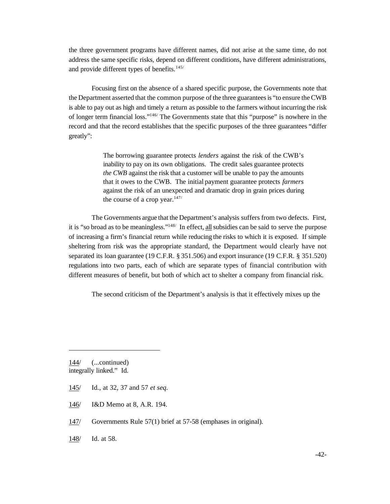the three government programs have different names, did not arise at the same time, do not address the same specific risks, depend on different conditions, have different administrations, and provide different types of benefits.<sup>145/</sup>

Focusing first on the absence of a shared specific purpose, the Governments note that the Department asserted that the common purpose of the three guarantees is "to ensure the CWB is able to pay out as high and timely a return as possible to the farmers without incurring the risk of longer term financial loss."146/ The Governments state that this "purpose" is nowhere in the record and that the record establishes that the specific purposes of the three guarantees "differ greatly":

> The borrowing guarantee protects *lenders* against the risk of the CWB's inability to pay on its own obligations. The credit sales guarantee protects *the CWB* against the risk that a customer will be unable to pay the amounts that it owes to the CWB. The initial payment guarantee protects *farmers* against the risk of an unexpected and dramatic drop in grain prices during the course of a crop year. $147/$

The Governments argue that the Department's analysis suffers from two defects. First, it is "so broad as to be meaningless."<sup>148/</sup> In effect, all subsidies can be said to serve the purpose of increasing a firm's financial return while reducing the risks to which it is exposed. If simple sheltering from risk was the appropriate standard, the Department would clearly have not separated its loan guarantee (19 C.F.R. § 351.506) and export insurance (19 C.F.R. § 351.520) regulations into two parts, each of which are separate types of financial contribution with different measures of benefit, but both of which act to shelter a company from financial risk.

The second criticism of the Department's analysis is that it effectively mixes up the

144/ (...continued) integrally linked." Id.

- 145/ Id., at 32, 37 and 57 *et seq.*
- 146/ I&D Memo at 8, A.R. 194.
- 147/ Governments Rule 57(1) brief at 57-58 (emphases in original).
- 148/ Id. at 58.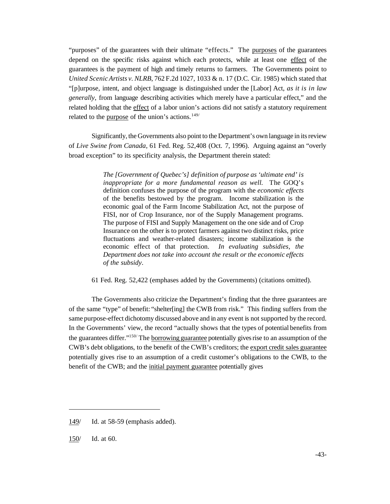"purposes" of the guarantees with their ultimate "effects." The purposes of the guarantees depend on the specific risks against which each protects, while at least one effect of the guarantees is the payment of high and timely returns to farmers. The Governments point to *United ScenicArtists v. NLRB*, 762 F.2d 1027, 1033 & n. 17 (D.C. Cir. 1985) which stated that "[p]urpose, intent, and object language is distinguished under the [Labor] Act, *as it is in law generally*, from language describing activities which merely have a particular effect," and the related holding that the effect of a labor union's actions did not satisfy a statutory requirement related to the purpose of the union's actions.<sup>149/</sup>

Significantly, the Governments also point to the Department's own language in its review of *Live Swine from Canada*, 61 Fed. Reg. 52,408 (Oct. 7, 1996). Arguing against an "overly broad exception" to its specificity analysis, the Department therein stated:

> *The [Government of Quebec's] definition of purpose as 'ultimate end' is inappropriate for a more fundamental reason as well.* The GOQ's definition confuses the purpose of the program with the *economic effects* of the benefits bestowed by the program. Income stabilization is the economic goal of the Farm Income Stabilization Act, not the purpose of FISI, nor of Crop Insurance, nor of the Supply Management programs. The purpose of FISI and Supply Management on the one side and of Crop Insurance on the other is to protect farmers against two distinct risks, price fluctuations and weather-related disasters; income stabilization is the economic effect of that protection. *In evaluating subsidies, the Department does not take into account the result or the economic effects of the subsidy*.

61 Fed. Reg. 52,422 (emphases added by the Governments) (citations omitted).

The Governments also criticize the Department's finding that the three guarantees are of the same "type" of benefit: "shelter[ing] the CWB from risk." This finding suffers from the same purpose-effect dichotomy discussed above and in any event is not supported by the record. In the Governments' view, the record "actually shows that the types of potential benefits from the guarantees differ."<sup>150</sup> The borrowing guarantee potentially gives rise to an assumption of the CWB's debt obligations, to the benefit of the CWB's creditors; the export credit sales guarantee potentially gives rise to an assumption of a credit customer's obligations to the CWB, to the benefit of the CWB; and the initial payment guarantee potentially gives

<sup>149/</sup> Id. at 58-59 (emphasis added).

<sup>150/</sup> Id. at 60.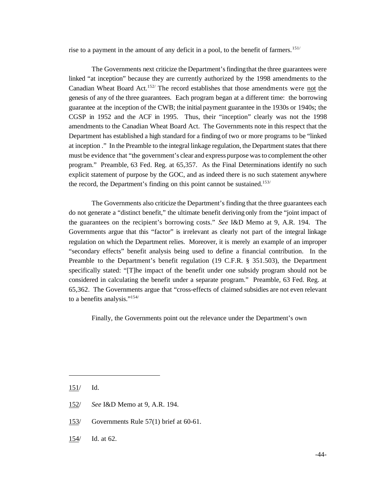rise to a payment in the amount of any deficit in a pool, to the benefit of farmers.<sup>151/</sup>

The Governments next criticize the Department's finding that the three guarantees were linked "at inception" because they are currently authorized by the 1998 amendments to the Canadian Wheat Board Act.152/ The record establishes that those amendments were not the genesis of any of the three guarantees. Each program began at a different time: the borrowing guarantee at the inception of the CWB; the initial payment guarantee in the 1930s or 1940s; the CGSP in 1952 and the ACF in 1995. Thus, their "inception" clearly was not the 1998 amendments to the Canadian Wheat Board Act. The Governments note in this respect that the Department has established a high standard for a finding of two or more programs to be "linked at inception ." In the Preamble to the integral linkage regulation, the Department states that there must be evidence that "the government's clear and express purpose wasto complement the other program." Preamble, 63 Fed. Reg. at 65,357. As the Final Determinations identify no such explicit statement of purpose by the GOC, and as indeed there is no such statement anywhere the record, the Department's finding on this point cannot be sustained.<sup>153/</sup>

The Governments also criticize the Department's finding that the three guarantees each do not generate a "distinct benefit," the ultimate benefit deriving only from the "joint impact of the guarantees on the recipient's borrowing costs." *See* I&D Memo at 9, A.R. 194. The Governments argue that this "factor" is irrelevant as clearly not part of the integral linkage regulation on which the Department relies. Moreover, it is merely an example of an improper "secondary effects" benefit analysis being used to define a financial contribution. In the Preamble to the Department's benefit regulation (19 C.F.R. § 351.503), the Department specifically stated: "[T]he impact of the benefit under one subsidy program should not be considered in calculating the benefit under a separate program." Preamble, 63 Fed. Reg. at 65,362. The Governments argue that "cross-effects of claimed subsidies are not even relevant to a benefits analysis."154/

Finally, the Governments point out the relevance under the Department's own

- 153/ Governments Rule 57(1) brief at 60-61.
- 154/ Id. at 62.

<sup>151/</sup> Id.

<sup>152/</sup> *See* I&D Memo at 9, A.R. 194.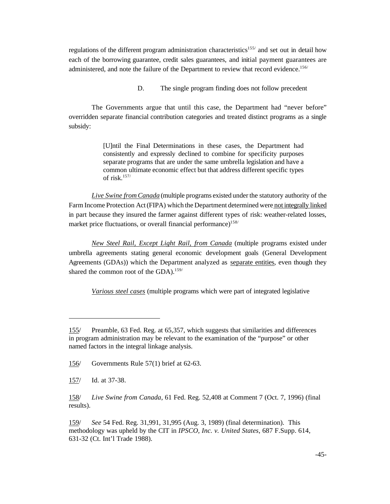regulations of the different program administration characteristics<sup>155/</sup> and set out in detail how each of the borrowing guarantee, credit sales guarantees, and initial payment guarantees are administered, and note the failure of the Department to review that record evidence.<sup>156/</sup>

D. The single program finding does not follow precedent

The Governments argue that until this case, the Department had "never before" overridden separate financial contribution categories and treated distinct programs as a single subsidy:

> [U]ntil the Final Determinations in these cases, the Department had consistently and expressly declined to combine for specificity purposes separate programs that are under the same umbrella legislation and have a common ultimate economic effect but that address different specific types of risk.157/

*Live Swine from Canada* (multiple programs existed under the statutory authority of the Farm Income Protection Act(FIPA) which the Department determined were not integrally linked in part because they insured the farmer against different types of risk: weather-related losses, market price fluctuations, or overall financial performance)<sup>158/</sup>

*New Steel Rail, Except Light Rail, from Canada* (multiple programs existed under umbrella agreements stating general economic development goals (General Development Agreements (GDAs)) which the Department analyzed as separate entities, even though they shared the common root of the GDA).<sup>159/</sup>

*Various steel cases* (multiple programs which were part of integrated legislative

159/ *See* 54 Fed. Reg. 31,991, 31,995 (Aug. 3, 1989) (final determination). This methodology was upheld by the CIT in *IPSCO, Inc. v. United States*, 687 F.Supp. 614, 631-32 (Ct. Int'l Trade 1988).

<sup>155/</sup> Preamble, 63 Fed. Reg. at 65,357, which suggests that similarities and differences in program administration may be relevant to the examination of the "purpose" or other named factors in the integral linkage analysis.

<sup>156/</sup> Governments Rule 57(1) brief at 62-63.

<sup>157/</sup> Id. at 37-38.

<sup>158/</sup> *Live Swine from Canada*, 61 Fed. Reg. 52,408 at Comment 7 (Oct. 7, 1996) (final results).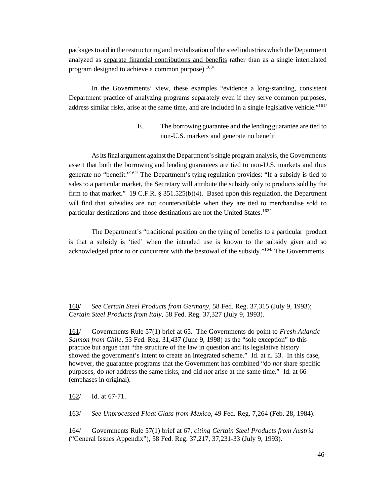packagesto aid in the restructuring and revitalization of the steelindustries which the Department analyzed as separate financial contributions and benefits rather than as a single interrelated program designed to achieve a common purpose). $160/$ 

In the Governments' view, these examples "evidence a long-standing, consistent Department practice of analyzing programs separately even if they serve common purposes, address similar risks, arise at the same time, and are included in a single legislative vehicle."161/

## E. The borrowing guarantee and the lendingguarantee are tied to non-U.S. markets and generate no benefit

Asitsfinalargument against the Department'ssingle program analysis, the Governments assert that both the borrowing and lending guarantees are tied to non-U.S. markets and thus generate no "benefit." $162/$  The Department's tying regulation provides: "If a subsidy is tied to sales to a particular market, the Secretary will attribute the subsidy only to products sold by the firm to that market." 19 C.F.R.  $\S 351.525(b)(4)$ . Based upon this regulation, the Department will find that subsidies are not countervailable when they are tied to merchandise sold to particular destinations and those destinations are not the United States.<sup>163/</sup>

The Department's "traditional position on the tying of benefits to a particular product is that a subsidy is 'tied' when the intended use is known to the subsidy giver and so acknowledged prior to or concurrent with the bestowal of the subsidy." $164$  The Governments

162/ Id. at 67-71.

163/ *See Unprocessed Float Glass from Mexico*, 49 Fed. Reg. 7,264 (Feb. 28, 1984).

164/ Governments Rule 57(1) brief at 67, *citing Certain Steel Products from Austria* ("General Issues Appendix"), 58 Fed. Reg. 37,217, 37,231-33 (July 9, 1993).

<sup>160/</sup> *See Certain Steel Products from Germany*, 58 Fed. Reg. 37,315 (July 9, 1993); *Certain Steel Products from Italy*, 58 Fed. Reg. 37,327 (July 9, 1993).

<sup>161/</sup> Governments Rule 57(1) brief at 65. The Governments do point to *Fresh Atlantic Salmon from Chile*, 53 Fed. Reg. 31,437 (June 9, 1998) as the "sole exception" to this practice but argue that "the structure of the law in question and its legislative history showed the government's intent to create an integrated scheme." Id. at n. 33. In this case, however, the guarantee programs that the Government has combined "do *not* share specific purposes, do *not* address the same risks, and did *not* arise at the same time." Id. at 66 (emphases in original).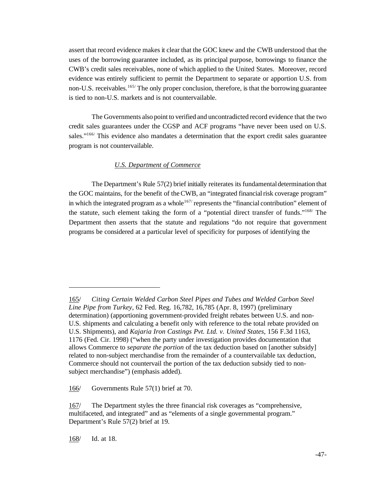assert that record evidence makes it clear that the GOC knew and the CWB understood that the uses of the borrowing guarantee included, as its principal purpose, borrowings to finance the CWB's credit sales receivables, none of which applied to the United States. Moreover, record evidence was entirely sufficient to permit the Department to separate or apportion U.S. from non-U.S. receivables.<sup>165/</sup> The only proper conclusion, therefore, is that the borrowing guarantee is tied to non-U.S. markets and is not countervailable.

The Governments also point to verified and uncontradicted record evidence that the two credit sales guarantees under the CGSP and ACF programs "have never been used on U.S. sales."<sup>166/</sup> This evidence also mandates a determination that the export credit sales guarantee program is not countervailable.

### *U.S. Department of Commerce*

The Department's Rule 57(2) brief initially reiterates its fundamental determination that the GOC maintains, for the benefit of the CWB, an "integrated financial risk coverage program" in which the integrated program as a whole<sup>167/</sup> represents the "financial contribution" element of the statute, such element taking the form of a "potential direct transfer of funds."168/ The Department then asserts that the statute and regulations "do not require that government programs be considered at a particular level of specificity for purposes of identifying the

168/ Id. at 18.

<sup>165/</sup> *Citing Certain Welded Carbon Steel Pipes and Tubes and Welded Carbon Steel Line Pipe from Turkey*, 62 Fed. Reg. 16,782, 16,785 (Apr. 8, 1997) (preliminary determination) (apportioning government-provided freight rebates between U.S. and non-U.S. shipments and calculating a benefit only with reference to the total rebate provided on U.S. Shipments), and *Kajaria Iron Castings Pvt. Ltd. v. United States*, 156 F.3d 1163, 1176 (Fed. Cir. 1998) ("when the party under investigation provides documentation that allows Commerce to *separate the portion* of the tax deduction based on [another subsidy] related to non-subject merchandise from the remainder of a countervailable tax deduction, Commerce should not countervail the portion of the tax deduction subsidy tied to nonsubject merchandise") (emphasis added).

<sup>166/</sup> Governments Rule 57(1) brief at 70.

<sup>167/</sup> The Department styles the three financial risk coverages as "comprehensive, multifaceted, and integrated" and as "elements of a single governmental program." Department's Rule 57(2) brief at 19.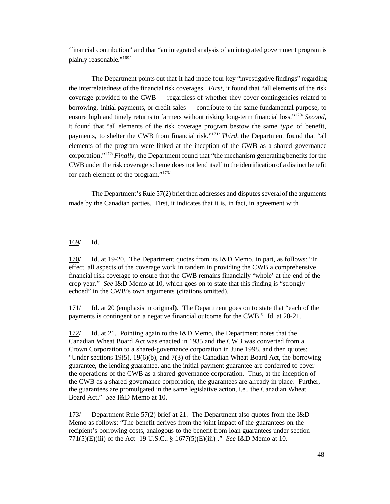'financial contribution" and that "an integrated analysis of an integrated government program is plainly reasonable."<sup>169/</sup>

The Department points out that it had made four key "investigative findings" regarding the interrelatedness of the financial risk coverages. *First*, it found that "all elements of the risk" coverage provided to the CWB — regardless of whether they cover contingencies related to borrowing, initial payments, or credit sales — contribute to the same fundamental purpose, to ensure high and timely returns to farmers without risking long-term financial loss."170/ *Second*, it found that "all elements of the risk coverage program bestow the same *type* of benefit, payments, to shelter the CWB from financial risk."<sup>171</sup> *Third*, the Department found that "all elements of the program were linked at the inception of the CWB as a shared governance corporation."172/*Finally*, the Department found that "the mechanism generating benefits for the CWBunder the risk coverage scheme does not lend itself to the identification of a distinct benefit for each element of the program."173/

The Department's Rule 57(2) brief then addresses and disputes several of the arguments made by the Canadian parties. First, it indicates that it is, in fact, in agreement with

169/ Id.

170/ Id. at 19-20. The Department quotes from its I&D Memo, in part, as follows: "In effect, all aspects of the coverage work in tandem in providing the CWB a comprehensive financial risk coverage to ensure that the CWB remains financially 'whole' at the end of the crop year." *See* I&D Memo at 10, which goes on to state that this finding is "strongly echoed" in the CWB's own arguments (citations omitted).

171/ Id. at 20 (emphasis in original). The Department goes on to state that "each of the payments is contingent on a negative financial outcome for the CWB." Id. at 20-21.

172/ Id. at 21. Pointing again to the I&D Memo, the Department notes that the Canadian Wheat Board Act was enacted in 1935 and the CWB was converted from a Crown Corporation to a shared-governance corporation in June 1998, and then quotes: "Under sections 19(5), 19(6)(b), and 7(3) of the Canadian Wheat Board Act, the borrowing guarantee, the lending guarantee, and the initial payment guarantee are conferred to cover the operations of the CWB as a shared-governance corporation. Thus, at the inception of the CWB as a shared-governance corporation, the guarantees are already in place. Further, the guarantees are promulgated in the same legislative action, i.e., the Canadian Wheat Board Act." *See* I&D Memo at 10.

173/ Department Rule 57(2) brief at 21. The Department also quotes from the I&D Memo as follows: "The benefit derives from the joint impact of the guarantees on the recipient's borrowing costs, analogous to the benefit from loan guarantees under section 771(5)(E)(iii) of the Act [19 U.S.C., § 1677(5)(E)(iii)]." *See* I&D Memo at 10.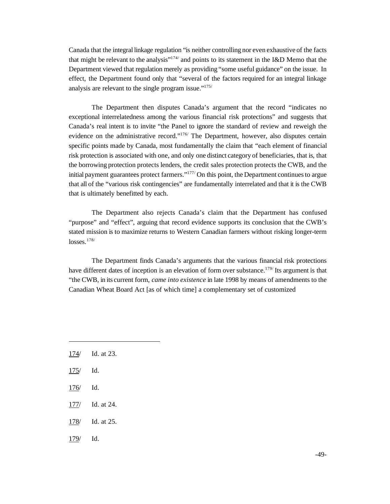Canada that the integral linkage regulation "is neither controlling nor even exhaustive of the facts that might be relevant to the analysis"174/ and points to its statement in the I&D Memo that the Department viewed that regulation merely as providing "some useful guidance" on the issue. In effect, the Department found only that "several of the factors required for an integral linkage analysis are relevant to the single program issue."175/

The Department then disputes Canada's argument that the record "indicates no exceptional interrelatedness among the various financial risk protections" and suggests that Canada's real intent is to invite "the Panel to ignore the standard of review and reweigh the evidence on the administrative record."<sup>176/</sup> The Department, however, also disputes certain specific points made by Canada, most fundamentally the claim that "each element of financial risk protection is associated with one, and only one distinct category of beneficiaries, that is, that the borrowing protection protects lenders, the credit sales protection protects the CWB, and the initial payment guarantees protect farmers."<sup>177/</sup> On this point, the Department continues to argue that all of the "various risk contingencies" are fundamentally interrelated and that it is the CWB that is ultimately benefitted by each.

The Department also rejects Canada's claim that the Department has confused "purpose" and "effect", arguing that record evidence supports its conclusion that the CWB's stated mission is to maximize returns to Western Canadian farmers without risking longer-term  $losses.<sup>178/</sup>$ 

The Department finds Canada's arguments that the various financial risk protections have different dates of inception is an elevation of form over substance.<sup>179/</sup> Its argument is that "the CWB, in its current form, *came into existence* in late 1998 by means of amendments to the Canadian Wheat Board Act [as of which time] a complementary set of customized

- 174/ Id. at 23.
- 175/ Id.
- 176/ Id.
- 177/ Id. at 24.
- 178/ Id. at 25.
- 179/ Id.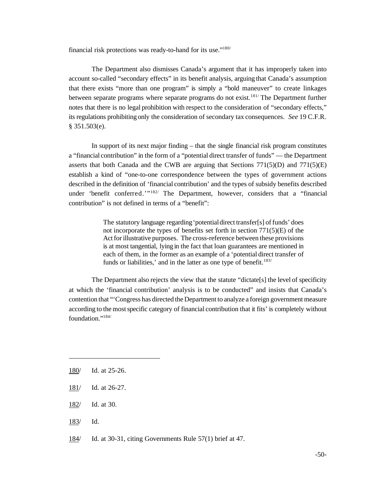financial risk protections was ready-to-hand for its use."<sup>180/</sup>

The Department also dismisses Canada's argument that it has improperly taken into account so-called "secondary effects" in its benefit analysis, arguing that Canada's assumption that there exists "more than one program" is simply a "bold maneuver" to create linkages between separate programs where separate programs do not exist.<sup>181/</sup> The Department further notes that there is no legal prohibition with respect to the consideration of "secondary effects," its regulations prohibiting only the consideration of secondary tax consequences. *See* 19 C.F.R. § 351.503(e).

In support of its next major finding – that the single financial risk program constitutes a "financial contribution" in the form of a "potential direct transfer of funds" — the Department asserts that both Canada and the CWB are arguing that Sections  $771(5)(D)$  and  $771(5)(E)$ establish a kind of "one-to-one correspondence between the types of government actions described in the definition of 'financial contribution' and the types of subsidy benefits described under 'benefit conferred.'"182/ The Department, however, considers that a "financial contribution" is not defined in terms of a "benefit":

> The statutory language regarding'potentialdirect transfer[s] of funds' does not incorporate the types of benefits set forth in section 771(5)(E) of the Act for illustrative purposes. The cross-reference between these provisions is at most tangential, lying in the fact that loan guarantees are mentioned in each of them, in the former as an example of a 'potential direct transfer of funds or liabilities,' and in the latter as one type of benefit.<sup>183/</sup>

The Department also rejects the view that the statute "dictate[s] the level of specificity at which the 'financial contribution' analysis is to be conducted" and insists that Canada's contention that "'Congress has directed the Department to analyze a foreign government measure according to the mostspecific category of financial contribution that it fits' is completely without foundation."<sup>184/</sup>

- 183/ Id.
- 184/ Id. at 30-31, citing Governments Rule 57(1) brief at 47.

<sup>180/</sup> Id. at 25-26.

<sup>181/</sup> Id. at 26-27.

<sup>182/</sup> Id. at 30.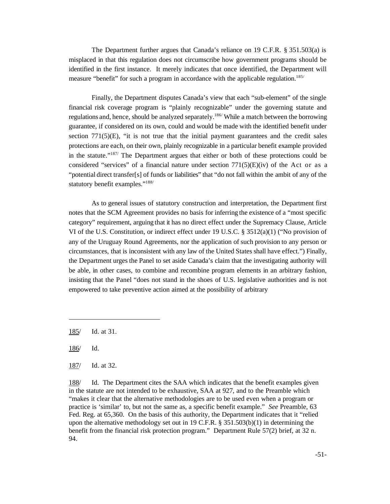The Department further argues that Canada's reliance on 19 C.F.R. § 351.503(a) is misplaced in that this regulation does not circumscribe how government programs should be identified in the first instance. It merely indicates that once identified, the Department will measure "benefit" for such a program in accordance with the applicable regulation.<sup>185/</sup>

Finally, the Department disputes Canada's view that each "sub-element" of the single financial risk coverage program is "plainly recognizable" under the governing statute and regulations and, hence, should be analyzed separately.<sup>186/</sup> While a match between the borrowing guarantee, if considered on its own, could and would be made with the identified benefit under section  $771(5)(E)$ , "it is not true that the initial payment guarantees and the credit sales protections are each, on their own, plainly recognizable in a particular benefit example provided in the statute."187/ The Department argues that either or both of these protections could be considered "services" of a financial nature under section  $771(5)(E)(iv)$  of the Act or as a "potential direct transfer[s] of funds or liabilities" that "do not fall within the ambit of any of the statutory benefit examples."188/

As to general issues of statutory construction and interpretation, the Department first notes that the SCM Agreement provides no basis for inferring the existence of a "most specific category" requirement, arguing that it has no direct effect under the Supremacy Clause, Article VI of the U.S. Constitution, or indirect effect under 19 U.S.C. § 3512(a)(1) ("No provision of any of the Uruguay Round Agreements, nor the application of such provision to any person or circumstances, that is inconsistent with any law of the United States shall have effect.") Finally, the Department urges the Panel to set aside Canada's claim that the investigating authority will be able, in other cases, to combine and recombine program elements in an arbitrary fashion, insisting that the Panel "does not stand in the shoes of U.S. legislative authorities and is not empowered to take preventive action aimed at the possibility of arbitrary

188/ Id. The Department cites the SAA which indicates that the benefit examples given in the statute are not intended to be exhaustive, SAA at 927, and to the Preamble which "makes it clear that the alternative methodologies are to be used even when a program or practice is 'similar' to, but not the same as, a specific benefit example." *See* Preamble, 63 Fed. Reg. at 65,360. On the basis of this authority, the Department indicates that it "relied upon the alternative methodology set out in 19 C.F.R.  $\S 351.503(b)(1)$  in determining the benefit from the financial risk protection program." Department Rule 57(2) brief, at 32 n. 94.

<sup>185/</sup> Id. at 31.

<sup>186/</sup> Id.

<sup>187/</sup> Id. at 32.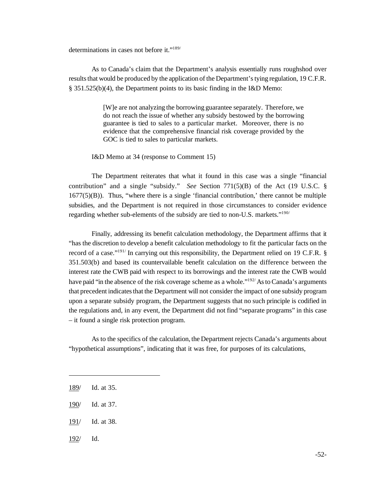determinations in cases not before it."189/

As to Canada's claim that the Department's analysis essentially runs roughshod over results that would be produced by the application of the Department's tying regulation, 19 C.F.R. § 351.525(b)(4), the Department points to its basic finding in the I&D Memo:

> [W]e are not analyzing the borrowing guarantee separately. Therefore, we do not reach the issue of whether any subsidy bestowed by the borrowing guarantee is tied to sales to a particular market. Moreover, there is no evidence that the comprehensive financial risk coverage provided by the GOC is tied to sales to particular markets.

I&D Memo at 34 (response to Comment 15)

The Department reiterates that what it found in this case was a single "financial contribution" and a single "subsidy." *See* Section 771(5)(B) of the Act (19 U.S.C. § 1677(5)(B)). Thus, "where there is a single 'financial contribution,' there cannot be multiple subsidies, and the Department is not required in those circumstances to consider evidence regarding whether sub-elements of the subsidy are tied to non-U.S. markets."190/

Finally, addressing its benefit calculation methodology, the Department affirms that it "has the discretion to develop a benefit calculation methodology to fit the particular facts on the record of a case."<sup>191/</sup> In carrying out this responsibility, the Department relied on 19 C.F.R. § 351.503(b) and based its countervailable benefit calculation on the difference between the interest rate the CWB paid with respect to its borrowings and the interest rate the CWB would have paid "in the absence of the risk coverage scheme as a whole."<sup>192</sup>/As to Canada's arguments that precedent indicatesthat the Department will not consider the impact of one subsidy program upon a separate subsidy program, the Department suggests that no such principle is codified in the regulations and, in any event, the Department did not find "separate programs" in this case – it found a single risk protection program.

As to the specifics of the calculation, the Department rejects Canada's arguments about "hypothetical assumptions", indicating that it was free, for purposes of its calculations,

- 191/ Id. at 38.
- 192/ Id.

<sup>189/</sup> Id. at 35.

<sup>190/</sup> Id. at 37.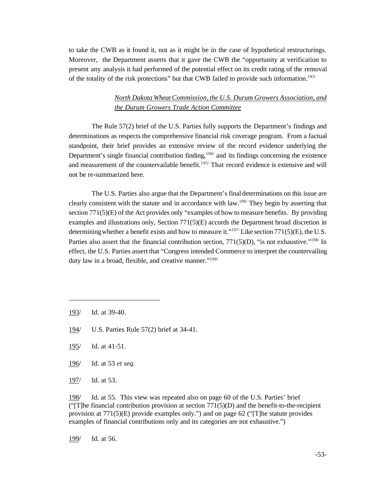to take the CWB as it found it, not as it might be in the case of hypothetical restructurings. Moreover, the Department asserts that it gave the CWB the "opportunity at verification to present any analysis it had performed of the potential effect on its credit rating of the removal of the totality of the risk protections" but that CWB failed to provide such information.<sup>193/</sup>

## *North Dakota WheatCommission, the U.S. Durum Growers Association, and the Durum Growers Trade Action Committee*

The Rule 57(2) brief of the U.S. Parties fully supports the Department's findings and determinations as respects the comprehensive financial risk coverage program. From a factual standpoint, their brief provides an extensive review of the record evidence underlying the Department's single financial contribution finding,  $194/$  and its findings concerning the existence and measurement of the countervailable benefit.<sup>195/</sup> That record evidence is extensive and will not be re-summarized here.

The U.S. Parties also argue that the Department's final determinations on this issue are clearly consistent with the statute and in accordance with law.<sup>196/</sup> They begin by asserting that section  $771(5)(E)$  of the Act provides only "examples of how to measure benefits. By providing examples and illustrations only, Section  $771(5)(E)$  accords the Department broad discretion in determining whether a benefit exists and how to measure it."<sup>197/</sup>Like section 771(5)(E), the U.S. Parties also assert that the financial contribution section,  $771(5)(D)$ , "is not exhaustive."<sup>198/</sup> In effect, the U.S. Parties assert that "Congress intended Commerce to interpret the countervailing duty law in a broad, flexible, and creative manner."199/

- 194/ U.S. Parties Rule 57(2) brief at 34-41.
- 195/ Id. at 41-51.
- 196/ Id. at 53 *et seq.*
- 197/ Id. at 53.

199/ Id. at 56.

<sup>193/</sup> Id. at 39-40.

<sup>198/</sup> Id. at 55. This view was repeated also on page 60 of the U.S. Parties' brief ("The financial contribution provision at section  $771(5)(D)$  and the benefit-to-the-recipient provision at  $771(5)(E)$  provide examples only.") and on page 62 ("[T]he statute provides examples of financial contributions only and its categories are not exhaustive.")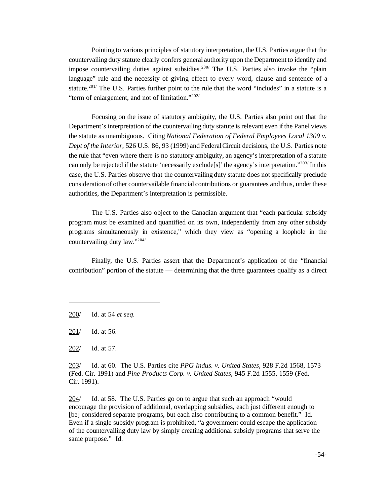Pointing to various principles of statutory interpretation, the U.S. Parties argue that the countervailing duty statute clearly confers general authority upon the Department to identify and impose countervailing duties against subsidies.<sup>200/</sup> The U.S. Parties also invoke the "plain language" rule and the necessity of giving effect to every word, clause and sentence of a statute.<sup>201/</sup> The U.S. Parties further point to the rule that the word "includes" in a statute is a "term of enlargement, and not of limitation."202/

Focusing on the issue of statutory ambiguity, the U.S. Parties also point out that the Department's interpretation of the countervailing duty statute is relevant even if the Panel views the statute as unambiguous. Citing *National Federation of Federal Employees Local 1309 v. Dept of the Interior*, 526 U.S. 86, 93 (1999) and FederalCircuit decisions, the U.S. Parties note the rule that "even where there is no statutory ambiguity, an agency's interpretation of a statute can only be rejected if the statute 'necessarily exclude[s]'the agency's interpretation."203/ In this case, the U.S. Parties observe that the countervailing duty statute does not specifically preclude consideration of other countervailable financial contributions or guarantees and thus, under these authorities, the Department's interpretation is permissible.

The U.S. Parties also object to the Canadian argument that "each particular subsidy program must be examined and quantified on its own, independently from any other subsidy programs simultaneously in existence," which they view as "opening a loophole in the countervailing duty law."204/

Finally, the U.S. Parties assert that the Department's application of the "financial contribution" portion of the statute — determining that the three guarantees qualify as a direct

201/ Id. at 56.

203/ Id. at 60. The U.S. Parties cite *PPG Indus. v. United States*, 928 F.2d 1568, 1573 (Fed. Cir. 1991) and *Pine Products Corp. v. United States*, 945 F.2d 1555, 1559 (Fed. Cir. 1991).

204/ Id. at 58. The U.S. Parties go on to argue that such an approach "would" encourage the provision of additional, overlapping subsidies, each just different enough to [be] considered separate programs, but each also contributing to a common benefit." Id. Even if a single subsidy program is prohibited, "a government could escape the application of the countervailing duty law by simply creating additional subsidy programs that serve the same purpose." Id.

<sup>200/</sup> Id. at 54 *et seq.*

<sup>202/</sup> Id. at 57.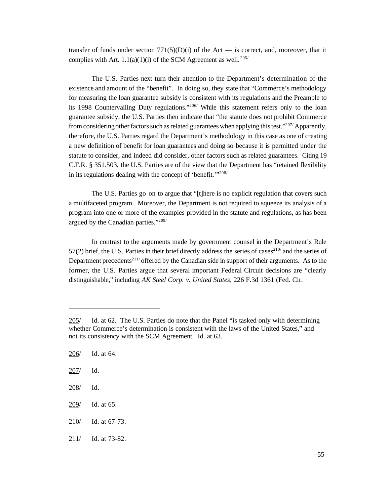transfer of funds under section  $771(5)(D)(i)$  of the Act — is correct, and, moreover, that it complies with Art.  $1.1(a)(1)(i)$  of the SCM Agreement as well.<sup>205/</sup>

The U.S. Parties next turn their attention to the Department's determination of the existence and amount of the "benefit". In doing so, they state that "Commerce's methodology for measuring the loan guarantee subsidy is consistent with its regulations and the Preamble to its 1998 Countervailing Duty regulations."206/ While this statement refers only to the loan guarantee subsidy, the U.S. Parties then indicate that "the statute does not prohibit Commerce from considering other factors such as related guarantees when applying this test."<sup>207/</sup> Apparently, therefore, the U.S. Parties regard the Department's methodology in this case as one of creating a new definition of benefit for loan guarantees and doing so because it is permitted under the statute to consider, and indeed did consider, other factors such as related guarantees. Citing 19 C.F.R. § 351.503, the U.S. Parties are of the view that the Department has "retained flexibility in its regulations dealing with the concept of 'benefit.'"<sup>208/</sup>

The U.S. Parties go on to argue that "[t]here is no explicit regulation that covers such a multifaceted program. Moreover, the Department is not required to squeeze its analysis of a program into one or more of the examples provided in the statute and regulations, as has been argued by the Canadian parties."209/

In contrast to the arguments made by government counsel in the Department's Rule  $57(2)$  brief, the U.S. Parties in their brief directly address the series of cases<sup>210/</sup> and the series of Department precedents<sup>211/</sup> offered by the Canadian side in support of their arguments. As to the former, the U.S. Parties argue that several important Federal Circuit decisions are "clearly distinguishable," including *AK Steel Corp. v. United States*, 226 F.3d 1361 (Fed. Cir.

208/ Id.

- 210/ Id. at 67-73.
- 211/ Id. at 73-82.

<sup>205/</sup> Id. at 62. The U.S. Parties do note that the Panel "is tasked only with determining whether Commerce's determination is consistent with the laws of the United States," and not its consistency with the SCM Agreement. Id. at 63.

<sup>206/</sup> Id. at 64.

<sup>207/</sup> Id.

<sup>209/</sup> Id. at 65.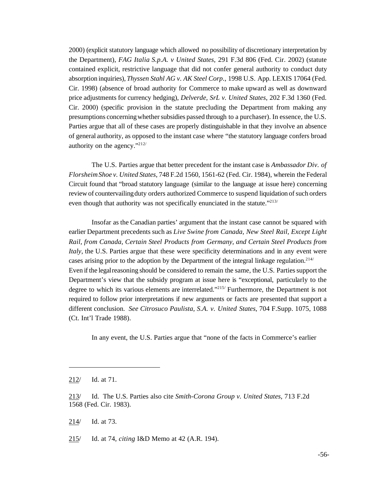2000) (explicit statutory language which allowed no possibility of discretionary interpretation by the Department), *FAG Italia S.p.A. v United States*, 291 F.3d 806 (Fed. Cir. 2002) (statute contained explicit, restrictive language that did not confer general authority to conduct duty absorption inquiries), *Thyssen Stahl AG v. AK Steel Corp*., 1998 U.S. App. LEXIS 17064 (Fed. Cir. 1998) (absence of broad authority for Commerce to make upward as well as downward price adjustments for currency hedging), *Delverde, SrL v. United States*, 202 F.3d 1360 (Fed. Cir. 2000) (specific provision in the statute precluding the Department from making any presumptions concerning whether subsidies passed through to a purchaser). In essence, the U.S. Parties argue that all of these cases are properly distinguishable in that they involve an absence of general authority, as opposed to the instant case where "the statutory language confers broad authority on the agency."212/

The U.S. Parties argue that better precedent for the instant case is *Ambassador Div. of FlorsheimShoe v. United States*, 748 F.2d 1560, 1561-62 (Fed. Cir. 1984), wherein the Federal Circuit found that "broad statutory language (similar to the language at issue here) concerning review of countervailing duty orders authorized Commerce to suspend liquidation of such orders even though that authority was not specifically enunciated in the statute."<sup>213/</sup>

Insofar as the Canadian parties' argument that the instant case cannot be squared with earlier Department precedents such as *Live Swine from Canada, New Steel Rail, Except Light Rail, from Canada, Certain Steel Products from Germany, and Certain Steel Products from Italy*, the U.S. Parties argue that these were specificity determinations and in any event were cases arising prior to the adoption by the Department of the integral linkage regulation.<sup>214/</sup> Even if the legal reasoning should be considered to remain the same, the U.S. Parties support the Department's view that the subsidy program at issue here is "exceptional, particularly to the degree to which its various elements are interrelated."<sup>215/</sup> Furthermore, the Department is not required to follow prior interpretations if new arguments or facts are presented that support a different conclusion. *See Citrosuco Paulista, S.A. v. United States*, 704 F.Supp. 1075, 1088 (Ct. Int'l Trade 1988).

In any event, the U.S. Parties argue that "none of the facts in Commerce's earlier

214/ Id. at 73.

215/ Id. at 74, *citing* I&D Memo at 42 (A.R. 194).

<sup>212/</sup> Id. at 71.

<sup>213/</sup> Id. The U.S. Parties also cite *Smith-Corona Group v. United States*, 713 F.2d 1568 (Fed. Cir. 1983).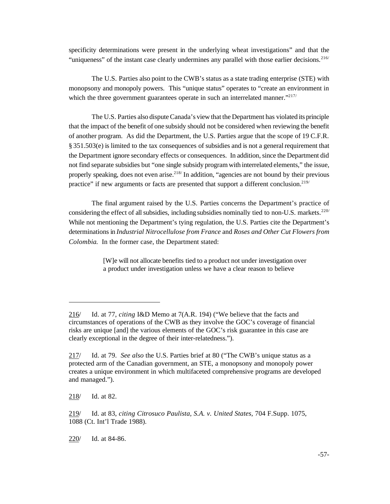specificity determinations were present in the underlying wheat investigations" and that the "uniqueness" of the instant case clearly undermines any parallel with those earlier decisions.  $216/$ 

The U.S. Parties also point to the CWB's status as a state trading enterprise (STE) with monopsony and monopoly powers. This "unique status" operates to "create an environment in which the three government guarantees operate in such an interrelated manner."<sup>217/</sup>

The U.S. Parties also disputeCanada's view that the Department has violated its principle that the impact of the benefit of one subsidy should not be considered when reviewing the benefit of another program. As did the Department, the U.S. Parties argue that the scope of 19 C.F.R.  $§ 351.503(e)$  is limited to the tax consequences of subsidies and is not a general requirement that the Department ignore secondary effects or consequences. In addition, since the Department did not find separate subsidies but "one single subsidy program with interrelated elements," the issue, properly speaking, does not even arise.<sup>218/</sup> In addition, "agencies are not bound by their previous practice" if new arguments or facts are presented that support a different conclusion.<sup>219/</sup>

The final argument raised by the U.S. Parties concerns the Department's practice of considering the effect of all subsidies, including subsidies nominally tied to non-U.S. markets.<sup>220/</sup> While not mentioning the Department's tying regulation, the U.S. Parties cite the Department's determinations in *Industrial Nitrocellulose from France* and *Roses and Other Cut Flowers from Colombia*. In the former case, the Department stated:

> [W]e will not allocate benefits tied to a product not under investigation over a product under investigation unless we have a clear reason to believe

218/ Id. at 82.

220/ Id. at 84-86.

<sup>216/</sup> Id. at 77, *citing* I&D Memo at 7(A.R. 194) ("We believe that the facts and circumstances of operations of the CWB as they involve the GOC's coverage of financial risks are unique [and] the various elements of the GOC's risk guarantee in this case are clearly exceptional in the degree of their inter-relatedness.").

<sup>217/</sup> Id. at 79. *See also* the U.S. Parties brief at 80 ("The CWB's unique status as a protected arm of the Canadian government, an STE, a monopsony and monopoly power creates a unique environment in which multifaceted comprehensive programs are developed and managed.").

<sup>219/</sup> Id. at 83, *citing Citrosuco Paulista, S.A. v. United States*, 704 F.Supp. 1075, 1088 (Ct. Int'l Trade 1988).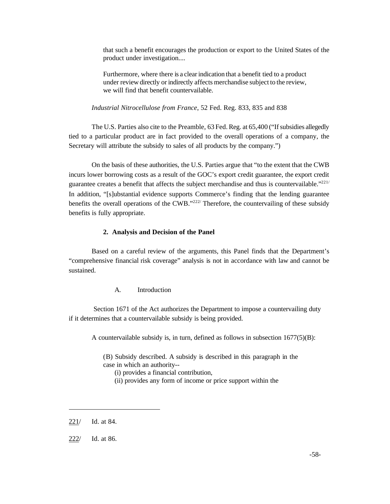that such a benefit encourages the production or export to the United States of the product under investigation....

Furthermore, where there is a clear indication that a benefit tied to a product under review directly or indirectly affects merchandise subject to the review, we will find that benefit countervailable.

*Industrial Nitrocellulose from France*, 52 Fed. Reg. 833, 835 and 838

The U.S. Parties also cite to the Preamble, 63 Fed. Reg. at 65,400 ("If subsidies allegedly tied to a particular product are in fact provided to the overall operations of a company, the Secretary will attribute the subsidy to sales of all products by the company.")

On the basis of these authorities, the U.S. Parties argue that "to the extent that the CWB incurs lower borrowing costs as a result of the GOC's export credit guarantee, the export credit guarantee creates a benefit that affects the subject merchandise and thus is countervailable."<sup>221/</sup> In addition, "[s]ubstantial evidence supports Commerce's finding that the lending guarantee benefits the overall operations of the CWB."<sup>222/</sup> Therefore, the countervailing of these subsidy benefits is fully appropriate.

#### **2. Analysis and Decision of the Panel**

Based on a careful review of the arguments, this Panel finds that the Department's "comprehensive financial risk coverage" analysis is not in accordance with law and cannot be sustained.

A. Introduction

 Section 1671 of the Act authorizes the Department to impose a countervailing duty if it determines that a countervailable subsidy is being provided.

A countervailable subsidy is, in turn, defined as follows in subsection  $1677(5)(B)$ :

(B) Subsidy described. A subsidy is described in this paragraph in the case in which an authority--

(i) provides a financial contribution,

(ii) provides any form of income or price support within the

<sup>221/</sup> Id. at 84.

<sup>222/</sup> Id. at 86.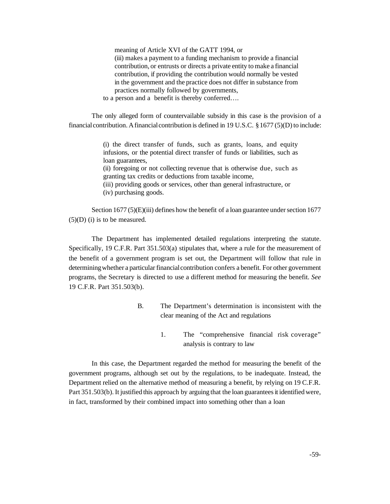meaning of Article XVI of the GATT 1994, or (iii) makes a payment to a funding mechanism to provide a financial contribution, or entrusts or directs a private entity to make a financial contribution, if providing the contribution would normally be vested in the government and the practice does not differ in substance from practices normally followed by governments,

to a person and a benefit is thereby conferred….

The only alleged form of countervailable subsidy in this case is the provision of a financial contribution. A financial contribution is defined in 19 U.S.C. § 1677 (5)(D) to include:

> (i) the direct transfer of funds, such as grants, loans, and equity infusions, or the potential direct transfer of funds or liabilities, such as loan guarantees,

> (ii) foregoing or not collecting revenue that is otherwise due, such as granting tax credits or deductions from taxable income, (iii) providing goods or services, other than general infrastructure, or

(iv) purchasing goods.

Section 1677 (5)(E)(iii) defines how the benefit of a loan guarantee under section 1677  $(5)(D)$  (i) is to be measured.

The Department has implemented detailed regulations interpreting the statute. Specifically, 19 C.F.R. Part 351.503(a) stipulates that, where a rule for the measurement of the benefit of a government program is set out, the Department will follow that rule in determining whether a particular financial contribution confers a benefit. For other government programs, the Secretary is directed to use a different method for measuring the benefit. *See* 19 C.F.R. Part 351.503(b).

- B. The Department's determination is inconsistent with the clear meaning of the Act and regulations
	- 1. The "comprehensive financial risk coverage" analysis is contrary to law

In this case, the Department regarded the method for measuring the benefit of the government programs, although set out by the regulations, to be inadequate. Instead, the Department relied on the alternative method of measuring a benefit, by relying on 19 C.F.R. Part 351.503(b). It justified this approach by arguing that the loan guarantees it identified were, in fact, transformed by their combined impact into something other than a loan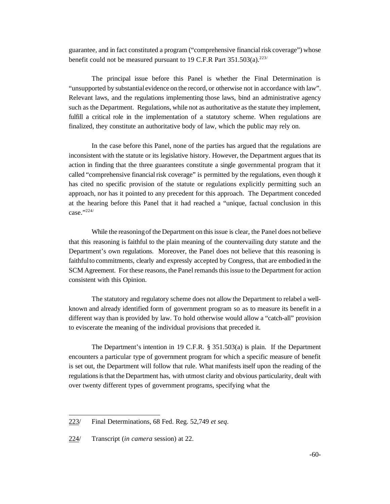guarantee, and in fact constituted a program ("comprehensive financialrisk coverage") whose benefit could not be measured pursuant to 19 C.F.R Part  $351.503(a).^{223/}$ 

The principal issue before this Panel is whether the Final Determination is "unsupported by substantialevidence on the record, or otherwise not in accordance with law". Relevant laws, and the regulations implementing those laws, bind an administrative agency such as the Department. Regulations, while not as authoritative as the statute they implement, fulfill a critical role in the implementation of a statutory scheme. When regulations are finalized, they constitute an authoritative body of law, which the public may rely on.

In the case before this Panel, none of the parties has argued that the regulations are inconsistent with the statute or its legislative history. However, the Department argues that its action in finding that the three guarantees constitute a single governmental program that it called "comprehensive financial risk coverage" is permitted by the regulations, even though it has cited no specific provision of the statute or regulations explicitly permitting such an approach, nor has it pointed to any precedent for this approach. The Department conceded at the hearing before this Panel that it had reached a "unique, factual conclusion in this case."224/

While the reasoning of the Department on this issue is clear, the Panel does not believe that this reasoning is faithful to the plain meaning of the countervailing duty statute and the Department's own regulations. Moreover, the Panel does not believe that this reasoning is faithfulto commitments, clearly and expressly accepted by Congress, that are embodied in the SCM Agreement. For these reasons, the Panel remands this issue to the Department for action consistent with this Opinion.

The statutory and regulatory scheme does not allow the Department to relabel a wellknown and already identified form of government program so as to measure its benefit in a different way than is provided by law. To hold otherwise would allow a "catch-all" provision to eviscerate the meaning of the individual provisions that preceded it.

The Department's intention in 19 C.F.R. § 351.503(a) is plain. If the Department encounters a particular type of government program for which a specific measure of benefit is set out, the Department will follow that rule. What manifests itself upon the reading of the regulations is that the Department has, with utmost clarity and obvious particularity, dealt with over twenty different types of government programs, specifying what the

<sup>223/</sup> Final Determinations, 68 Fed. Reg. 52,749 *et seq*.

<sup>224/</sup> Transcript (*in camera* session) at 22.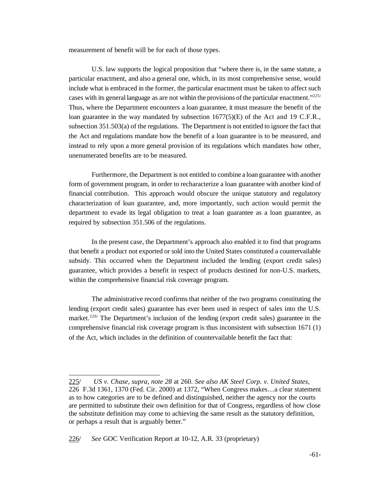measurement of benefit will be for each of those types.

U.S. law supports the logical proposition that "where there is, in the same statute, a particular enactment, and also a general one, which, in its most comprehensive sense, would include what is embraced in the former, the particular enactment must be taken to affect such cases with its general language as are not within the provisions of the particular enactment."225/ Thus, where the Department encounters a loan guarantee, it must measure the benefit of the loan guarantee in the way mandated by subsection 1677(5)(E) of the Act and 19 C.F.R., subsection 351.503(a) of the regulations. The Department is not entitled to ignore the fact that the Act and regulations mandate how the benefit of a loan guarantee is to be measured, and instead to rely upon a more general provision of its regulations which mandates how other, unenumerated benefits are to be measured.

Furthermore, the Department is not entitled to combine a loan guarantee with another form of government program, in order to recharacterize a loan guarantee with another kind of financial contribution. This approach would obscure the unique statutory and regulatory characterization of loan guarantee, and, more importantly, such action would permit the department to evade its legal obligation to treat a loan guarantee as a loan guarantee, as required by subsection 351.506 of the regulations.

In the present case, the Department's approach also enabled it to find that programs that benefit a product not exported or sold into the United States constituted a countervailable subsidy. This occurred when the Department included the lending (export credit sales) guarantee, which provides a benefit in respect of products destined for non-U.S. markets, within the comprehensive financial risk coverage program.

The administrative record confirms that neither of the two programs constituting the lending (export credit sales) guarantee has ever been used in respect of sales into the U.S. market.<sup>226/</sup> The Department's inclusion of the lending (export credit sales) guarantee in the comprehensive financial risk coverage program is thus inconsistent with subsection 1671 (1) of the Act, which includes in the definition of countervailable benefit the fact that:

<sup>225/</sup> *US v. Chase, supra, note 28* at 260. *See also AK Steel Corp. v. United States*, 226 F.3d 1361, 1370 (Fed. Cir. 2000) at 1372, "When Congress makes…a clear statement as to how categories are to be defined and distinguished, neither the agency nor the courts are permitted to substitute their own definition for that of Congress, regardless of how close the substitute definition may come to achieving the same result as the statutory definition, or perhaps a result that is arguably better."

<sup>226/</sup> *See* GOC Verification Report at 10-12, A.R. 33 (proprietary)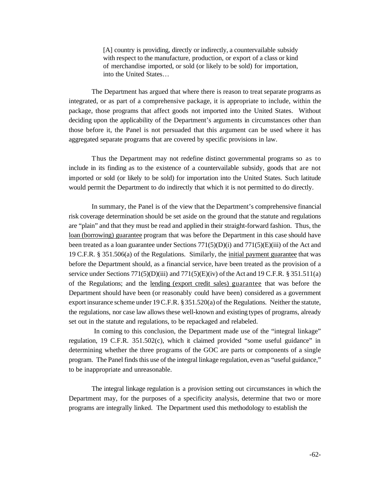[A] country is providing, directly or indirectly, a countervailable subsidy with respect to the manufacture, production, or export of a class or kind of merchandise imported, or sold (or likely to be sold) for importation, into the United States…

The Department has argued that where there is reason to treat separate programs as integrated, or as part of a comprehensive package, it is appropriate to include, within the package, those programs that affect goods not imported into the United States. Without deciding upon the applicability of the Department's arguments in circumstances other than those before it, the Panel is not persuaded that this argument can be used where it has aggregated separate programs that are covered by specific provisions in law.

Thus the Department may not redefine distinct governmental programs so as to include in its finding as to the existence of a countervailable subsidy, goods that are not imported or sold (or likely to be sold) for importation into the United States. Such latitude would permit the Department to do indirectly that which it is not permitted to do directly.

In summary, the Panel is of the view that the Department's comprehensive financial risk coverage determination should be set aside on the ground that the statute and regulations are "plain" and that they must be read and applied in their straight-forward fashion. Thus, the loan (borrowing) guarantee program that was before the Department in this case should have been treated as a loan guarantee under Sections  $771(5)(D)(i)$  and  $771(5)(E)(iii)$  of the Act and 19 C.F.R. § 351.506(a) of the Regulations. Similarly, the initial payment guarantee that was before the Department should, as a financial service, have been treated as the provision of a service under Sections  $771(5)(D)(iii)$  and  $771(5)(E)(iv)$  of the Act and 19 C.F.R. § 351.511(a) of the Regulations; and the lending (export credit sales) guarantee that was before the Department should have been (or reasonably could have been) considered as a government export insurance scheme under 19C.F.R. §351.520(a) of the Regulations. Neither the statute, the regulations, nor case law allows these well-known and existing types of programs, already set out in the statute and regulations, to be repackaged and relabeled.

In coming to this conclusion, the Department made use of the "integral linkage" regulation, 19 C.F.R. 351.502(c), which it claimed provided "some useful guidance" in determining whether the three programs of the GOC are parts or components of a single program. The Panel finds this use of the integral linkage regulation, even as "useful guidance," to be inappropriate and unreasonable.

The integral linkage regulation is a provision setting out circumstances in which the Department may, for the purposes of a specificity analysis, determine that two or more programs are integrally linked. The Department used this methodology to establish the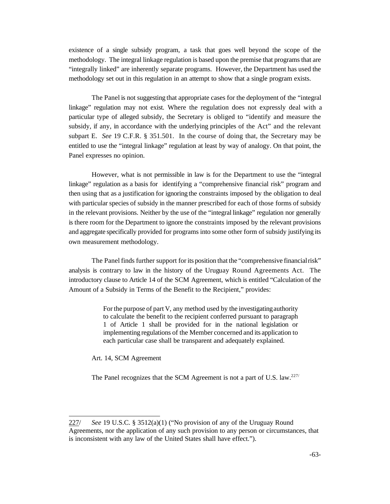existence of a single subsidy program, a task that goes well beyond the scope of the methodology. The integral linkage regulation is based upon the premise that programs that are "integrally linked" are inherently separate programs. However, the Department has used the methodology set out in this regulation in an attempt to show that a single program exists.

The Panel is not suggesting that appropriate cases for the deployment of the "integral linkage" regulation may not exist. Where the regulation does not expressly deal with a particular type of alleged subsidy, the Secretary is obliged to "identify and measure the subsidy, if any, in accordance with the underlying principles of the Act" and the relevant subpart E. *See* 19 C.F.R. § 351.501. In the course of doing that, the Secretary may be entitled to use the "integral linkage" regulation at least by way of analogy. On that point, the Panel expresses no opinion.

However, what is not permissible in law is for the Department to use the "integral linkage" regulation as a basis for identifying a "comprehensive financial risk" program and then using that as a justification for ignoring the constraints imposed by the obligation to deal with particular species of subsidy in the manner prescribed for each of those forms of subsidy in the relevant provisions. Neither by the use of the "integral linkage" regulation nor generally is there room for the Department to ignore the constraints imposed by the relevant provisions and aggregate specifically provided for programs into some other form of subsidy justifying its own measurement methodology.

The Panel finds further support for its position that the "comprehensive financialrisk" analysis is contrary to law in the history of the Uruguay Round Agreements Act. The introductory clause to Article 14 of the SCM Agreement, which is entitled "Calculation of the Amount of a Subsidy in Terms of the Benefit to the Recipient," provides:

> For the purpose of part V, any method used by the investigatingauthority to calculate the benefit to the recipient conferred pursuant to paragraph 1 of Article 1 shall be provided for in the national legislation or implementing regulations of the Member concerned and its application to each particular case shall be transparent and adequately explained.

Art. 14, SCM Agreement

The Panel recognizes that the SCM Agreement is not a part of U.S. law.<sup>227/</sup>

<sup>227/</sup> *See* 19 U.S.C. § 3512(a)(1) ("No provision of any of the Uruguay Round Agreements, nor the application of any such provision to any person or circumstances, that is inconsistent with any law of the United States shall have effect.").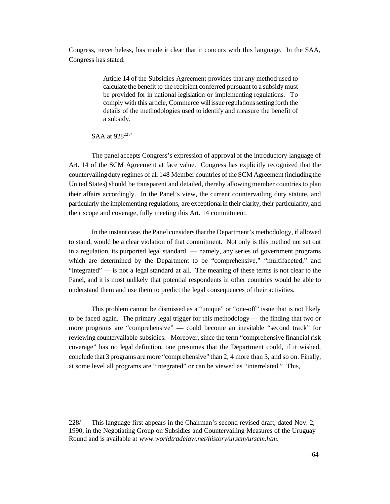Congress, nevertheless, has made it clear that it concurs with this language. In the SAA, Congress has stated:

> Article 14 of the Subsidies Agreement provides that any method used to calculate the benefit to the recipient conferred pursuant to a subsidy must be provided for in national legislation or implementing regulations. To comply with this article, Commerce will issue regulations setting forth the details of the methodologies used to identify and measure the benefit of a subsidy.

#### SAA at 928<sup>228/</sup>

The panel accepts Congress's expression of approval of the introductory language of Art. 14 of the SCM Agreement at face value. Congress has explicitly recognized that the countervailing duty regimes of all 148 Member countries of the SCM Agreement (including the United States) should be transparent and detailed, thereby allowing member countries to plan their affairs accordingly. In the Panel's view, the current countervailing duty statute, and particularly the implementing regulations, are exceptionalin their clarity, their particularity, and their scope and coverage, fully meeting this Art. 14 commitment.

In the instant case, the Panel considersthat the Department's methodology, if allowed to stand, would be a clear violation of that commitment. Not only is this method not set out in a regulation, its purported legal standard — namely, any series of government programs which are determined by the Department to be "comprehensive," "multifaceted," and "integrated" — is not a legal standard at all. The meaning of these terms is not clear to the Panel, and it is most unlikely that potential respondents in other countries would be able to understand them and use them to predict the legal consequences of their activities.

This problem cannot be dismissed as a "unique" or "one-off" issue that is not likely to be faced again. The primary legal trigger for this methodology — the finding that two or more programs are "comprehensive" — could become an inevitable "second track" for reviewing countervailable subsidies. Moreover, since the term "comprehensive financial risk coverage" has no legal definition, one presumes that the Department could, if it wished, conclude that 3 programs are more "comprehensive" than 2, 4 more than 3, and so on. Finally, at some level all programs are "integrated" or can be viewed as "interrelated." This,

<sup>228/</sup> This language first appears in the Chairman's second revised draft, dated Nov. 2, 1990, in the Negotiating Group on Subsidies and Countervailing Measures of the Uruguay Round and is available at *www.worldtradelaw.net/history/urscm/urscm.htm*.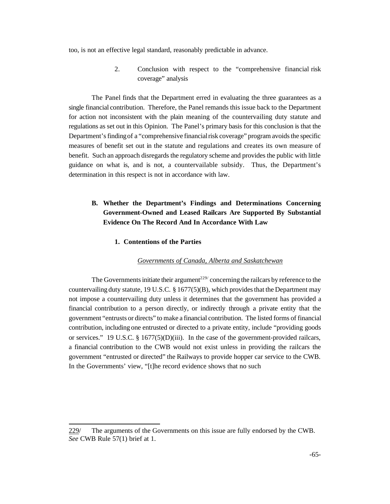too, is not an effective legal standard, reasonably predictable in advance.

2. Conclusion with respect to the "comprehensive financial risk coverage" analysis

The Panel finds that the Department erred in evaluating the three guarantees as a single financial contribution. Therefore, the Panel remands this issue back to the Department for action not inconsistent with the plain meaning of the countervailing duty statute and regulations as set out in this Opinion. The Panel's primary basis for this conclusion is that the Department's finding of a "comprehensive financial risk coverage" program avoids the specific measures of benefit set out in the statute and regulations and creates its own measure of benefit. Such an approach disregards the regulatory scheme and provides the public with little guidance on what is, and is not, a countervailable subsidy. Thus, the Department's determination in this respect is not in accordance with law.

# **B. Whether the Department's Findings and Determinations Concerning Government-Owned and Leased Railcars Are Supported By Substantial Evidence On The Record And In Accordance With Law**

### **1. Contentions of the Parties**

#### *Governments of Canada, Alberta and Saskatchewan*

The Governments initiate their argument<sup>229/</sup> concerning the railcars by reference to the countervailing duty statute, 19 U.S.C.  $\S 1677(5)(B)$ , which provides that the Department may not impose a countervailing duty unless it determines that the government has provided a financial contribution to a person directly, or indirectly through a private entity that the government "entrusts or directs" to make a financial contribution. The listed forms of financial contribution, including one entrusted or directed to a private entity, include "providing goods or services." 19 U.S.C. § 1677(5)(D)(iii). In the case of the government-provided railcars, a financial contribution to the CWB would not exist unless in providing the railcars the government "entrusted or directed" the Railways to provide hopper car service to the CWB. In the Governments' view, "[t]he record evidence shows that no such

<sup>229/</sup> The arguments of the Governments on this issue are fully endorsed by the CWB. *See* CWB Rule 57(1) brief at 1.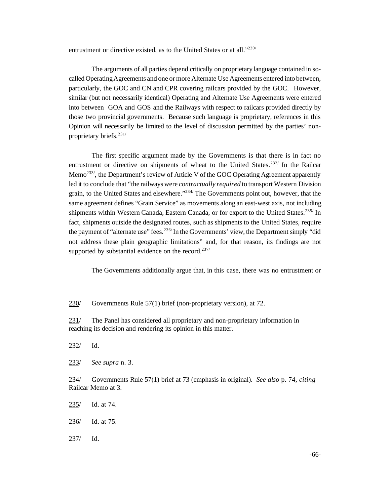entrustment or directive existed, as to the United States or at all."<sup>230/</sup>

The arguments of all parties depend critically on proprietary language contained in socalled Operating Agreements and one or more Alternate Use Agreements entered into between, particularly, the GOC and CN and CPR covering railcars provided by the GOC. However, similar (but not necessarily identical) Operating and Alternate Use Agreements were entered into between GOA and GOS and the Railways with respect to railcars provided directly by those two provincial governments. Because such language is proprietary, references in this Opinion will necessarily be limited to the level of discussion permitted by the parties' nonproprietary briefs.231/

The first specific argument made by the Governments is that there is in fact no entrustment or directive on shipments of wheat to the United States.<sup>232/</sup> In the Railcar Memo<sup>233/</sup>, the Department's review of Article V of the GOC Operating Agreement apparently led it to conclude that "the railways were *contractually required* to transport Western Division grain, to the United States and elsewhere." $2^{34}$  The Governments point out, however, that the same agreement defines "Grain Service" as movements along an east-west axis, not including shipments within Western Canada, Eastern Canada, or for export to the United States.<sup>235/</sup> In fact, shipments outside the designated routes, such as shipments to the United States, require the payment of "alternate use" fees.<sup>236/</sup>In the Governments' view, the Department simply "did" not address these plain geographic limitations" and, for that reason, its findings are not supported by substantial evidence on the record. $237/$ 

The Governments additionally argue that, in this case, there was no entrustment or

232/ Id.

233/ *See supra* n. 3.

234/ Governments Rule 57(1) brief at 73 (emphasis in original). *See also* p. 74, *citing* Railcar Memo at 3.

235/ Id. at 74.

236/ Id. at 75.

237/ Id.

<sup>230/</sup> Governments Rule 57(1) brief (non-proprietary version), at 72.

<sup>231/</sup> The Panel has considered all proprietary and non-proprietary information in reaching its decision and rendering its opinion in this matter.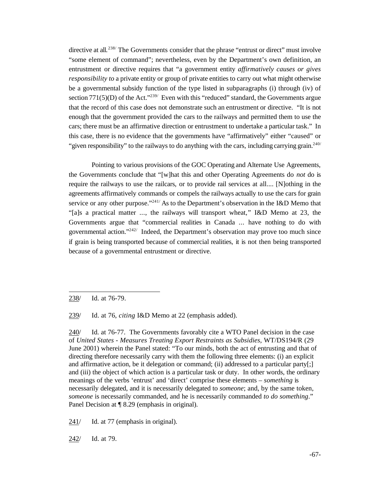directive at all.<sup>238/</sup> The Governments consider that the phrase "entrust or direct" must involve "some element of command"; nevertheless, even by the Department's own definition, an entrustment or directive requires that "a government entity *affirmatively causes or gives responsibility to* a private entity or group of private entities to carry out what might otherwise be a governmental subsidy function of the type listed in subparagraphs (i) through (iv) of section  $771(5)(D)$  of the Act."<sup>239/</sup> Even with this "reduced" standard, the Governments argue that the record of this case does not demonstrate such an entrustment or directive. "It is not enough that the government provided the cars to the railways and permitted them to use the cars; there must be an affirmative direction or entrustment to undertake a particular task." In this case, there is no evidence that the governments have "affirmatively" either "caused" or "given responsibility" to the railways to do anything with the cars, including carrying grain.<sup>240/</sup>

Pointing to various provisions of the GOC Operating and Alternate Use Agreements, the Governments conclude that "[w]hat this and other Operating Agreements do *not* do is require the railways to use the railcars, or to provide rail services at all.... [N]othing in the agreements affirmatively commands or compels the railways actually to use the cars for grain service or any other purpose."<sup>241/</sup> As to the Department's observation in the I&D Memo that "[a]s a practical matter ..., the railways will transport wheat," I&D Memo at 23, the Governments argue that "commercial realities in Canada ... have nothing to do with governmental action."242/ Indeed, the Department's observation may prove too much since if grain is being transported because of commercial realities, it is not then being transported because of a governmental entrustment or directive.

238/ Id. at 76-79.

239/ Id. at 76, *citing* I&D Memo at 22 (emphasis added).

240/ Id. at 76-77. The Governments favorably cite a WTO Panel decision in the case of *United States - Measures Treating Export Restraints as Subsidies*, WT/DS194/R (29 June 2001) wherein the Panel stated: "To our minds, both the act of entrusting and that of directing therefore necessarily carry with them the following three elements: (i) an explicit and affirmative action, be it delegation or command; (ii) addressed to a particular party[;] and (iii) the object of which action is a particular task or duty. In other words, the ordinary meanings of the verbs 'entrust' and 'direct' comprise these elements – *something* is necessarily delegated, and it is necessarily delegated to *someone*; and, by the same token, *someone* is necessarily commanded, and he is necessarily commanded *to do something*." Panel Decision at  $\P$  8.29 (emphasis in original).

241/ Id. at 77 (emphasis in original).

242/ Id. at 79.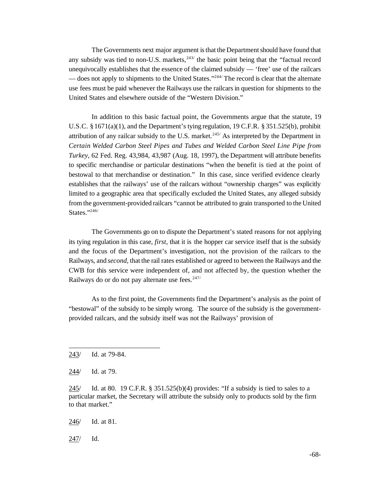The Governments next major argument is that the Department should have found that any subsidy was tied to non-U.S. markets, $243/$  the basic point being that the "factual record unequivocally establishes that the essence of the claimed subsidy — 'free' use of the railcars — does not apply to shipments to the United States."<sup>244</sup> The record is clear that the alternate use fees must be paid whenever the Railways use the railcars in question for shipments to the United States and elsewhere outside of the "Western Division."

In addition to this basic factual point, the Governments argue that the statute, 19 U.S.C. § 1671(a)(1), and the Department's tying regulation, 19 C.F.R. § 351.525(b), prohibit attribution of any railcar subsidy to the U.S. market.<sup>245/</sup> As interpreted by the Department in *Certain Welded Carbon Steel Pipes and Tubes and Welded Carbon Steel Line Pipe from Turkey*, 62 Fed. Reg. 43,984, 43,987 (Aug. 18, 1997), the Department will attribute benefits to specific merchandise or particular destinations "when the benefit is tied at the point of bestowal to that merchandise or destination." In this case, since verified evidence clearly establishes that the railways' use of the railcars without "ownership charges" was explicitly limited to a geographic area that specifically excluded the United States, any alleged subsidy from the government-provided railcars "cannot be attributed to grain transported to the United States."246/

The Governments go on to dispute the Department's stated reasons for not applying its tying regulation in this case, *first*, that it is the hopper car service itself that is the subsidy and the focus of the Department's investigation, not the provision of the railcars to the Railways, and *second*, that the rail rates established or agreed to between the Railways and the CWB for this service were independent of, and not affected by, the question whether the Railways do or do not pay alternate use fees.<sup>247/</sup>

As to the first point, the Governments find the Department's analysis as the point of "bestowal" of the subsidy to be simply wrong. The source of the subsidy is the governmentprovided railcars, and the subsidy itself was not the Railways' provision of

247/ Id.

<sup>243/</sup> Id. at 79-84.

<sup>244/</sup> Id. at 79.

<sup>245/</sup> Id. at 80. 19 C.F.R.  $\S$  351.525(b)(4) provides: "If a subsidy is tied to sales to a particular market, the Secretary will attribute the subsidy only to products sold by the firm to that market."

<sup>246/</sup> Id. at 81.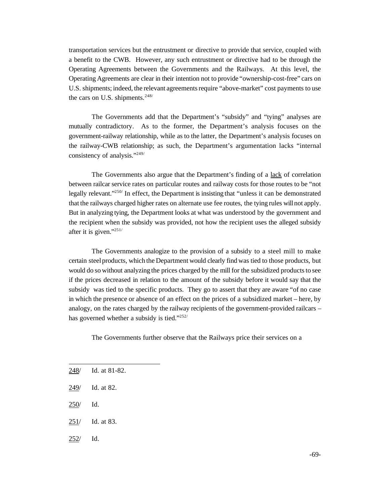transportation services but the entrustment or directive to provide that service, coupled with a benefit to the CWB. However, any such entrustment or directive had to be through the Operating Agreements between the Governments and the Railways. At this level, the Operating Agreements are clear in their intention not to provide "ownership-cost-free" cars on U.S. shipments; indeed, the relevant agreementsrequire "above-market" cost payments to use the cars on U.S. shipments. $248/$ 

The Governments add that the Department's "subsidy" and "tying" analyses are mutually contradictory. As to the former, the Department's analysis focuses on the government-railway relationship, while as to the latter, the Department's analysis focuses on the railway-CWB relationship; as such, the Department's argumentation lacks "internal consistency of analysis."249/

The Governments also argue that the Department's finding of a lack of correlation between railcar service rates on particular routes and railway costs for those routes to be "not legally relevant."<sup>250/</sup> In effect, the Department is insisting that "unless it can be demonstrated that the railways charged higher rates on alternate use fee routes, the tying rules willnot apply. But in analyzing tying, the Department looks at what was understood by the government and the recipient when the subsidy was provided, not how the recipient uses the alleged subsidy after it is given."251/

The Governments analogize to the provision of a subsidy to a steel mill to make certain steelproducts, which the Department would clearly find was tied to those products, but would do so without analyzing the prices charged by the mill for the subsidized products to see if the prices decreased in relation to the amount of the subsidy before it would say that the subsidy was tied to the specific products. They go to assert that they are aware "of no case in which the presence or absence of an effect on the prices of a subsidized market – here, by analogy, on the rates charged by the railway recipients of the government-provided railcars – has governed whether a subsidy is tied."252/

The Governments further observe that the Railways price their services on a

- 248/ Id. at 81-82.
- 249/ Id. at 82.
- 250/ Id.
- 251/ Id. at 83.
- 252/ Id.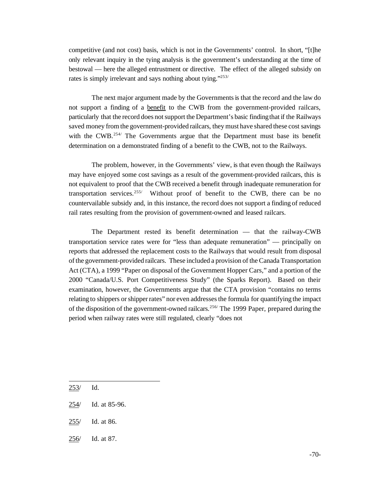competitive (and not cost) basis, which is not in the Governments' control. In short, "[t]he only relevant inquiry in the tying analysis is the government's understanding at the time of bestowal — here the alleged entrustment or directive. The effect of the alleged subsidy on rates is simply irrelevant and says nothing about tying."<sup>253/</sup>

The next major argument made by the Governments is that the record and the law do not support a finding of a benefit to the CWB from the government-provided railcars, particularly that the record does notsupport the Department's basic findingthat if the Railways saved money from the government-provided railcars, they must have shared these cost savings with the CWB.<sup>254/</sup> The Governments argue that the Department must base its benefit determination on a demonstrated finding of a benefit to the CWB, not to the Railways.

The problem, however, in the Governments' view, is that even though the Railways may have enjoyed some cost savings as a result of the government-provided railcars, this is not equivalent to proof that the CWB received a benefit through inadequate remuneration for transportation services.<sup>255/</sup> Without proof of benefit to the CWB, there can be no countervailable subsidy and, in this instance, the record does not support a finding of reduced rail rates resulting from the provision of government-owned and leased railcars.

The Department rested its benefit determination — that the railway-CWB transportation service rates were for "less than adequate remuneration" — principally on reports that addressed the replacement costs to the Railways that would result from disposal of the government-provided railcars. These included a provision of the Canada Transportation Act (CTA), a 1999 "Paper on disposal of the Government Hopper Cars," and a portion of the 2000 "Canada/U.S. Port Competitiveness Study" (the Sparks Report). Based on their examination, however, the Governments argue that the CTA provision "contains no terms relating to shippers orshipperrates" nor even addressesthe formula for quantifying the impact of the disposition of the government-owned railcars.<sup>256/</sup> The 1999 Paper, prepared during the period when railway rates were still regulated, clearly "does not

- 255/ Id. at 86.
- 256/ Id. at 87.

<sup>253/</sup> Id.

<sup>254/</sup> Id. at 85-96.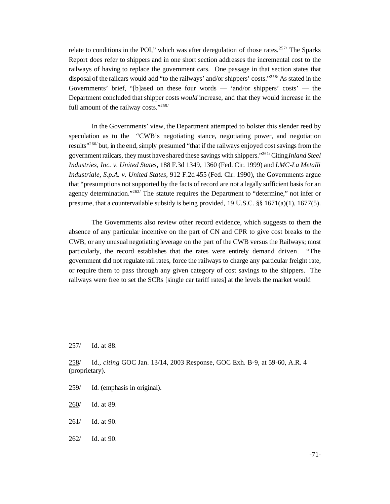relate to conditions in the POI," which was after deregulation of those rates.<sup>257/</sup> The Sparks Report does refer to shippers and in one short section addresses the incremental cost to the railways of having to replace the government cars. One passage in that section states that disposal of the railcars would add "to the railways' and/or shippers' costs."<sup>258</sup> As stated in the Governments' brief, "[b]ased on these four words — 'and/or shippers' costs' — the Department concluded that shipper costs *would* increase, and that they would increase in the full amount of the railway costs."<sup>259/</sup>

In the Governments' view, the Department attempted to bolster this slender reed by speculation as to the "CWB's negotiating stance, negotiating power, and negotiation results<sup>"260/</sup> but, in the end, simply presumed "that if the railways enjoyed cost sayings from the governmentrailcars, they must have shared these savings with shippers."261/Citing*Inland Steel Industries, Inc. v. United States*, 188 F.3d 1349, 1360 (Fed. Cir. 1999) and *LMC-La Metalli Industriale, S.p.A. v. United States*, 912 F.2d 455 (Fed. Cir. 1990), the Governments argue that "presumptions not supported by the facts of record are not a legally sufficient basis for an agency determination."<sup>262/</sup> The statute requires the Department to "determine," not infer or presume, that a countervailable subsidy is being provided, 19 U.S.C. §§ 1671(a)(1), 1677(5).

The Governments also review other record evidence, which suggests to them the absence of any particular incentive on the part of CN and CPR to give cost breaks to the CWB, or any unusual negotiating leverage on the part of the CWB versus the Railways; most particularly, the record establishes that the rates were entirely demand driven. "The government did not regulate rail rates, force the railways to charge any particular freight rate, or require them to pass through any given category of cost savings to the shippers. The railways were free to set the SCRs [single car tariff rates] at the levels the market would

- 259/ Id. (emphasis in original).
- 260/ Id. at 89.
- 261/ Id. at 90.
- 262/ Id. at 90.

<sup>257/</sup> Id. at 88.

<sup>258/</sup> Id., *citing* GOC Jan. 13/14, 2003 Response, GOC Exh. B-9, at 59-60, A.R. 4 (proprietary).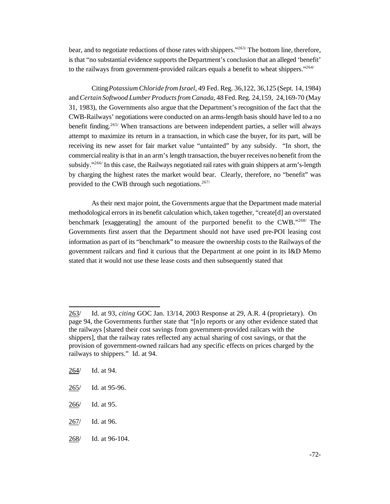bear, and to negotiate reductions of those rates with shippers."<sup>263/</sup> The bottom line, therefore, is that "no substantial evidence supports the Department's conclusion that an alleged 'benefit' to the railways from government-provided railcars equals a benefit to wheat shippers."<sup>264/</sup>

Citing*Potassium Chloride from Israel*, 49 Fed. Reg. 36,122, 36,125 (Sept. 14, 1984) and *Certain Softwood Lumber Productsfrom Canada*, 48 Fed. Reg. 24,159, 24,169-70 (May 31, 1983), the Governments also argue that the Department's recognition of the fact that the CWB-Railways' negotiations were conducted on an arms-length basis should have led to a no benefit finding.265/ When transactions are between independent parties, a seller will always attempt to maximize its return in a transaction, in which case the buyer, for its part, will be receiving its new asset for fair market value "untainted" by any subsidy. "In short, the commercial reality is that in an arm's length transaction, the buyer receives no benefit from the subsidy."<sup>266/</sup> In this case, the Railways negotiated rail rates with grain shippers at arm's-length by charging the highest rates the market would bear. Clearly, therefore, no "benefit" was provided to the CWB through such negotiations. $267/$ 

As their next major point, the Governments argue that the Department made material methodological errors in its benefit calculation which, taken together, "create[d] an overstated benchmark [exaggerating] the amount of the purported benefit to the CWB."268/ The Governments first assert that the Department should not have used pre-POI leasing cost information as part of its "benchmark" to measure the ownership costs to the Railways of the government railcars and find it curious that the Department at one point in its I&D Memo stated that it would not use these lease costs and then subsequently stated that

264/ Id. at 94.

- 267/ Id. at 96.
- 268/ Id. at 96-104.

<sup>263/</sup> Id. at 93, *citing* GOC Jan. 13/14, 2003 Response at 29, A.R. 4 (proprietary). On page 94, the Governments further state that "[n]o reports or any other evidence stated that the railways [shared their cost savings from government-provided railcars with the shippers], that the railway rates reflected any actual sharing of cost savings, or that the provision of government-owned railcars had any specific effects on prices charged by the railways to shippers." Id. at 94.

<sup>265/</sup> Id. at 95-96.

<sup>266/</sup> Id. at 95.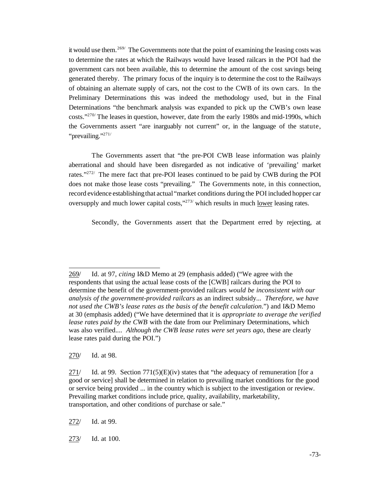it would use them.<sup>269/</sup> The Governments note that the point of examining the leasing costs was to determine the rates at which the Railways would have leased railcars in the POI had the government cars not been available, this to determine the amount of the cost savings being generated thereby. The primary focus of the inquiry is to determine the cost to the Railways of obtaining an alternate supply of cars, not the cost to the CWB of its own cars. In the Preliminary Determinations this was indeed the methodology used, but in the Final Determinations "the benchmark analysis was expanded to pick up the CWB's own lease costs."270/ The leases in question, however, date from the early 1980s and mid-1990s, which the Governments assert "are inarguably not current" or, in the language of the statute, "prevailing."<sup>271/</sup>

The Governments assert that "the pre-POI CWB lease information was plainly aberrational and should have been disregarded as not indicative of 'prevailing' market rates." $272/$  The mere fact that pre-POI leases continued to be paid by CWB during the POI does not make those lease costs "prevailing." The Governments note, in this connection, record evidence establishing that actual "market conditions during the POI included hopper car oversupply and much lower capital costs,"<sup>273/</sup> which results in much lower leasing rates.

Secondly, the Governments assert that the Department erred by rejecting, at

270/ Id. at 98.

272/ Id. at 99.

273/ Id. at 100.

<sup>269/</sup> Id. at 97, *citing* I&D Memo at 29 (emphasis added) ("We agree with the respondents that using the actual lease costs of the [CWB] railcars during the POI to determine the benefit of the government-provided railcars *would be inconsistent with our analysis of the government-provided railcars* as an indirect subsidy... *Therefore, we have not used the CWB's lease rates as the basis of the benefit calculation*.") and I&D Memo at 30 (emphasis added) ("We have determined that it is *appropriate to average the verified lease rates paid by the CWB* with the date from our Preliminary Determinations, which was also verified.... *Although the CWB lease rates were set years ago*, these are clearly lease rates paid during the POI.")

<sup>271/</sup> Id. at 99. Section  $771(5)(E)(iv)$  states that "the adequacy of remuneration [for a good or service] shall be determined in relation to prevailing market conditions for the good or service being provided ... in the country which is subject to the investigation or review. Prevailing market conditions include price, quality, availability, marketability, transportation, and other conditions of purchase or sale."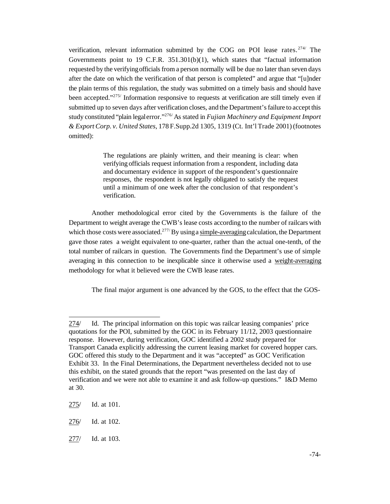verification, relevant information submitted by the COG on POI lease rates.<sup>274/</sup> The Governments point to 19 C.F.R. 351.301(b)(1), which states that "factual information requested by the verifyingofficials from a person normally will be due no later than seven days after the date on which the verification of that person is completed" and argue that "[u]nder the plain terms of this regulation, the study was submitted on a timely basis and should have been accepted."<sup>275/</sup> Information responsive to requests at verification are still timely even if submitted up to seven days after verification closes, and the Department's failure to accept this study constituted "plain legalerror."276/ As stated in *Fujian Machinery and Equipment Import & Export Corp. v. United States*, 178 F.Supp.2d 1305, 1319 (Ct. Int'l Trade 2001) (footnotes omitted):

> The regulations are plainly written, and their meaning is clear: when verifying officials request information from a respondent, including data and documentary evidence in support of the respondent's questionnaire responses, the respondent is not legally obligated to satisfy the request until a minimum of one week after the conclusion of that respondent's verification.

Another methodological error cited by the Governments is the failure of the Department to weight average the CWB's lease costs according to the number of railcars with which those costs were associated.<sup>277/</sup>By using a simple-averaging calculation, the Department gave those rates a weight equivalent to one-quarter, rather than the actual one-tenth, of the total number of railcars in question. The Governments find the Department's use of simple averaging in this connection to be inexplicable since it otherwise used a weight-averaging methodology for what it believed were the CWB lease rates.

The final major argument is one advanced by the GOS, to the effect that the GOS-

<sup>274/</sup> Id. The principal information on this topic was railcar leasing companies' price quotations for the POI, submitted by the GOC in its February 11/12, 2003 questionnaire response. However, during verification, GOC identified a 2002 study prepared for Transport Canada explicitly addressing the current leasing market for covered hopper cars. GOC offered this study to the Department and it was "accepted" as GOC Verification Exhibit 33. In the Final Determinations, the Department nevertheless decided not to use this exhibit, on the stated grounds that the report "was presented on the last day of verification and we were not able to examine it and ask follow-up questions." I&D Memo at 30.

<sup>275/</sup> Id. at 101.

<sup>276/</sup> Id. at 102.

<sup>277/</sup> Id. at 103.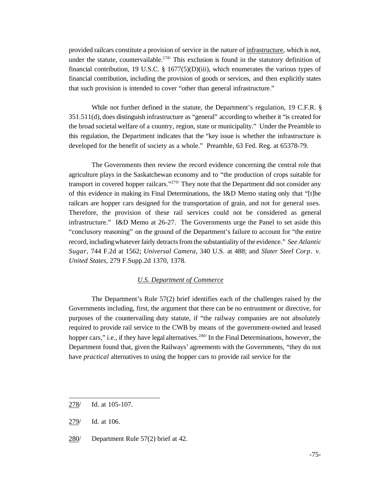provided railcars constitute a provision of service in the nature of infrastructure, which is not, under the statute, countervailable.<sup>278/</sup> This exclusion is found in the statutory definition of financial contribution, 19 U.S.C. § 1677(5)(D)(iii), which enumerates the various types of financial contribution, including the provision of goods or services, and then explicitly states that such provision is intended to cover "other than general infrastructure."

While not further defined in the statute, the Department's regulation, 19 C.F.R. § 351.511(d), does distinguish infrastructure as "general" according to whether it "is created for the broad societal welfare of a country, region, state or municipality." Under the Preamble to this regulation, the Department indicates that the "key issue is whether the infrastructure is developed for the benefit of society as a whole." Preamble, 63 Fed. Reg. at 65378-79.

The Governments then review the record evidence concerning the central role that agriculture plays in the Saskatchewan economy and to "the production of crops suitable for transport in covered hopper railcars."<sup>279/</sup> They note that the Department did not consider any of this evidence in making its Final Determinations, the I&D Memo stating only that "[t]he railcars are hopper cars designed for the transportation of grain, and not for general uses. Therefore, the provision of these rail services could not be considered as general infrastructure." I&D Memo at 26-27. The Governments urge the Panel to set aside this "conclusory reasoning" on the ground of the Department's failure to account for "the entire record, including whatever fairly detracts from the substantiality of the evidence." *See Atlantic Sugar,* 744 F.2d at 1562; *Universal Camera,* 340 U.S. at 488; and *Slater Steel Corp. v. United States*, 279 F.Supp.2d 1370, 1378.

## *U.S. Department of Commerce*

The Department's Rule 57(2) brief identifies each of the challenges raised by the Governments including, first, the argument that there can be no entrustment or directive, for purposes of the countervailing duty statute, if "the railway companies are not absolutely required to provide rail service to the CWB by means of the government-owned and leased hopper cars," i.e., if they have legal alternatives.<sup>280/</sup> In the Final Determinations, however, the Department found that, given the Railways' agreements with the Governments, "they do not have *practical* alternatives to using the hopper cars to provide rail service for the

<sup>278/</sup> Id. at 105-107.

<sup>279/</sup> Id. at 106.

<sup>280/</sup> Department Rule 57(2) brief at 42.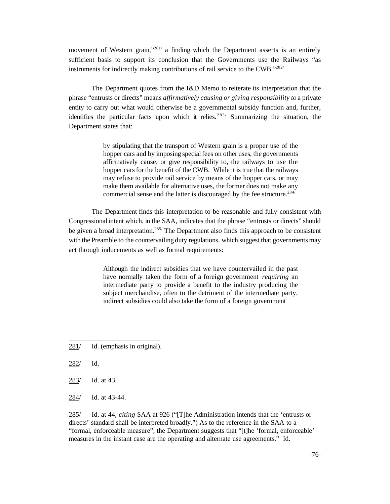movement of Western grain,"<sup>281</sup>/ a finding which the Department asserts is an entirely sufficient basis to support its conclusion that the Governments use the Railways "as instruments for indirectly making contributions of rail service to the CWB."282/

The Department quotes from the I&D Memo to reiterate its interpretation that the phrase "entrusts or directs" means *affirmatively causing or giving responsibility to* a private entity to carry out what would otherwise be a governmental subsidy function and, further, identifies the particular facts upon which it relies.<sup>283/</sup> Summarizing the situation, the Department states that:

> by stipulating that the transport of Western grain is a proper use of the hopper cars and by imposing special fees on other uses, the governments affirmatively cause, or give responsibility to, the railways to use the hopper cars for the benefit of the CWB. While it is true that the railways may refuse to provide rail service by means of the hopper cars, or may make them available for alternative uses, the former does not make any commercial sense and the latter is discouraged by the fee structure.<sup>284/</sup>

The Department finds this interpretation to be reasonable and fully consistent with Congressional intent which, in the SAA, indicates that the phrase "entrusts or directs" should be given a broad interpretation.<sup>285/</sup> The Department also finds this approach to be consistent with the Preamble to the countervailing duty regulations, which suggest that governments may act through inducements as well as formal requirements:

> Although the indirect subsidies that we have countervailed in the past have normally taken the form of a foreign government *requiring* an intermediate party to provide a benefit to the industry producing the subject merchandise, often to the detriment of the intermediate party, indirect subsidies could also take the form of a foreign government

- 281/ Id. (emphasis in original).
- 282/ Id.
- 283/ Id. at 43.
- 284/ Id. at 43-44.

285/ Id. at 44, *citing* SAA at 926 ("[T]he Administration intends that the 'entrusts or directs' standard shall be interpreted broadly.") As to the reference in the SAA to a "formal, enforceable measure", the Department suggests that "[t]he 'formal, enforceable' measures in the instant case are the operating and alternate use agreements." Id.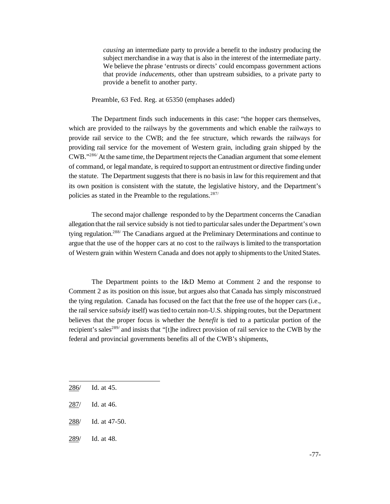*causing* an intermediate party to provide a benefit to the industry producing the subject merchandise in a way that is also in the interest of the intermediate party. We believe the phrase 'entrusts or directs' could encompass government actions that provide *inducements*, other than upstream subsidies, to a private party to provide a benefit to another party.

Preamble, 63 Fed. Reg. at 65350 (emphases added)

The Department finds such inducements in this case: "the hopper cars themselves, which are provided to the railways by the governments and which enable the railways to provide rail service to the CWB; and the fee structure, which rewards the railways for providing rail service for the movement of Western grain, including grain shipped by the CWB."<sup>286/</sup> At the same time, the Department rejects the Canadian argument that some element of command, or legalmandate, is required to support an entrustment or directive finding under the statute. The Department suggests that there is no basis in law for this requirement and that its own position is consistent with the statute, the legislative history, and the Department's policies as stated in the Preamble to the regulations.<sup>287/</sup>

The second major challenge responded to by the Department concerns the Canadian allegation that the rail service subsidy is not tied to particularsales under the Department's own tying regulation.<sup>288/</sup> The Canadians argued at the Preliminary Determinations and continue to argue that the use of the hopper cars at no cost to the railways is limited to the transportation of Western grain within Western Canada and does not apply to shipmentsto the United States.

The Department points to the I&D Memo at Comment 2 and the response to Comment 2 as its position on this issue, but argues also that Canada has simply misconstrued the tying regulation. Canada has focused on the fact that the free use of the hopper cars (i.e., the rail service *subsidy* itself) wastied to certain non-U.S. shipping routes, but the Department believes that the proper focus is whether the *benefit* is tied to a particular portion of the recipient's sales<sup>289/</sup> and insists that "[t]he indirect provision of rail service to the CWB by the federal and provincial governments benefits all of the CWB's shipments,

- 288/ Id. at 47-50.
- 289/ Id. at 48.

<sup>286/</sup> Id. at 45.

<sup>287/</sup> Id. at 46.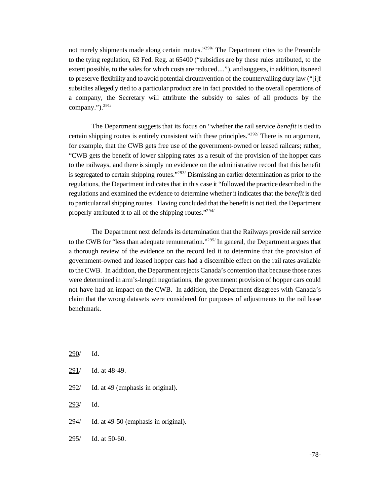not merely shipments made along certain routes."<sup>290/</sup> The Department cites to the Preamble to the tying regulation, 63 Fed. Reg. at 65400 ("subsidies are by these rules attributed, to the extent possible, to the sales for which costs are reduced...."), and suggests, in addition, its need to preserve flexibility and to avoid potential circumvention of the countervailing duty law ("[i]f subsidies allegedly tied to a particular product are in fact provided to the overall operations of a company, the Secretary will attribute the subsidy to sales of all products by the company."). $^{291/}$ 

The Department suggests that its focus on "whether the rail service *benefit* is tied to certain shipping routes is entirely consistent with these principles." $292/$  There is no argument, for example, that the CWB gets free use of the government-owned or leased railcars; rather, "CWB gets the benefit of lower shipping rates as a result of the provision of the hopper cars to the railways, and there is simply no evidence on the administrative record that this benefit is segregated to certain shipping routes."<sup>293/</sup> Dismissing an earlier determination as prior to the regulations, the Department indicates that in this case it "followed the practice described in the regulations and examined the evidence to determine whether it indicates that the *benefit* is tied to particularrailshipping routes. Having concluded that the benefit is not tied, the Department properly attributed it to all of the shipping routes."294/

The Department next defends its determination that the Railways provide rail service to the CWB for "less than adequate remuneration."<sup>295/</sup> In general, the Department argues that a thorough review of the evidence on the record led it to determine that the provision of government-owned and leased hopper cars had a discernible effect on the rail rates available to theCWB. In addition, the Department rejects Canada's contention that because those rates were determined in arm's-length negotiations, the government provision of hopper cars could not have had an impact on the CWB. In addition, the Department disagrees with Canada's claim that the wrong datasets were considered for purposes of adjustments to the rail lease benchmark.

| 290/ | Id.                                  |
|------|--------------------------------------|
|      | 291/ Id. at 48-49.                   |
| 292/ | Id. at 49 (emphasis in original).    |
| 293/ | Id.                                  |
| 294/ | Id. at 49-50 (emphasis in original). |

295/ Id. at 50-60.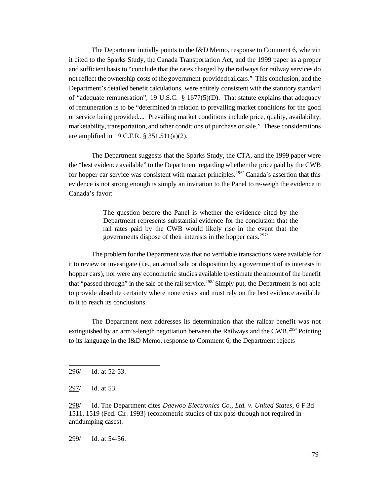The Department initially points to the I&D Memo, response to Comment 6, wherein it cited to the Sparks Study, the Canada Transportation Act, and the 1999 paper as a proper and sufficient basis to "conclude that the rates charged by the railways for railway services do not reflect the ownership costs of the government-provided railcars." This conclusion, and the Department's detailed benefit calculations, were entirely consistent with the statutory standard of "adequate remuneration", 19 U.S.C. § 1677(5)(D). That statute explains that adequacy of remuneration is to be "determined in relation to prevailing market conditions for the good or service being provided.... Prevailing market conditions include price, quality, availability, marketability, transportation, and other conditions of purchase or sale." These considerations are amplified in 19 C.F.R. § 351.511(a)(2).

The Department suggests that the Sparks Study, the CTA, and the 1999 paper were the "best evidence available" to the Department regarding whether the price paid by the CWB for hopper car service was consistent with market principles.<sup>296</sup> Canada's assertion that this evidence is not strong enough is simply an invitation to the Panel to re-weigh the evidence in Canada's favor:

> The question before the Panel is whether the evidence cited by the Department represents substantial evidence for the conclusion that the rail rates paid by the CWB would likely rise in the event that the governments dispose of their interests in the hopper cars. $297/$

The problem for the Department was that no verifiable transactions were available for it to review or investigate (i.e., an actual sale or disposition by a government of its interests in hopper cars), nor were any econometric studies available to estimate the amount of the benefit that "passed through" in the sale of the rail service.<sup>298/</sup> Simply put, the Department is not able to provide absolute certainty where none exists and must rely on the best evidence available to it to reach its conclusions.

The Department next addresses its determination that the railcar benefit was not extinguished by an arm's-length negotiation between the Railways and the CWB.299/ Pointing to its language in the I&D Memo, response to Comment 6, the Department rejects

299/ Id. at 54-56.

<sup>296/</sup> Id. at 52-53.

<sup>297/</sup> Id. at 53.

<sup>298/</sup> Id. The Department cites *Daewoo Electronics Co., Ltd. v. United States*, 6 F.3d 1511, 1519 (Fed. Cir. 1993) (econometric studies of tax pass-through not required in antidumping cases).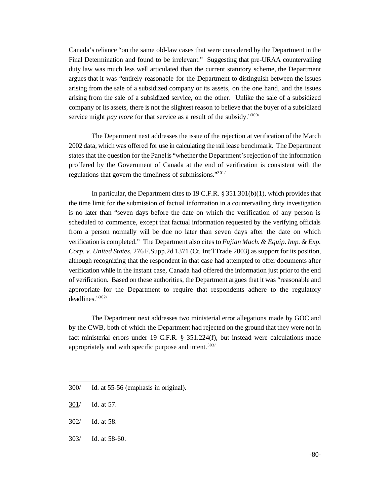Canada's reliance "on the same old-law cases that were considered by the Department in the Final Determination and found to be irrelevant." Suggesting that pre-URAA countervailing duty law was much less well articulated than the current statutory scheme, the Department argues that it was "entirely reasonable for the Department to distinguish between the issues arising from the sale of a subsidized company or its assets, on the one hand, and the issues arising from the sale of a subsidized service, on the other. Unlike the sale of a subsidized company or its assets, there is not the slightest reason to believe that the buyer of a subsidized service might *pay more* for that service as a result of the subsidy."<sup>300/</sup>

The Department next addresses the issue of the rejection at verification of the March 2002 data, which was offered for use in calculating the rail lease benchmark. The Department states that the question for the Panelis "whether the Department'srejection of the information proffered by the Government of Canada at the end of verification is consistent with the regulations that govern the timeliness of submissions."301/

In particular, the Department cites to 19 C.F.R. § 351.301(b)(1), which provides that the time limit for the submission of factual information in a countervailing duty investigation is no later than "seven days before the date on which the verification of any person is scheduled to commence, except that factual information requested by the verifying officials from a person normally will be due no later than seven days after the date on which verification is completed." The Department also cites to *Fujian Mach. & Equip. Imp. & Exp. Corp. v. United States*, 276 F.Supp.2d 1371 (Ct. Int'l Trade 2003) as support for its position, although recognizing that the respondent in that case had attempted to offer documents after verification while in the instant case, Canada had offered the information just prior to the end of verification. Based on these authorities, the Department argues that it was "reasonable and appropriate for the Department to require that respondents adhere to the regulatory deadlines."302/

The Department next addresses two ministerial error allegations made by GOC and by the CWB, both of which the Department had rejected on the ground that they were not in fact ministerial errors under 19 C.F.R. § 351.224(f), but instead were calculations made appropriately and with specific purpose and intent.<sup>303/</sup>

- 302/ Id. at 58.
- 303/ Id. at 58-60.

<sup>300/</sup> Id. at 55-56 (emphasis in original).

<sup>301/</sup> Id. at 57.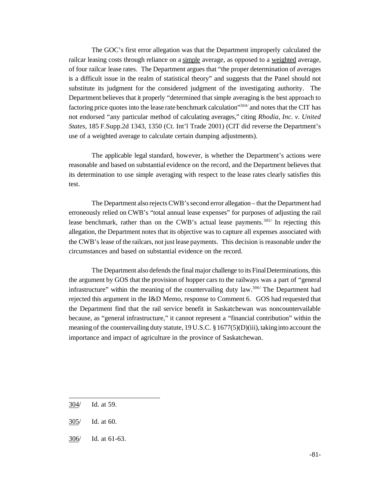The GOC's first error allegation was that the Department improperly calculated the railcar leasing costs through reliance on a simple average, as opposed to a weighted average, of four railcar lease rates. The Department argues that "the proper determination of averages is a difficult issue in the realm of statistical theory" and suggests that the Panel should not substitute its judgment for the considered judgment of the investigating authority. The Department believes that it properly "determined that simple averaging is the best approach to factoring price quotes into the lease rate benchmark calculation<sup>"304/</sup> and notes that the CIT has not endorsed "any particular method of calculating averages," citing *Rhodia, Inc. v. United States*, 185 F.Supp.2d 1343, 1350 (Ct. Int'l Trade 2001) (CIT did reverse the Department's use of a weighted average to calculate certain dumping adjustments).

The applicable legal standard, however, is whether the Department's actions were reasonable and based on substantial evidence on the record, and the Department believes that its determination to use simple averaging with respect to the lease rates clearly satisfies this test.

The Department also rejects CWB's second error allegation – that the Department had erroneously relied on CWB's "total annual lease expenses" for purposes of adjusting the rail lease benchmark, rather than on the CWB's actual lease payments.<sup>305/</sup> In rejecting this allegation, the Department notes that its objective was to capture all expenses associated with the CWB's lease of the railcars, not just lease payments. This decision is reasonable under the circumstances and based on substantial evidence on the record.

The Department also defends the final major challenge to its Final Determinations, this the argument by GOS that the provision of hopper cars to the railways was a part of "general infrastructure" within the meaning of the countervailing duty law.306/ The Department had rejected this argument in the I&D Memo, response to Comment 6. GOS had requested that the Department find that the rail service benefit in Saskatchewan was noncountervailable because, as "general infrastructure," it cannot represent a "financial contribution" within the meaning of the countervailing duty statute, 19 U.S.C. § 1677(5)(D)(iii), taking into account the importance and impact of agriculture in the province of Saskatchewan.

306/ Id. at 61-63.

<sup>304/</sup> Id. at 59.

<sup>305/</sup> Id. at 60.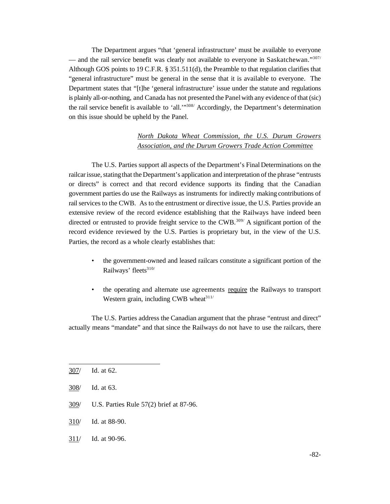The Department argues "that 'general infrastructure' must be available to everyone — and the rail service benefit was clearly not available to everyone in Saskatchewan."<sup>307/</sup> Although GOS points to 19 C.F.R. § 351.511(d), the Preamble to that regulation clarifies that "general infrastructure" must be general in the sense that it is available to everyone. The Department states that "[t]he 'general infrastructure' issue under the statute and regulations is plainly all-or-nothing, and Canada has not presented the Panelwith any evidence of that (sic) the rail service benefit is available to 'all.'"308/ Accordingly, the Department's determination on this issue should be upheld by the Panel.

## *North Dakota Wheat Commission, the U.S. Durum Growers Association, and the Durum Growers Trade Action Committee*

The U.S. Parties support all aspects of the Department's Final Determinations on the railcar issue, stating that the Department's application and interpretation of the phrase "entrusts" or directs" is correct and that record evidence supports its finding that the Canadian government parties do use the Railways as instruments for indirectly making contributions of rail services to the CWB. As to the entrustment or directive issue, the U.S. Parties provide an extensive review of the record evidence establishing that the Railways have indeed been directed or entrusted to provide freight service to the CWB.<sup>309/</sup> A significant portion of the record evidence reviewed by the U.S. Parties is proprietary but, in the view of the U.S. Parties, the record as a whole clearly establishes that:

- the government-owned and leased railcars constitute a significant portion of the Railways' fleets<sup>310/</sup>
- the operating and alternate use agreements require the Railways to transport Western grain, including CWB wheat $311/$

The U.S. Parties address the Canadian argument that the phrase "entrust and direct" actually means "mandate" and that since the Railways do not have to use the railcars, there

- 309/ U.S. Parties Rule 57(2) brief at 87-96.
- 310/ Id. at 88-90.
- 311/ Id. at 90-96.

<sup>307/</sup> Id. at 62.

<sup>308/</sup> Id. at 63.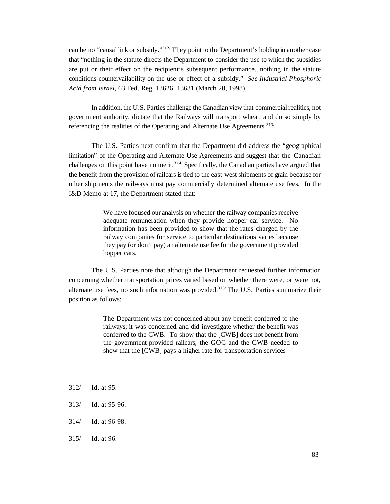can be no "causal link or subsidy."312/ They point to the Department's holding in another case that "nothing in the statute directs the Department to consider the use to which the subsidies are put or their effect on the recipient's subsequent performance...nothing in the statute conditions countervailability on the use or effect of a subsidy." *See Industrial Phosphoric Acid from Israel*, 63 Fed. Reg. 13626, 13631 (March 20, 1998).

In addition, the U.S. Parties challenge the Canadian view that commercial realities, not government authority, dictate that the Railways will transport wheat, and do so simply by referencing the realities of the Operating and Alternate Use Agreements.<sup>313/</sup>

The U.S. Parties next confirm that the Department did address the "geographical limitation" of the Operating and Alternate Use Agreements and suggest that the Canadian challenges on this point have no merit.<sup>314/</sup> Specifically, the Canadian parties have argued that the benefit from the provision of railcarsis tied to the east-west shipments of grain because for other shipments the railways must pay commercially determined alternate use fees. In the I&D Memo at 17, the Department stated that:

> We have focused our analysis on whether the railway companies receive adequate remuneration when they provide hopper car service. No information has been provided to show that the rates charged by the railway companies for service to particular destinations varies because they pay (or don't pay) an alternate use fee for the government provided hopper cars.

The U.S. Parties note that although the Department requested further information concerning whether transportation prices varied based on whether there were, or were not, alternate use fees, no such information was provided.<sup>315/</sup> The U.S. Parties summarize their position as follows:

> The Department was not concerned about any benefit conferred to the railways; it was concerned and did investigate whether the benefit was conferred to the CWB. To show that the [CWB] does not benefit from the government-provided railcars, the GOC and the CWB needed to show that the [CWB] pays a higher rate for transportation services

- 313/ Id. at 95-96.
- 314/ Id. at 96-98.
- 315/ Id. at 96.

<sup>312/</sup> Id. at 95.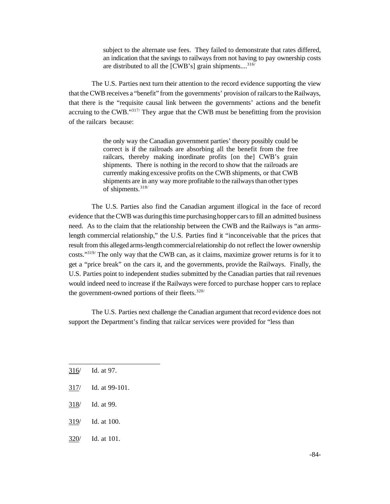subject to the alternate use fees. They failed to demonstrate that rates differed, an indication that the savings to railways from not having to pay ownership costs are distributed to all the [CWB's] grain shipments....<sup>316</sup>

The U.S. Parties next turn their attention to the record evidence supporting the view that the CWB receives a "benefit" from the governments' provision of railcars to the Railways, that there is the "requisite causal link between the governments' actions and the benefit accruing to the CWB."317/ They argue that the CWB must be benefitting from the provision of the railcars because:

> the only way the Canadian government parties' theory possibly could be correct is if the railroads are absorbing all the benefit from the free railcars, thereby making inordinate profits [on the] CWB's grain shipments. There is nothing in the record to show that the railroads are currently making excessive profits on the CWB shipments, or that CWB shipments are in any way more profitable to the railwaysthan other types of shipments.318/

The U.S. Parties also find the Canadian argument illogical in the face of record evidence that the CWB was during this time purchasing hopper cars to fill an admitted business need. As to the claim that the relationship between the CWB and the Railways is "an armslength commercial relationship," the U.S. Parties find it "inconceivable that the prices that result from this alleged arms-length commercialrelationship do not reflect the lower ownership costs."319/ The only way that the CWB can, as it claims, maximize grower returns is for it to get a "price break" on the cars it, and the governments, provide the Railways. Finally, the U.S. Parties point to independent studies submitted by the Canadian parties that rail revenues would indeed need to increase if the Railways were forced to purchase hopper cars to replace the government-owned portions of their fleets.<sup>320/</sup>

The U.S. Parties next challenge the Canadian argument that record evidence does not support the Department's finding that railcar services were provided for "less than

- 316/ Id. at 97.
- 317/ Id. at 99-101.
- 318/ Id. at 99.
- 319/ Id. at 100.
- 320/ Id. at 101.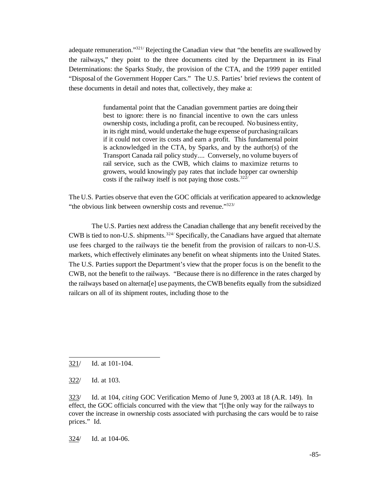adequate remuneration."<sup>321/</sup> Rejecting the Canadian view that "the benefits are swallowed by the railways," they point to the three documents cited by the Department in its Final Determinations: the Sparks Study, the provision of the CTA, and the 1999 paper entitled "Disposal of the Government Hopper Cars." The U.S. Parties' brief reviews the content of these documents in detail and notes that, collectively, they make a:

> fundamental point that the Canadian government parties are doing their best to ignore: there is no financial incentive to own the cars unless ownership costs, including a profit, can be recouped. No business entity, in its right mind, would undertake the huge expense of purchasingrailcars if it could not cover its costs and earn a profit. This fundamental point is acknowledged in the CTA, by Sparks, and by the author(s) of the Transport Canada rail policy study.... Conversely, no volume buyers of rail service, such as the CWB, which claims to maximize returns to growers, would knowingly pay rates that include hopper car ownership costs if the railway itself is not paying those costs.<sup>322/</sup>

The U.S. Parties observe that even the GOC officials at verification appeared to acknowledge "the obvious link between ownership costs and revenue."<sup>323/</sup>

The U.S. Parties next address the Canadian challenge that any benefit received by the CWB is tied to non-U.S. shipments.<sup>324/</sup> Specifically, the Canadians have argued that alternate use fees charged to the railways tie the benefit from the provision of railcars to non-U.S. markets, which effectively eliminates any benefit on wheat shipments into the United States. The U.S. Parties support the Department's view that the proper focus is on the benefit to the CWB, not the benefit to the railways. "Because there is no difference in the rates charged by the railways based on alternat[e] use payments, the CWB benefits equally from the subsidized railcars on all of its shipment routes, including those to the

321/ Id. at 101-104.

322/ Id. at 103.

323/ Id. at 104, *citing* GOC Verification Memo of June 9, 2003 at 18 (A.R. 149). In effect, the GOC officials concurred with the view that "[t]he only way for the railways to cover the increase in ownership costs associated with purchasing the cars would be to raise prices." Id.

324/ Id. at 104-06.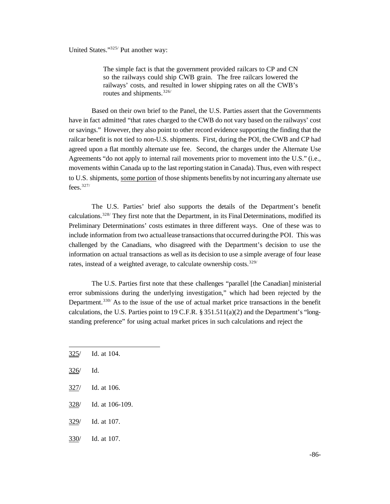United States."325/ Put another way:

The simple fact is that the government provided railcars to CP and CN so the railways could ship CWB grain. The free railcars lowered the railways' costs, and resulted in lower shipping rates on all the CWB's routes and shipments.326/

Based on their own brief to the Panel, the U.S. Parties assert that the Governments have in fact admitted "that rates charged to the CWB do not vary based on the railways' cost or savings." However, they also point to other record evidence supporting the finding that the railcar benefit is not tied to non-U.S. shipments. First, during the POI, the CWB and CP had agreed upon a flat monthly alternate use fee. Second, the charges under the Alternate Use Agreements "do not apply to internal rail movements prior to movement into the U.S." (i.e., movements within Canada up to the last reporting station in Canada). Thus, even with respect to U.S. shipments, some portion of those shipments benefits by not incurringany alternate use fees. $327/$ 

The U.S. Parties' brief also supports the details of the Department's benefit calculations.<sup>328/</sup> They first note that the Department, in its Final Determinations, modified its Preliminary Determinations' costs estimates in three different ways. One of these was to include information from two actuallease transactionsthat occurred duringthe POI. This was challenged by the Canadians, who disagreed with the Department's decision to use the information on actual transactions as well as its decision to use a simple average of four lease rates, instead of a weighted average, to calculate ownership costs.<sup>329/</sup>

The U.S. Parties first note that these challenges "parallel [the Canadian] ministerial error submissions during the underlying investigation," which had been rejected by the Department.<sup>330</sup> As to the issue of the use of actual market price transactions in the benefit calculations, the U.S. Parties point to 19 C.F.R.  $\S 351.511(a)(2)$  and the Department's "longstanding preference" for using actual market prices in such calculations and reject the

- 325/ Id. at 104.
- 326/ Id.
- 327/ Id. at 106.
- 328/ Id. at 106-109.
- 329/ Id. at 107.
- 330/ Id. at 107.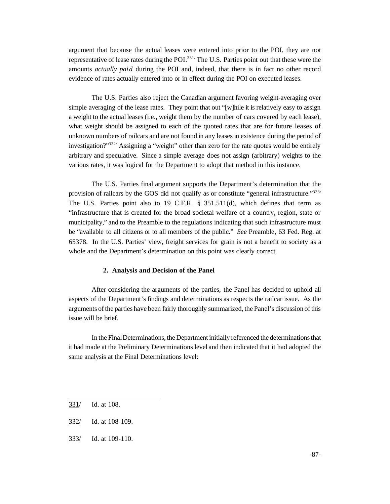argument that because the actual leases were entered into prior to the POI, they are not representative of lease rates during the POI.<sup>331/</sup> The U.S. Parties point out that these were the amounts *actually paid* during the POI and, indeed, that there is in fact no other record evidence of rates actually entered into or in effect during the POI on executed leases.

The U.S. Parties also reject the Canadian argument favoring weight-averaging over simple averaging of the lease rates. They point that out "[w]hile it is relatively easy to assign a weight to the actual leases (i.e., weight them by the number of cars covered by each lease), what weight should be assigned to each of the quoted rates that are for future leases of unknown numbers of railcars and are not found in any leases in existence during the period of investigation?"<sup>332/</sup> Assigning a "weight" other than zero for the rate quotes would be entirely arbitrary and speculative. Since a simple average does not assign (arbitrary) weights to the various rates, it was logical for the Department to adopt that method in this instance.

The U.S. Parties final argument supports the Department's determination that the provision of railcars by the GOS did not qualify as or constitute "general infrastructure."333/ The U.S. Parties point also to 19 C.F.R. § 351.511(d), which defines that term as "infrastructure that is created for the broad societal welfare of a country, region, state or municipality," and to the Preamble to the regulations indicating that such infrastructure must be "available to all citizens or to all members of the public." *See* Preamble*,* 63 Fed. Reg. at 65378. In the U.S. Parties' view, freight services for grain is not a benefit to society as a whole and the Department's determination on this point was clearly correct.

## **2. Analysis and Decision of the Panel**

After considering the arguments of the parties, the Panel has decided to uphold all aspects of the Department's findings and determinations as respects the railcar issue. As the arguments of the parties have been fairly thoroughly summarized, the Panel's discussion of this issue will be brief.

In the FinalDeterminations, the Department initially referenced the determinations that it had made at the Preliminary Determinations level and then indicated that it had adopted the same analysis at the Final Determinations level:

333/ Id. at 109-110.

<sup>331/</sup> Id. at 108.

<sup>332/</sup> Id. at 108-109.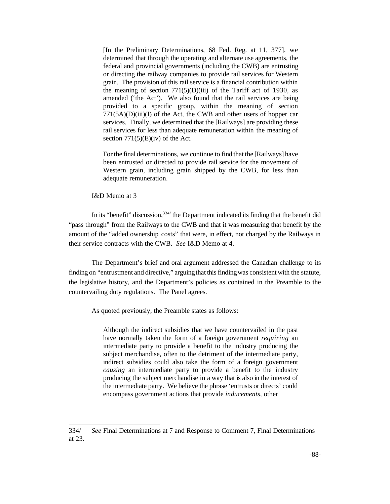[In the Preliminary Determinations, 68 Fed. Reg. at 11, 377], we determined that through the operating and alternate use agreements, the federal and provincial governments (including the CWB) are entrusting or directing the railway companies to provide rail services for Western grain. The provision of this rail service is a financial contribution within the meaning of section  $771(5)(D)(iii)$  of the Tariff act of 1930, as amended ('the Act'). We also found that the rail services are being provided to a specific group, within the meaning of section  $771(5A)(D)(iii)(I)$  of the Act, the CWB and other users of hopper car services. Finally, we determined that the [Railways] are providing these rail services for less than adequate remuneration within the meaning of section  $771(5)(E)(iv)$  of the Act.

For the final determinations, we continue to find that the [Railways] have been entrusted or directed to provide rail service for the movement of Western grain, including grain shipped by the CWB, for less than adequate remuneration.

I&D Memo at 3

In its "benefit" discussion,  $334/$  the Department indicated its finding that the benefit did "pass through" from the Railways to the CWB and that it was measuring that benefit by the amount of the "added ownership costs" that were, in effect, not charged by the Railways in their service contracts with the CWB. *See* I&D Memo at 4.

The Department's brief and oral argument addressed the Canadian challenge to its finding on "entrustment and directive," arguing that this finding was consistent with the statute, the legislative history, and the Department's policies as contained in the Preamble to the countervailing duty regulations. The Panel agrees.

As quoted previously, the Preamble states as follows:

Although the indirect subsidies that we have countervailed in the past have normally taken the form of a foreign government *requiring* an intermediate party to provide a benefit to the industry producing the subject merchandise, often to the detriment of the intermediate party, indirect subsidies could also take the form of a foreign government *causing* an intermediate party to provide a benefit to the industry producing the subject merchandise in a way that is also in the interest of the intermediate party. We believe the phrase 'entrusts or directs' could encompass government actions that provide *inducements*, other

<sup>334/</sup> *See* Final Determinations at 7 and Response to Comment 7, Final Determinations at 23.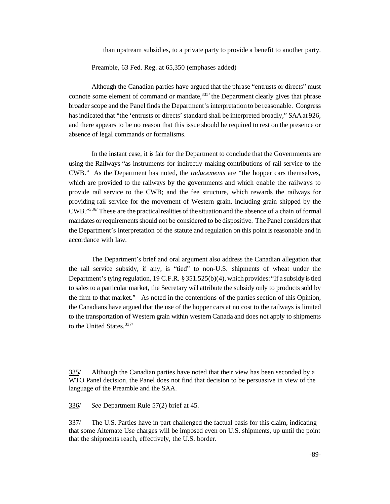than upstream subsidies, to a private party to provide a benefit to another party.

Preamble, 63 Fed. Reg. at 65,350 (emphases added)

Although the Canadian parties have argued that the phrase "entrusts or directs" must connote some element of command or mandate,  $335/$  the Department clearly gives that phrase broader scope and the Panel finds the Department's interpretation to be reasonable. Congress hasindicated that "the 'entrusts or directs' standard shall be interpreted broadly," SAAat 926, and there appears to be no reason that this issue should be required to rest on the presence or absence of legal commands or formalisms.

In the instant case, it is fair for the Department to conclude that the Governments are using the Railways "as instruments for indirectly making contributions of rail service to the CWB." As the Department has noted, the *inducements* are "the hopper cars themselves, which are provided to the railways by the governments and which enable the railways to provide rail service to the CWB; and the fee structure, which rewards the railways for providing rail service for the movement of Western grain, including grain shipped by the CWB."336/ These are the practical realities of the situation and the absence of a chain of formal mandates or requirements should not be considered to be dispositive. The Panel considers that the Department's interpretation of the statute and regulation on this point is reasonable and in accordance with law.

The Department's brief and oral argument also address the Canadian allegation that the rail service subsidy, if any, is "tied" to non-U.S. shipments of wheat under the Department's tying regulation, 19 C.F.R. §351.525(b)(4), which provides: "If a subsidy is tied to sales to a particular market, the Secretary will attribute the subsidy only to products sold by the firm to that market." As noted in the contentions of the parties section of this Opinion, the Canadians have argued that the use of the hopper cars at no cost to the railways is limited to the transportation of Western grain within western Canada and does not apply to shipments to the United States.<sup>337/</sup>

<sup>335/</sup> Although the Canadian parties have noted that their view has been seconded by a WTO Panel decision, the Panel does not find that decision to be persuasive in view of the language of the Preamble and the SAA.

<sup>336/</sup> *See* Department Rule 57(2) brief at 45.

<sup>337/</sup> The U.S. Parties have in part challenged the factual basis for this claim, indicating that some Alternate Use charges will be imposed even on U.S. shipments, up until the point that the shipments reach, effectively, the U.S. border.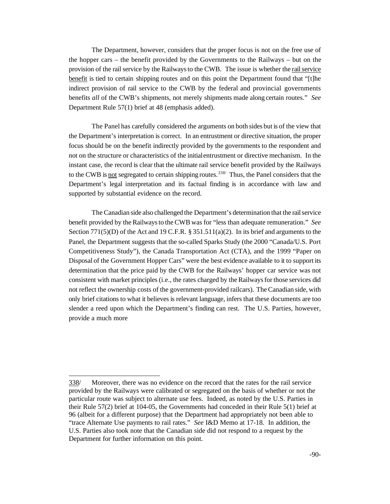The Department, however, considers that the proper focus is not on the free use of the hopper cars – the benefit provided by the Governments to the Railways – but on the provision of the rail service by the Railways to the CWB. The issue is whether the rail service benefit is tied to certain shipping routes and on this point the Department found that "[t]he indirect provision of rail service to the CWB by the federal and provincial governments benefits *all* of the CWB's shipments, not merely shipments made along certain routes." *See* Department Rule 57(1) brief at 48 (emphasis added).

The Panel has carefully considered the arguments on both sides but is of the view that the Department's interpretation is correct. In an entrustment or directive situation, the proper focus should be on the benefit indirectly provided by the governments to the respondent and not on the structure or characteristics of the initialentrustment or directive mechanism. In the instant case, the record is clear that the ultimate rail service benefit provided by the Railways to the CWB is not segregated to certain shipping routes.<sup>338/</sup> Thus, the Panel considers that the Department's legal interpretation and its factual finding is in accordance with law and supported by substantial evidence on the record.

The Canadian side also challenged the Department's determination that the rail service benefit provided by theRailwaysto theCWB was for "less than adequate remuneration." *See* Section  $771(5)(D)$  of the Act and 19 C.F.R. § 351.511(a)(2). In its brief and arguments to the Panel, the Department suggests that the so-called Sparks Study (the 2000 "Canada/U.S. Port Competitiveness Study"), the Canada Transportation Act (CTA), and the 1999 "Paper on Disposal of the Government Hopper Cars" were the best evidence available to it to support its determination that the price paid by the CWB for the Railways' hopper car service was not consistent with market principles (i.e., the rates charged by the Railways for those services did not reflect the ownership costs of the government-provided railcars). The Canadian side, with only brief citations to what it believes is relevant language, infers that these documents are too slender a reed upon which the Department's finding can rest. The U.S. Parties, however, provide a much more

<sup>338/</sup> Moreover, there was no evidence on the record that the rates for the rail service provided by the Railways were calibrated or segregated on the basis of whether or not the particular route was subject to alternate use fees. Indeed, as noted by the U.S. Parties in their Rule 57(2) brief at 104-05, the Governments had conceded in their Rule 5(1) brief at 96 (albeit for a different purpose) that the Department had appropriately not been able to "trace Alternate Use payments to rail rates." *See* I&D Memo at 17-18. In addition, the U.S. Parties also took note that the Canadian side did not respond to a request by the Department for further information on this point.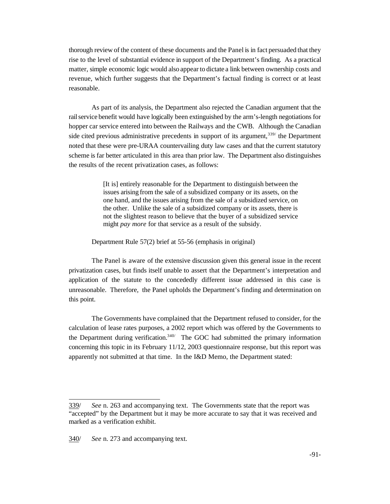thorough review of the content of these documents and the Panel is in fact persuaded that they rise to the level of substantial evidence in support of the Department's finding. As a practical matter, simple economic logic would also appear to dictate a link between ownership costs and revenue, which further suggests that the Department's factual finding is correct or at least reasonable.

As part of its analysis, the Department also rejected the Canadian argument that the railservice benefit would have logically been extinguished by the arm's-length negotiations for hopper car service entered into between the Railways and the CWB. Although the Canadian side cited previous administrative precedents in support of its argument,  $339/$  the Department noted that these were pre-URAA countervailing duty law cases and that the current statutory scheme is far better articulated in this area than prior law. The Department also distinguishes the results of the recent privatization cases, as follows:

> [It is] entirely reasonable for the Department to distinguish between the issues arising from the sale of a subsidized company or its assets, on the one hand, and the issues arising from the sale of a subsidized service, on the other. Unlike the sale of a subsidized company or its assets, there is not the slightest reason to believe that the buyer of a subsidized service might *pay more* for that service as a result of the subsidy.

Department Rule 57(2) brief at 55-56 (emphasis in original)

The Panel is aware of the extensive discussion given this general issue in the recent privatization cases, but finds itself unable to assert that the Department's interpretation and application of the statute to the concededly different issue addressed in this case is unreasonable. Therefore, the Panel upholds the Department's finding and determination on this point.

The Governments have complained that the Department refused to consider, for the calculation of lease rates purposes, a 2002 report which was offered by the Governments to the Department during verification.<sup>340/</sup> The GOC had submitted the primary information concerning this topic in its February 11/12, 2003 questionnaire response, but this report was apparently not submitted at that time. In the I&D Memo, the Department stated:

<sup>339/</sup> *See* n. 263 and accompanying text. The Governments state that the report was "accepted" by the Department but it may be more accurate to say that it was received and marked as a verification exhibit.

<sup>340/</sup> *See* n. 273 and accompanying text.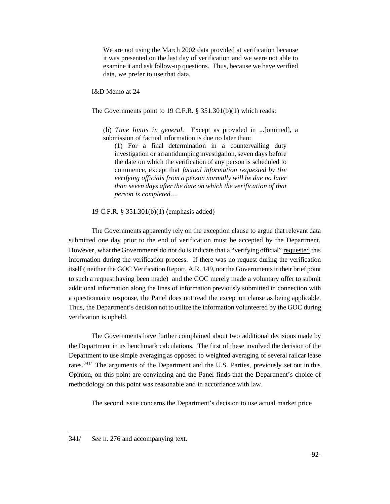We are not using the March 2002 data provided at verification because it was presented on the last day of verification and we were not able to examine it and ask follow-up questions. Thus, because we have verified data, we prefer to use that data.

I&D Memo at 24

The Governments point to 19 C.F.R. § 351.301(b)(1) which reads:

(b) *Time limits in general*. Except as provided in ...[omitted], a submission of factual information is due no later than:

(1) For a final determination in a countervailing duty investigation or an antidumping investigation, seven days before the date on which the verification of any person is scheduled to commence, except that *factual information requested by the verifying officials from a person normally will be due no later than seven days after the date on which the verification of that person is completed*....

19 C.F.R. § 351.301(b)(1) (emphasis added)

The Governments apparently rely on the exception clause to argue that relevant data submitted one day prior to the end of verification must be accepted by the Department. However, what the Governments do not do is indicate that a "verifying official" requested this information during the verification process. If there was no request during the verification itself (neither the GOC Verification Report, A.R. 149, nor the Governments in their brief point to such a request having been made) and the GOC merely made a voluntary offer to submit additional information along the lines of information previously submitted in connection with a questionnaire response, the Panel does not read the exception clause as being applicable. Thus, the Department's decision not to utilize the information volunteered by the GOC during verification is upheld.

The Governments have further complained about two additional decisions made by the Department in its benchmark calculations. The first of these involved the decision of the Department to use simple averaging as opposed to weighted averaging of several railcar lease rates.<sup>341/</sup> The arguments of the Department and the U.S. Parties, previously set out in this Opinion, on this point are convincing and the Panel finds that the Department's choice of methodology on this point was reasonable and in accordance with law.

The second issue concerns the Department's decision to use actual market price

<sup>341/</sup> *See* n. 276 and accompanying text.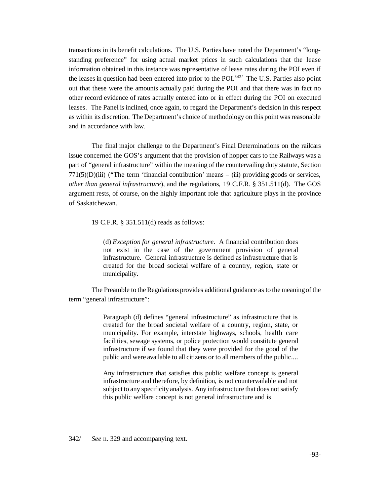transactions in its benefit calculations. The U.S. Parties have noted the Department's "longstanding preference" for using actual market prices in such calculations that the lease information obtained in this instance was representative of lease rates during the POI even if the leases in question had been entered into prior to the POI.<sup>342/</sup> The U.S. Parties also point out that these were the amounts actually paid during the POI and that there was in fact no other record evidence of rates actually entered into or in effect during the POI on executed leases. The Panel is inclined, once again, to regard the Department's decision in this respect as within its discretion. The Department's choice of methodology on this point was reasonable and in accordance with law.

The final major challenge to the Department's Final Determinations on the railcars issue concerned the GOS's argument that the provision of hopper cars to the Railways was a part of "general infrastructure" within the meaning of the countervailing duty statute, Section  $771(5)(D)(iii)$  ("The term 'financial contribution' means – (iii) providing goods or services, *other than general infrastructure*), and the regulations, 19 C.F.R. § 351.511(d). The GOS argument rests, of course, on the highly important role that agriculture plays in the province of Saskatchewan.

19 C.F.R. § 351.511(d) reads as follows:

(d) *Exception for general infrastructure*. A financial contribution does not exist in the case of the government provision of general infrastructure. General infrastructure is defined as infrastructure that is created for the broad societal welfare of a country, region, state or municipality.

The Preamble to the Regulations provides additional guidance as to the meaning of the term "general infrastructure":

> Paragraph (d) defines "general infrastructure" as infrastructure that is created for the broad societal welfare of a country, region, state, or municipality. For example, interstate highways, schools, health care facilities, sewage systems, or police protection would constitute general infrastructure if we found that they were provided for the good of the public and were available to all citizens or to all members of the public....

> Any infrastructure that satisfies this public welfare concept is general infrastructure and therefore, by definition, is not countervailable and not subject to any specificity analysis. Any infrastructure that does not satisfy this public welfare concept is not general infrastructure and is

<sup>342/</sup> *See* n. 329 and accompanying text.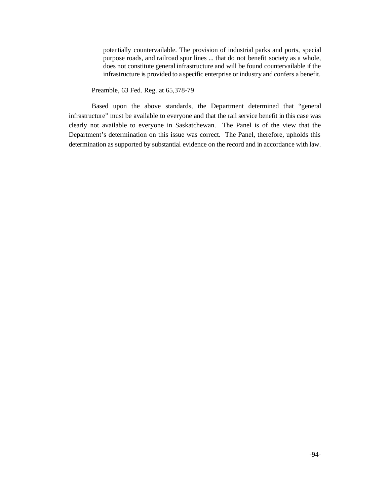potentially countervailable. The provision of industrial parks and ports, special purpose roads, and railroad spur lines ... that do not benefit society as a whole, does not constitute general infrastructure and will be found countervailable if the infrastructure is provided to a specific enterprise or industry and confers a benefit.

Preamble, 63 Fed. Reg. at 65,378-79

Based upon the above standards, the Department determined that "general infrastructure" must be available to everyone and that the rail service benefit in this case was clearly not available to everyone in Saskatchewan. The Panel is of the view that the Department's determination on this issue was correct. The Panel, therefore, upholds this determination as supported by substantial evidence on the record and in accordance with law.